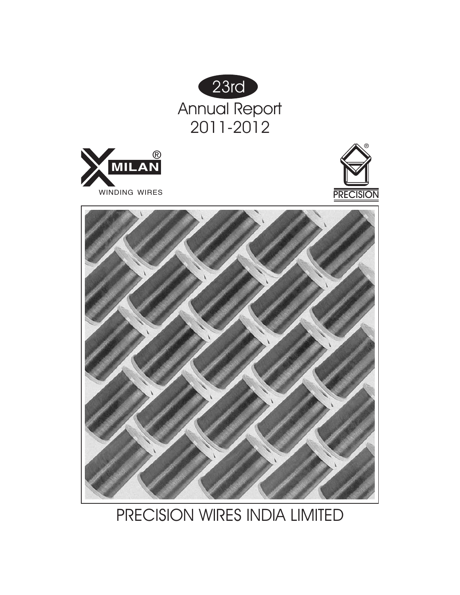







PRECISION WIRES INDIA LIMITED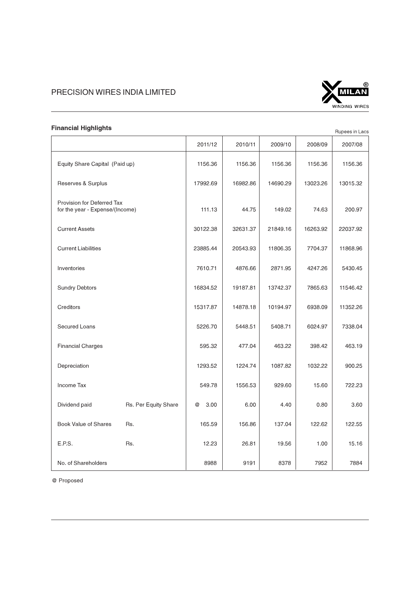

| <b>Financial Highlights</b>                                   |                                |           |          |          |          | Rupees in Lacs |
|---------------------------------------------------------------|--------------------------------|-----------|----------|----------|----------|----------------|
|                                                               |                                | 2011/12   | 2010/11  | 2009/10  | 2008/09  | 2007/08        |
|                                                               | Equity Share Capital (Paid up) |           | 1156.36  | 1156.36  | 1156.36  | 1156.36        |
| Reserves & Surplus                                            |                                | 17992.69  | 16982.86 | 14690.29 | 13023.26 | 13015.32       |
| Provision for Deferred Tax<br>for the year - Expense/(Income) |                                | 111.13    | 44.75    | 149.02   |          | 200.97         |
| <b>Current Assets</b>                                         |                                | 30122.38  | 32631.37 | 21849.16 | 16263.92 | 22037.92       |
| <b>Current Liabilities</b>                                    |                                | 23885.44  | 20543.93 | 11806.35 | 7704.37  | 11868.96       |
| Inventories                                                   |                                | 7610.71   | 4876.66  | 2871.95  | 4247.26  | 5430.45        |
| <b>Sundry Debtors</b>                                         |                                | 16834.52  | 19187.81 | 13742.37 | 7865.63  | 11546.42       |
| Creditors                                                     |                                | 15317.87  | 14878.18 | 10194.97 | 6938.09  | 11352.26       |
| Secured Loans                                                 |                                | 5226.70   | 5448.51  | 5408.71  | 6024.97  | 7338.04        |
| <b>Financial Charges</b>                                      |                                | 595.32    | 477.04   | 463.22   | 398.42   | 463.19         |
| Depreciation                                                  |                                | 1293.52   | 1224.74  | 1087.82  | 1032.22  | 900.25         |
| Income Tax                                                    |                                | 549.78    | 1556.53  | 929.60   | 15.60    | 722.23         |
| Dividend paid                                                 | Rs. Per Equity Share           | 3.00<br>@ | 6.00     | 4.40     | 0.80     | 3.60           |
| <b>Book Value of Shares</b>                                   | Rs.                            | 165.59    | 156.86   | 137.04   | 122.62   | 122.55         |
| E.P.S.                                                        | Rs.                            | 12.23     | 26.81    | 19.56    | 1.00     | 15.16          |
| No. of Shareholders                                           |                                | 8988      | 9191     | 8378     | 7952     | 7884           |

@ Proposed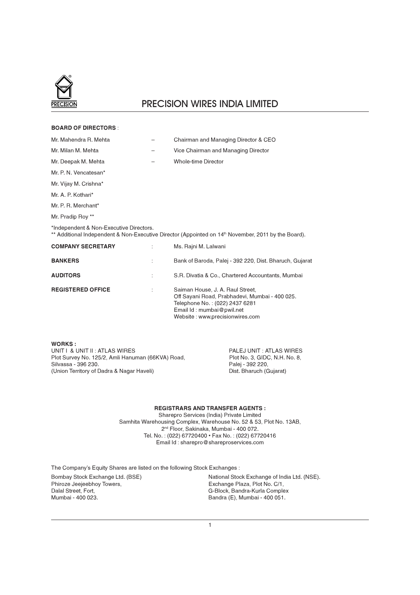

| <b>BOARD OF DIRECTORS:</b>              |                                                                                                                                                                                      |
|-----------------------------------------|--------------------------------------------------------------------------------------------------------------------------------------------------------------------------------------|
| Mr. Mahendra R. Mehta                   | Chairman and Managing Director & CEO                                                                                                                                                 |
| Mr. Milan M. Mehta                      | Vice Chairman and Managing Director                                                                                                                                                  |
| Mr. Deepak M. Mehta                     | Whole-time Director                                                                                                                                                                  |
| Mr. P. N. Vencatesan*                   |                                                                                                                                                                                      |
| Mr. Vijay M. Crishna*                   |                                                                                                                                                                                      |
| Mr. A. P. Kothari*                      |                                                                                                                                                                                      |
| Mr. P. R. Merchant*                     |                                                                                                                                                                                      |
| Mr. Pradip Roy **                       |                                                                                                                                                                                      |
| *Independent & Non-Executive Directors. | ** Additional Independent & Non-Executive Director (Appointed on 14th November, 2011 by the Board).                                                                                  |
| <b>COMPANY SECRETARY</b>                | Ms. Rajni M. Lalwani                                                                                                                                                                 |
| <b>BANKERS</b>                          | Bank of Baroda, Palej - 392 220, Dist. Bharuch, Gujarat                                                                                                                              |
| <b>AUDITORS</b>                         | S.R. Divatia & Co., Chartered Accountants, Mumbai                                                                                                                                    |
| <b>REGISTERED OFFICE</b>                | Saiman House, J. A. Raul Street,<br>Off Sayani Road, Prabhadevi, Mumbai - 400 025.<br>Telephone No.: (022) 2437 6281<br>Email Id: mumbai@pwil.net<br>Website: www.precisionwires.com |
|                                         |                                                                                                                                                                                      |

WORKS : UNIT I & UNIT II : ATLAS WIRES<br>Plot Survey No. 125/2, Amli Hanuman (66KVA) Road, Plot No. 3, GIDC, N.H. No. 8, Plot Survey No. 125/2, Amli Hanuman (66KVA) Road, Plot No. 3, GIDO Silvassa - 396 230. Silvassa - 396 230.<br>
(Union Territory of Dadra & Nagar Haveli) Palej - 392 220, Palej - 392 220, (Union Territory of Dadra & Nagar Haveli)

# REGISTRARS AND TRANSFER AGENTS :

Sharepro Services (India) Private Limited Samhita Warehousing Complex, Warehouse No. 52 & 53, Plot No. 13AB, 2nd Floor, Sakinaka, Mumbai - 400 072. Tel. No. : (022) 67720400 • Fax No. : (022) 67720416 Email Id : sharepro@shareproservices.com

The Company's Equity Shares are listed on the following Stock Exchanges : Bombay Stock Exchange Ltd. (BSE) National Stock Exchange of India Ltd. (NSE).<br>Phiroze Jeejeebhoy Towers, National Stock Exchange Plaza, Plot No. C/1, Phiroze Jeejeebhoy Towers,  $\overline{\phantom{a}}$  (Exchange Plaza, Plot No. C/1, Dalal Street. Fort, Dalal Street Fort, Dalal Street, Fort, Callendon, G. Block, Bandra-Kurla Complex<br>
Mumbai - 400 023.<br>
Bandra (E), Mumbai - 400 051.

Bandra (E), Mumbai - 400 051.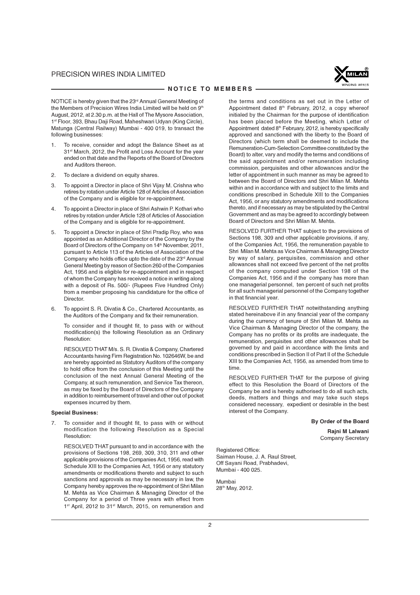

#### - NOTICE TO MEMBERS -

NOTICE is hereby given that the 23<sup>rd</sup> Annual General Meeting of the Members of Precision Wires India Limited will be held on 9<sup>th</sup> August, 2012, at 2.30 p.m. at the Hall of The Mysore Association, 1st Floor, 393, Bhau Daji Road, Maheshwari Udyan (King Circle), Matunga (Central Railway) Mumbai - 400 019, to transact the following businesses:

- 1. To receive, consider and adopt the Balance Sheet as at 31st March, 2012, the Profit and Loss Account for the year ended on that date and the Reports of the Board of Directors and Auditors thereon.
- 2. To declare a dividend on equity shares.
- 3. To appoint a Director in place of Shri Vijay M. Crishna who retires by rotation under Article 128 of Articles of Association of the Company and is eligible for re-appointment.
- 4. To appoint a Director in place of Shri Ashwin P. Kothari who retires by rotation under Article 128 of Articles of Association of the Company and is eligible for re-appointment.
- 5. To appoint a Director in place of Shri Pradip Roy, who was appointed as an Additional Director of the Company by the Board of Directors of the Company on 14<sup>th</sup> November, 2011, pursuant to Article 113 of the Articles of Association of the Company who holds office upto the date of the 23rd Annual General Meeting by reason of Section 260 of the Companies Act, 1956 and is eligible for re-appointment and in respect of whom the Company has received a notice in writing along with a deposit of Rs. 500/- (Rupees Five Hundred Only) from a member proposing his candidature for the office of Director.
- 6. To appoint S. R. Divatia & Co., Chartered Accountants, as the Auditors of the Company and fix their remuneration.

To consider and if thought fit, to pass with or without modification(s) the following Resolution as an Ordinary Resolution:

RESOLVED THAT M/s. S. R. Divatia & Company, Chartered Accountants having Firm Registration No. 102646W, be and are hereby appointed as Statutory Auditors of the company to hold office from the conclusion of this Meeting until the conclusion of the next Annual General Meeting of the Company, at such remuneration, and Service Tax thereon, as may be fixed by the Board of Directors of the Company in addition to reimbursement of travel and other out of pocket expenses incurred by them.

#### Special Business:

7. To consider and if thought fit, to pass with or without modification the following Resolution as a Special Resolution:

RESOLVED THAT pursuant to and in accordance with the provisions of Sections 198, 269, 309, 310, 311 and other applicable provisions of the Companies Act, 1956, read with Schedule XIII to the Companies Act, 1956 or any statutory amendments or modifications thereto and subject to such sanctions and approvals as may be necessary in law, the Company hereby approves the re-appointment of Shri Milan M. Mehta as Vice Chairman & Managing Director of the Company for a period of Three years with effect from 1<sup>st</sup> April, 2012 to 31<sup>st</sup> March, 2015, on remuneration and the terms and conditions as set out in the Letter of Appointment dated 8th February, 2012, a copy whereof initialed by the Chairman for the purpose of identification has been placed before the Meeting, which Letter of Appointment dated 8<sup>th</sup> February, 2012, is hereby specifically approved and sanctioned with the liberty to the Board of Directors (which term shall be deemed to include the Remuneration-Cum-Selection Committee constituted by the Board) to alter, vary and modify the terms and conditions of the said appointment and/or remuneration including commission, perquisites and other allowances and/or the letter of appointment in such manner as may be agreed to between the Board of Directors and Shri Milan M. Mehta within and in accordance with and subject to the limits and conditions prescribed in Schedule XIII to the Companies Act, 1956, or any statutory amendments and modifications thereto, and if necessary as may be stipulated by the Central Government and as may be agreed to accordingly between Board of Directors and Shri Milan M. Mehta.

RESOLVED FURTHER THAT subject to the provisions of Sections 198, 309 and other applicable provisions, if any, of the Companies Act, 1956, the remuneration payable to Shri Milan M. Mehta as Vice Chairman & Managing Director by way of salary, perquisites, commission and other allowances shall not exceed five percent of the net profits of the company computed under Section 198 of the Companies Act, 1956 and if the company has more than one managerial personnel, ten percent of such net profits for all such managerial personnel of the Company together in that financial year.

RESOLVED FURTHER THAT notwithstanding anything stated hereinabove if in any financial year of the company during the currency of tenure of Shri Milan M. Mehta as Vice Chairman & Managing Director of the company, the Company has no profits or its profits are inadequate, the remuneration, perquisites and other allowances shall be governed by and paid in accordance with the limits and conditions prescribed in Section II of Part II of the Schedule XIII to the Companies Act, 1956, as amended from time to time.

RESOLVED FURTHER THAT for the purpose of giving effect to this Resolution the Board of Directors of the Company be and is hereby authorised to do all such acts, deeds, matters and things and may take such steps considered necessary, expedient or desirable in the best interest of the Company.

By Order of the Board

Rajni M Lalwani Company Secretary

Registered Office: Saiman House, J. A. Raul Street, Off Sayani Road, Prabhadevi, Mumbai - 400 025.

Mumbai 28th May, 2012.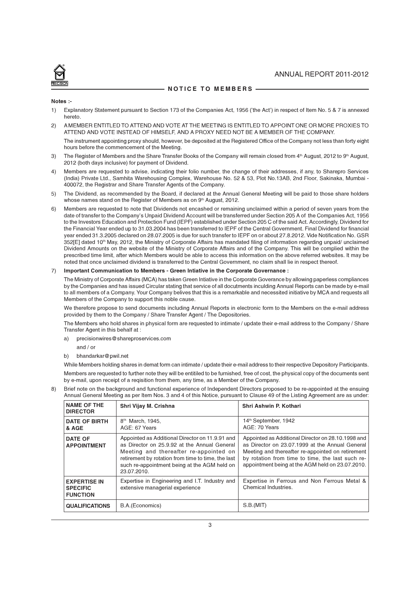#### NOTICE TO MEMBERS

#### Notes :-

- 1) Explanatory Statement pursuant to Section 173 of the Companies Act, 1956 ('the Act') in respect of Item No. 5 & 7 is annexed hereto.
- 2) A MEMBER ENTITLED TO ATTEND AND VOTE AT THE MEETING IS ENTITLED TO APPOINT ONE OR MORE PROXIES TO ATTEND AND VOTE INSTEAD OF HIMSELF, AND A PROXY NEED NOT BE A MEMBER OF THE COMPANY.

The instrument appointing proxy should, however, be deposited at the Registered Office of the Company not less than forty eight hours before the commencement of the Meeting.

- 3) The Register of Members and the Share Transfer Books of the Company will remain closed from 4<sup>th</sup> August, 2012 to 9<sup>th</sup> August, 2012 (both days inclusive) for payment of Dividend.
- 4) Members are requested to advise, indicating their folio number, the change of their addresses, if any, to Sharepro Services (India) Private Ltd., Samhita Warehousing Complex, Warehouse No. 52 & 53, Plot No.13AB, 2nd Floor, Sakinaka, Mumbai - 400072, the Registrar and Share Transfer Agents of the Company.
- 5) The Dividend, as recommended by the Board, if declared at the Annual General Meeting will be paid to those share holders whose names stand on the Register of Members as on 9th August, 2012.
- 6) Members are requested to note that Dividends not encashed or remaining unclaimed within a period of seven years from the date of transfer to the Company's Unpaid Dividend Account will be transferred under Section 205 A of the Companies Act, 1956 to the Investors Education and Protection Fund (IEPF) established under Section 205 C of the said Act. Accordingly, Dividend for the Financial Year ended up to 31.03.2004 has been transferred to IEPF of the Central Government. Final Dividend for financial year ended 31.3.2005 declared on 28.07.2005 is due for such transfer to IEPF on or about 27.8.2012. Vide Notification No. GSR 352[E] dated 10<sup>th</sup> May, 2012, the Ministry of Corporate Affairs has mandated filing of information regarding unpaid/ unclaimed Dividend Amounts on the website of the Ministry of Corporate Affairs and of the Company. This will be complied within the prescribed time limit, after which Members would be able to access this information on the above referred websites. It may be noted that once unclaimed dividend is transferred to the Central Government, no claim shall lie in respect thereof.

#### 7) Important Communication to Members - Green Intiative in the Corporate Governance :

The Ministry of Corporate Affairs (MCA) has taken Green Intiative in the Corporate Goverance by allowing paperless compliances by the Companies and has issued Circular stating that service of all docutments inculding Annual Reports can be made by e-mail to all members of a Company. Your Company belives that this is a remarkable and necessited initiative by MCA and requests all Members of the Company to support this noble cause.

We therefore propose to send documents including Annual Reports in electronic form to the Members on the e-mail address provided by them to the Company / Share Transfer Agent / The Depositories.

The Members who hold shares in physical form are requested to intimate / update their e-mail address to the Company / Share Transfer Agent in this behalf at :

a) precisionwires@shareproservices.com

#### and / or

b) bhandarkar@pwil.net

While Members holding shares in demat form can intimate / update their e-mail address to their respective Depository Participants. Members are requested to further note they will be entitiled to be furnished, free of cost, the physical copy of the documents sent by e-mail, upon receipt of a reqisition from them, any time, as a Member of the Company.

- NAME OF THE DIRECTOR Shri Vijay M. Crishna Shri Ashwin P. Kothari DATE OF BIRTH & AGE 8<sup>th</sup> March, 1945. AGE: 67 Years 14th September, 1942 AGE: 70 Years DATE OF APPOINTMENT Appointed as Additional Director on 11.9.91 and as Director on 25.9.92 at the Annual General Meeting and thereafter re-appointed on retirement by rotation from time to time, the last such re-appointment being at the AGM held on 23.07.2010. Appointed as Additional Director on 28.10.1998 and as Director on 23.07.1999 at the Annual General Meeting and thereafter re-appointed on retirement by rotation from time to time, the last such reappointment being at the AGM held on 23.07.2010. EXPERTISE IN SPECIFIC **FUNCTION** Expertise in Engineering and I.T. Industry and extensive managerial experience Expertise in Ferrous and Non Ferrous Metal & Chemical Industries. QUALIFICATIONS | B.A.(Economics) S.B.(MIT)
- 8) Brief note on the background and functional experience of Independent Directors proposed to be re-appointed at the ensuing Annual General Meeting as per Item Nos. 3 and 4 of this Notice, pursuant to Clause 49 of the Listing Agreement are as under: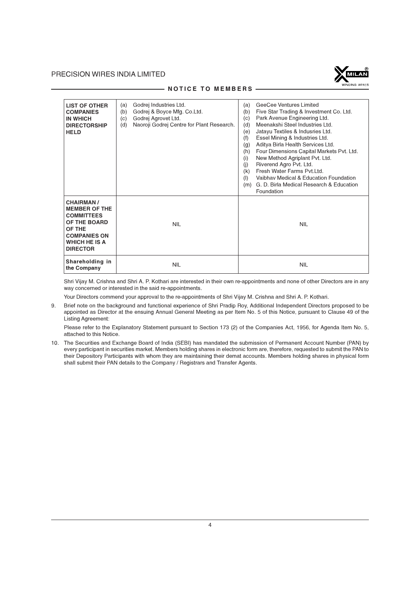

| <b>LIST OF OTHER</b><br><b>COMPANIES</b><br><b>IN WHICH</b><br><b>DIRECTORSHIP</b><br><b>HELD</b>                                                  | Godrej Industries Ltd.<br>(a)<br>Godrej & Boyce Mfg. Co.Ltd.<br>(b)<br>Godrej Agrovet Ltd.<br>(c)<br>Naoroji Godrej Centre for Plant Research.<br>(d) | GeeCee Ventures Limited<br>(a)<br>Five Star Trading & Investment Co. Ltd.<br>(b)<br>Park Avenue Engineering Ltd.<br>(c)<br>Meenakshi Steel Industries Ltd.<br>(d)<br>Jatayu Textiles & Indusries Ltd.<br>(e)<br>Essel Mining & Industries Ltd.<br>(f)<br>Aditya Birla Health Services Ltd.<br>(g)<br>Four Dimensions Capital Markets Pvt. Ltd.<br>(h)<br>New Method Agriplant Pvt. Ltd.<br>(i)<br>Riverend Agro Pvt. Ltd.<br>(i)<br>Fresh Water Farms Pvt.Ltd.<br>(k)<br>Vaibhay Medical & Education Foundation<br>(1)<br>G. D. Birla Medical Research & Education<br>(m)<br>Foundation |
|----------------------------------------------------------------------------------------------------------------------------------------------------|-------------------------------------------------------------------------------------------------------------------------------------------------------|-----------------------------------------------------------------------------------------------------------------------------------------------------------------------------------------------------------------------------------------------------------------------------------------------------------------------------------------------------------------------------------------------------------------------------------------------------------------------------------------------------------------------------------------------------------------------------------------|
| <b>CHAIRMAN/</b><br><b>MEMBER OF THE</b><br><b>COMMITTEES</b><br>OF THE BOARD<br>OF THE<br><b>COMPANIES ON</b><br>WHICH HE IS A<br><b>DIRECTOR</b> | <b>NIL</b>                                                                                                                                            | <b>NIL</b>                                                                                                                                                                                                                                                                                                                                                                                                                                                                                                                                                                              |
| Shareholding in<br>the Company                                                                                                                     | <b>NIL</b>                                                                                                                                            | <b>NIL</b>                                                                                                                                                                                                                                                                                                                                                                                                                                                                                                                                                                              |

#### - NOTICE TO MEMBERS -

Shri Vijay M. Crishna and Shri A. P. Kothari are interested in their own re-appointments and none of other Directors are in any way concerned or interested in the said re-appointments.

Your Directors commend your approval to the re-appointments of Shri Vijay M. Crishna and Shri A. P. Kothari.

9. Brief note on the background and functional experience of Shri Pradip Roy, Additional Independent Directors proposed to be appointed as Director at the ensuing Annual General Meeting as per Item No. 5 of this Notice, pursuant to Clause 49 of the Listing Agreement:

Please refer to the Explanatory Statement pursuant to Section 173 (2) of the Companies Act, 1956, for Agenda Item No. 5, attached to this Notice.

10. The Securities and Exchange Board of India (SEBI) has mandated the submission of Permanent Account Number (PAN) by every participant in securities market. Members holding shares in electronic form are, therefore, requested to submit the PAN to their Depository Participants with whom they are maintaining their demat accounts. Members holding shares in physical form shall submit their PAN details to the Company / Registrars and Transfer Agents.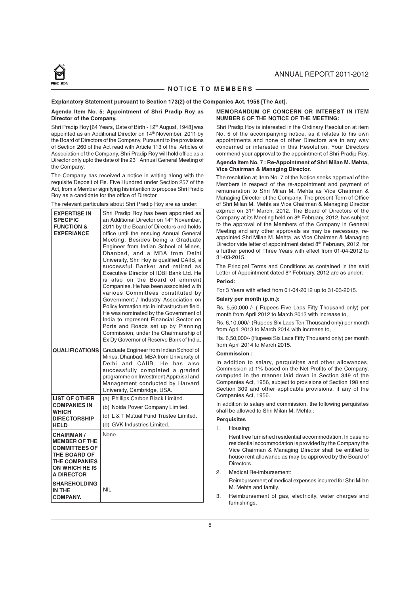#### NOTICE TO MEMBERS

#### Explanatory Statement pursuant to Section 173(2) of the Companies Act, 1956 [The Act].

#### Agenda Item No. 5: Appointment of Shri Pradip Roy as Director of the Company.

Shri Pradip Roy [64 Years, Date of Birth - 12<sup>th</sup> August, 1948] was appointed as an Additional Director on 14th November, 2011 by the Board of Directors of the Company. Pursuant to the provisions of Section 260 of the Act read with Article 113 of the Articles of Association of the Company, Shri Pradip Roy will hold office as a Director only upto the date of the 23<sup>rd</sup> Annual General Meeting of the Company.

The Company has received a notice in writing along with the requisite Deposit of Rs. Five Hundred under Section 257 of the Act, from a Member signifying his intention to propose Shri Pradip Roy as a candidate for the office of Director.

| The relevant particulars about Shri Pradip Roy are as under: |  |
|--------------------------------------------------------------|--|
|--------------------------------------------------------------|--|

| <b>EXPERTISE IN</b><br><b>SPECIFIC</b><br><b>FUNCTION &amp;</b><br><b>EXPERIANCE</b>                                                                   | Shri Pradip Roy has been appointed as<br>an Additional Director on 14 <sup>th</sup> November,<br>2011 by the Board of Directors and holds<br>office until the ensuing Annual General<br>Meeting. Besides being a Graduate<br>Engineer from Indian School of Mines,<br>Dhanbad, and a MBA from Delhi<br>University, Shri Roy is qualified CAIIB, a<br>successful Banker and retired as<br>Executive Director of IDBI Bank Ltd. He<br>is also on the Board of eminent<br>Companies. He has been associated with<br>various Committees constituted by<br>Government / Industry Association on<br>Policy formation etc in Infrastructure field.<br>He was nominated by the Government of<br>India to represent Financial Sector on<br>Ports and Roads set up by Planning<br>Commission, under the Chairmanship of<br>Ex Dy Governor of Reserve Bank of India. |
|--------------------------------------------------------------------------------------------------------------------------------------------------------|-----------------------------------------------------------------------------------------------------------------------------------------------------------------------------------------------------------------------------------------------------------------------------------------------------------------------------------------------------------------------------------------------------------------------------------------------------------------------------------------------------------------------------------------------------------------------------------------------------------------------------------------------------------------------------------------------------------------------------------------------------------------------------------------------------------------------------------------------------------|
| <b>QUALIFICATIONS</b>                                                                                                                                  | Graduate Engineer from Indian School of<br>Mines, Dhanbad, MBA from University of<br>Delhi and CAIIB. He<br>has<br>also<br>successfully completed a graded<br>programme on Investment Appraisal and<br>Management conducted by Harvard<br>University, Cambridge, USA.                                                                                                                                                                                                                                                                                                                                                                                                                                                                                                                                                                                     |
| <b>LIST OF OTHER</b>                                                                                                                                   | (a) Phillips Carbon Black Limited.                                                                                                                                                                                                                                                                                                                                                                                                                                                                                                                                                                                                                                                                                                                                                                                                                        |
| <b>COMPANIES IN</b>                                                                                                                                    | (b) Noida Power Company Limited.                                                                                                                                                                                                                                                                                                                                                                                                                                                                                                                                                                                                                                                                                                                                                                                                                          |
| <b>WHICH</b><br><b>DIRECTORSHIP</b>                                                                                                                    | (c) L & T Mutual Fund Trustee Limited.                                                                                                                                                                                                                                                                                                                                                                                                                                                                                                                                                                                                                                                                                                                                                                                                                    |
| <b>HELD</b>                                                                                                                                            | (d) GVK Industries Limited.                                                                                                                                                                                                                                                                                                                                                                                                                                                                                                                                                                                                                                                                                                                                                                                                                               |
| <b>CHAIRMAN/</b><br><b>MEMBER OF THE</b><br><b>COMMITTEES OF</b><br><b>THE BOARD OF</b><br><b>THE COMPANIES</b><br>ON WHICH HE IS<br><b>A DIRECTOR</b> | None                                                                                                                                                                                                                                                                                                                                                                                                                                                                                                                                                                                                                                                                                                                                                                                                                                                      |
| <b>SHAREHOLDING</b><br>IN THE<br><b>COMPANY.</b>                                                                                                       | <b>NIL</b>                                                                                                                                                                                                                                                                                                                                                                                                                                                                                                                                                                                                                                                                                                                                                                                                                                                |

#### MEMORANDUM OF CONCERN OR INTEREST IN ITEM NUMBER 5 OF THE NOTICE OF THE MEETING:

Shri Pradip Roy is interested in the Ordinary Resolution at item No. 5 of the accompanying notice, as it relates to his own appointments and none of other Directors are in any way concerned or interested in this Resolution. Your Directors commend your approval to the appointment of Shri Pradip Roy.

#### Agenda Item No. 7 : Re-Appointment of Shri Milan M. Mehta, Vice Chairman & Managing Director.

The resolution at Item No. 7 of the Notice seeks approval of the Members in respect of the re-appointment and payment of remuneration to Shri Milan M. Mehta as Vice Chairman & Managing Director of the Company. The present Term of Office of Shri Milan M. Mehta as Vice Chairman & Managing Director expired on 31st March, 2012. The Board of Directors of the Company at its Meeting held on 8<sup>th</sup> February, 2012, has subject to the approval of the Members of the Company in General Meeting and any other approvals as may be necessary, reappointed Shri Milan M. Mehta, as Vice Chairman & Managing Director vide letter of appointment dated 8<sup>th</sup> February, 2012, for a further period of Three Years with effect from 01-04-2012 to 31-03-2015.

The Principal Terms and Conditions as contained in the said Letter of Appointment dated 8<sup>th</sup> February, 2012 are as under:

#### Period:

For 3 Years with effect from 01-04-2012 up to 31-03-2015.

#### Salary per month (p.m.):

Rs. 5,50,000 /- ( Rupees Five Lacs Fifty Thousand only) per month from April 2012 to March 2013 with increase to,

Rs. 6,10,000/- (Rupees Six Lacs Ten Thousand only) per month from April 2013 to March 2014 with increase to,

Rs. 6,50,000/- (Rupees Six Lacs Fifty Thousand only) per month from April 2014 to March 2015.

#### Commission :

In addition to salary, perquisites and other allowances, Commission at 1% based on the Net Profits of the Company, computed in the manner laid down in Section 349 of the Companies Act, 1956, subject to provisions of Section 198 and Section 309 and other applicable provisions, if any of the Companies Act, 1956.

In addition to salary and commission, the following perquisites shall be allowed to Shri Milan M. Mehta :

#### **Perquisites**

1. Housing:

Rent free furnished residential accommodation. In case no residential accommodation is provided by the Company the Vice Chairman & Managing Director shall be entitled to house rent allowance as may be approved by the Board of Directors

2. Medical Re-imbursement:

Reimbursement of medical expenses incurred for Shri Milan M. Mehta and family.

3. Reimbursement of gas, electricity, water charges and furnishings.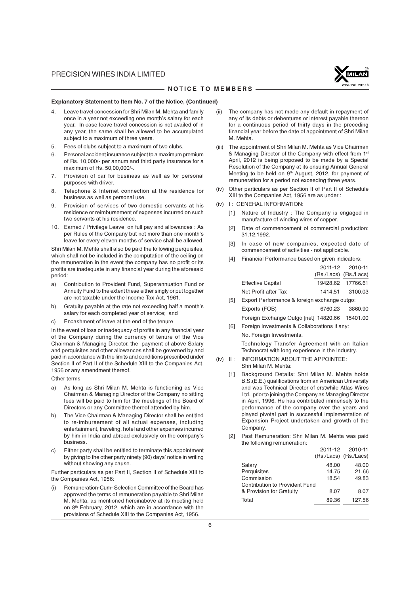

#### - NOTICE TO MEMBERS -

#### Explanatory Statement to Item No. 7 of the Notice, (Continued)

- 4. Leave travel concession for Shri Milan M. Mehta and family once in a year not exceeding one month's salary for each year. In case leave travel concession is not availed of in any year, the same shall be allowed to be accumulated subject to a maximum of three years.
- 5. Fees of clubs subject to a maximum of two clubs.
- Personal accident insurance subject to a maximum premium of Rs. 10,000/- per annum and third party insurance for a maximum of Rs. 50,00,000/-.
- 7. Provision of car for business as well as for personal purposes with driver.
- 8. Telephone & Internet connection at the residence for business as well as personal use.
- 9. Provision of services of two domestic servants at his residence or reimbursement of expenses incurred on such two servants at his residence.
- 10. Earned / Privilege Leave on full pay and allowances : As per Rules of the Company but not more than one month's leave for every eleven months of service shall be allowed.

Shri Milan M. Mehta shall also be paid the following perquisites, which shall not be included in the computation of the ceiling on the remuneration in the event the company has no profit or its profits are inadequate in any financial year during the aforesaid period:

- a) Contribution to Provident Fund, Superannuation Fund or Annuity Fund to the extent these either singly or put together are not taxable under the Income Tax Act, 1961.
- b) Gratuity payable at the rate not exceeding half a month's salary for each completed year of service; and
- c) Encashment of leave at the end of the tenure

In the event of loss or inadequacy of profits in any financial year of the Company during the currency of tenure of the Vice Chairman & Managing Director, the payment of above Salary and perquisites and other allowances shall be governed by and paid in accordance with the limits and conditions prescribed under Section II of Part II of the Schedule XIII to the Companies Act, 1956 or any amendment thereof.

Other terms

- a) As long as Shri Milan M. Mehta is functioning as Vice Chairman & Managing Director of the Company no sitting fees will be paid to him for the meetings of the Board of Directors or any Committee thereof attended by him.
- b) The Vice Chairman & Managing Director shall be entitled to re-imbursement of all actual expenses, including entertainment, traveling, hotel and other expenses incurred by him in India and abroad exclusively on the company's business.
- c) Either party shall be entitled to terminate this appointment by giving to the other party ninety (90) days' notice in writing without showing any cause.

Further particulars as per Part II, Section II of Schedule XIII to the Companies Act, 1956:

Remuneration-Cum- Selection Committee of the Board has approved the terms of remuneration payable to Shri Milan M. Mehta, as mentioned hereinabove at its meeting held on 8th February, 2012, which are in accordance with the provisions of Schedule XIII to the Companies Act, 1956.

- (ii) The company has not made any default in repayment of any of its debts or debentures or interest payable thereon for a continuous period of thirty days in the preceding financial year before the date of appointment of Shri Milan M. Mehta.
- (iii) The appointment of Shri Milan M. Mehta as Vice Chairman & Managing Director of the Company with effect from 1st April, 2012 is being proposed to be made by a Special Resolution of the Company at its ensuing Annual General Meeting to be held on 9<sup>th</sup> August, 2012, for payment of remuneration for a period not exceeding three years.
- (iv) Other particulars as per Section II of Part II of Schedule XIII to the Companies Act, 1956 are as under :
- (iv) I : GENERAL INFORMATION:
	- [1] Nature of Industry : The Company is engaged in manufacture of winding wires of copper.
	- [2] Date of commencement of commercial production: 31.12.1992.
	- [3] In case of new companies, expected date of commencement of activities - not applicable.
	- [4] Financial Performance based on given indicators:

|     |                                              |         | 2011-12 2010-11       |
|-----|----------------------------------------------|---------|-----------------------|
|     |                                              |         | (Rs./Lacs) (Rs./Lacs) |
|     | <b>Effective Capital</b>                     |         | 19428.62 17766.61     |
|     | Net Profit after Tax                         |         | 1414.51 3100.03       |
| ſ51 | Export Performance & foreign exchange outgo: |         |                       |
|     | Exports (FOB)                                | 6760.23 | 3860.90               |

Foreign Exchange Outgo [net] 14820.66 15401.00 [6] Foreign Investments & Collaborations if any:

No. Foreign Investments.

Technology Transfer Agreement with an Italian Technocrat with long experience in the Industry.

- (iv) II : INFORMATION ABOUT THE APPOINTEE: Shri Milan M. Mehta:
	- [1] Background Details: Shri Milan M. Mehta holds B.S.(E.E.) qualifications from an American University and was Technical Director of erstwhile Atlas Wires Ltd., prior to joining the Company as Managing Director in April, 1996. He has contributed immensely to the performance of the company over the years and played pivotal part in successful implementation of Expansion Project undertaken and growth of the Company.
	- [2] Past Remuneration: Shri Milan M. Mehta was paid the following remuneration:

|                                       |       | 2011-12 2010-11       |
|---------------------------------------|-------|-----------------------|
|                                       |       | (Rs./Lacs) (Rs./Lacs) |
| Salary                                | 48.00 | 48.00                 |
| Perquisites                           | 14.75 | 21.66                 |
| Commission                            | 18.54 | 49.83                 |
| <b>Contribution to Provident Fund</b> |       |                       |
| & Provision for Gratuity              | 8.07  | 8.07                  |
| Total                                 | 89.36 | 127.56                |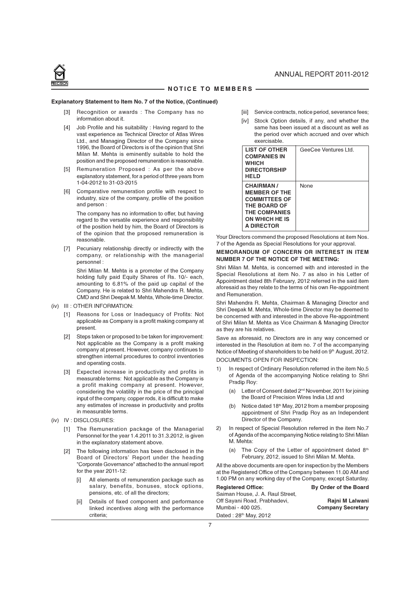

#### NOTICE TO MEMBERS

#### Explanatory Statement to Item No. 7 of the Notice, (Continued)

- [3] Recognition or awards : The Company has no information about it.
- [4] Job Profile and his suitability : Having regard to the vast experience as Technical Director of Atlas Wires Ltd., and Managing Director of the Company since 1996, the Board of Directors is of the opinion that Shri Milan M. Mehta is eminently suitable to hold the position and the proposed remuneration is reasonable.
- [5] Remuneration Proposed : As per the above explanatory statement, for a period of three years from 1-04-2012 to 31-03-2015
- [6] Comparative remuneration profile with respect to industry, size of the company, profile of the position and person :

The company has no information to offer, but having regard to the versatile experience and responsibility of the position held by him, the Board of Directors is of the opinion that the proposed remuneration is reasonable.

[7] Pecuniary relationship directly or indirectly with the company, or relationship with the managerial personnel :

Shri Milan M. Mehta is a promoter of the Company holding fully paid Equity Shares of Rs. 10/- each, amounting to 6.81% of the paid up capital of the Company. He is related to Shri Mahendra R. Mehta, CMD and Shri Deepak M. Mehta, Whole-time Director.

- (iv) III : OTHER INFORMATION:
	- [1] Reasons for Loss or Inadequacy of Profits: Not applicable as Company is a profit making company at present.
	- [2] Steps taken or proposed to be taken for improvement: Not applicable as the Company is a profit making company at present. However, company continues to strengthen internal procedures to control inventories and operating costs.
	- [3] Expected increase in productivity and profits in measurable terms: Not applicable as the Company is a profit making company at present. However, considering the volatility in the price of the principal input of the company, copper rods, it is difficult to make any estimates of increase in productivity and profits in measurable terms.
- (iv) IV : DISCLOSURES:
	- [1] The Remuneration package of the Managerial Personnel for the year 1.4.2011 to 31.3.2012, is given in the explanatory statement above.
	- [2] The following information has been disclosed in the Board of Directors' Report under the heading "Corporate Governance" attached to the annual report for the year 2011-12:
		- All elements of remuneration package such as salary, benefits, bonuses, stock options, pensions, etc. of all the directors;
		- Details of fixed component and performance linked incentives along with the performance criteria;
- [iii] Service contracts, notice period, severance fees;
- [iv] Stock Option details, if any, and whether the same has been issued at a discount as well as the period over which accrued and over which exercisable.

| <b>LIST OF OTHER</b><br><b>COMPANIES IN</b><br><b>WHICH</b><br><b>DIRECTORSHIP</b><br><b>HELD</b>                                 | GeeCee Ventures Ltd. |
|-----------------------------------------------------------------------------------------------------------------------------------|----------------------|
| <b>CHAIRMAN/</b><br><b>MEMBER OF THE</b><br><b>COMMITTEES OF</b><br>THE BOARD OF<br>THE COMPANIES<br>ON WHICH HE IS<br>A DIRECTOR | None                 |

Your Directors commend the proposed Resolutions at item Nos. 7 of the Agenda as Special Resolutions for your approval.

#### MEMORANDUM OF CONCERN OR INTEREST IN ITEM NUMBER 7 OF THE NOTICE OF THE MEETING:

Shri Milan M. Mehta, is concerned with and interested in the Special Resolutions at item No. 7 as also in his Letter of Appointment dated 8th February, 2012 referred in the said item aforesaid as they relate to the terms of his own Re-appointment and Remuneration.

Shri Mahendra R. Mehta, Chairman & Managing Director and Shri Deepak M. Mehta, Whole-time Director may be deemed to be concerned with and interested in the above Re-appointment of Shri Milan M. Mehta as Vice Chairman & Managing Director as they are his relatives.

Save as aforesaid, no Directors are in any way concerned or interested in the Resolution at item no. 7 of the accompanying Notice of Meeting of shareholders to be held on 9<sup>th</sup> August, 2012. DOCUMENTS OPEN FOR INSPECTION:

- 1) In respect of Ordinary Resolution referred in the item No.5 of Agenda of the accompanying Notice relating to Shri Pradip Roy:
	- (a) Letter of Consent dated 2nd November, 2011 for joining the Board of Precision Wires India Ltd and
	- (b) Notice dated 18th May, 2012 from a member proposing appointment of Shri Pradip Roy as an Independent Director of the Company.
- 2) In respect of Special Resolution referred in the item No.7 of Agenda of the accompanying Notice relating to Shri Milan M. Mehta:
	- (a) The Copy of the Letter of appointment dated  $8<sup>th</sup>$ February, 2012, issued to Shri Milan M. Mehta.

All the above documents are open for inspection by the Members at the Registered Office of the Company between 11.00 AM and 1.00 PM on any working day of the Company, except Saturday.

| <b>Registered Office:</b>         | By Order of the Board    |
|-----------------------------------|--------------------------|
| Saiman House, J. A. Raul Street.  |                          |
| Off Savani Road, Prabhadevi,      | Rajni M Lalwani          |
| Mumbai - 400 025.                 | <b>Company Secretary</b> |
| Dated: 28 <sup>th</sup> May, 2012 |                          |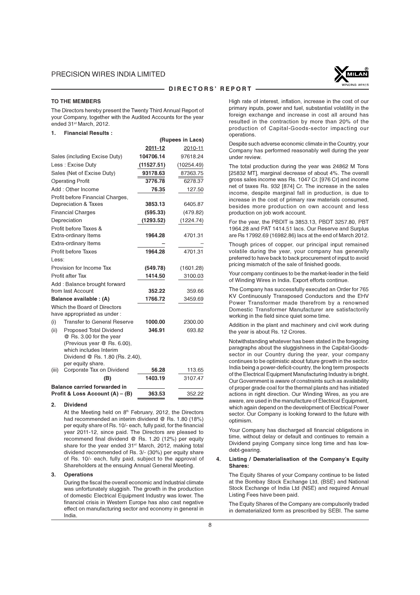

#### - DIRECTORS' REPORT -

(Rupees in Lacs)

#### TO THE MEMBERS

The Directors hereby present the Twenty Third Annual Report of your Company, together with the Audited Accounts for the year ended 31st March, 2012.

#### 1. Financial Results :

|       |                                                             | 2011-12    | 2010-11    |
|-------|-------------------------------------------------------------|------------|------------|
|       | Sales (including Excise Duty)                               | 104706.14  | 97618.24   |
|       | Less: Excise Duty                                           | (11527.51) | (10254.49) |
|       | Sales (Net of Excise Duty)                                  | 93178.63   | 87363.75   |
|       | <b>Operating Profit</b>                                     | 3776.78    | 6278.37    |
|       | Add: Other Income                                           | 76.35      | 127.50     |
|       | Profit before Financial Charges,                            |            |            |
|       | Depreciation & Taxes                                        | 3853.13    | 6405.87    |
|       | <b>Financial Charges</b>                                    | (595.33)   | (479.82)   |
|       | Depreciation                                                | (1293.52)  | (1224.74)  |
|       | Profit before Taxes &                                       |            |            |
|       | <b>Extra-ordinary Items</b>                                 | 1964.28    | 4701.31    |
|       | <b>Extra-ordinary Items</b>                                 |            |            |
|       | Profit before Taxes                                         | 1964.28    | 4701.31    |
| Less: |                                                             |            |            |
|       | Provision for Income Tax                                    | (549.78)   | (1601.28)  |
|       | Profit after Tax                                            | 1414.50    | 3100.03    |
|       | Add: Balance brought forward                                |            |            |
|       | from last Account                                           | 352.22     | 359.66     |
|       | Balance available : (A)                                     | 1766.72    | 3459.69    |
|       | Which the Board of Directors<br>have appropriated as under: |            |            |
| (i)   | <b>Transfer to General Reserve</b>                          | 1000.00    | 2300.00    |
| (ii)  | <b>Proposed Total Dividend</b>                              | 346.91     | 693.82     |
|       | @ Rs. 3.00 for the year                                     |            |            |
|       | (Previous year @ Rs. 6.00).                                 |            |            |
|       | which includes Interim                                      |            |            |
|       | Dividend @ Rs. 1.80 (Rs. 2.40),                             |            |            |
| (iii) | per equity share.<br>Corporate Tax on Dividend              | 56.28      | 113.65     |
|       | (B)                                                         | 1403.19    | 3107.47    |
|       | <b>Balance carried forwarded in</b>                         |            |            |
|       | Profit & Loss Account (A) - (B)                             | 363.53     | 352.22     |

#### 2. Dividend

At the Meeting held on 8<sup>th</sup> February, 2012, the Directors had recommended an interim dividend @ Rs. 1.80 (18%) per equity share of Rs. 10/- each, fully paid, for the financial year 2011-12, since paid. The Directors are pleased to recommend final dividend @ Rs. 1.20 (12%) per equity share for the year ended 31<sup>st</sup> March, 2012, making total dividend recommended of Rs. 3/- (30%) per equity share of Rs. 10/- each, fully paid, subject to the approval of Shareholders at the ensuing Annual General Meeting.

#### 3. Operations

During the fiscal the overall economic and Industrial climate was unfortunately sluggish. The growth in the production of domestic Electrical Equipment Industry was lower. The financial crisis in Western Europe has also cast negative effect on manufacturing sector and economy in general in India.

High rate of interest, inflation, increase in the cost of our primary inputs, power and fuel, substantial volatility in the foreign exchange and increase in cost all around has resulted in the contraction by more than 20% of the production of Capital-Goods-sector impacting our operations.

Despite such adverse economic climate in the Country, your Company has performed reasonably well during the year under review.

The total production during the year was 24862 M Tons [25832 MT], marginal decrease of about 4%. The overall gross sales income was Rs. 1047 Cr. [976 Cr] and income net of taxes Rs. 932 [874] Cr. The increase in the sales income, despite marginal fall in production, is due to increase in the cost of primary raw materials consumed, besides more production on own account and less production on job work account.

For the year, the PBDIT is 3853.13, PBDT 3257.80, PBT 1964.28 and PAT 1414.51 lacs. Our Reserve and Surplus are Rs 17992.69 (16982.86) lacs at the end of March 2012.

Though prices of copper, our principal input remained volatile during the year, your company has generally preferred to have back to back procurement of input to avoid pricing mismatch of the sale of finished goods.

Your company continues to be the market-leader in the field of Winding Wires in India. Export efforts continue.

The Company has successfully executed an Order for 765 KV Continuously Transposed Conductors and the EHV Power Transformer made therefrom by a renowned Domestic Transformer Manufacturer are satisfactorily working in the field since quiet some time.

Addition in the plant and machinery and civil work during the year is about Rs. 12 Crores.

Notwithstanding whatever has been stated in the foregoing paragraphs about the sluggishness in the Capital-Goodssector in our Country during the year, your company continues to be optimistic about future growth in the sector. India being a power-deficit-country, the long term prospects of the Electrical Equipment Manufacturing Industry is bright. Our Government is aware of constraints such as availability of proper grade coal for the thermal plants and has initiated actions in right direction. Our Winding Wires, as you are aware, are used in the manufacture of Electrical Equipment. which again depend on the development of Electrical Power sector. Our Company is looking forward to the future with optimism.

Your Company has discharged all financial obligations in time, without delay or default and continues to remain a Dividend paying Company since long time and has lowdebt-gearing.

#### 4. Listing / Dematerialisation of the Company's Equity Shares:

The Equity Shares of your Company continue to be listed at the Bombay Stock Exchange Ltd, (BSE) and National Stock Exchange of India Ltd (NSE) and required Annual Listing Fees have been paid.

The Equity Shares of the Company are compulsorily traded in dematerialized form as prescribed by SEBI. The same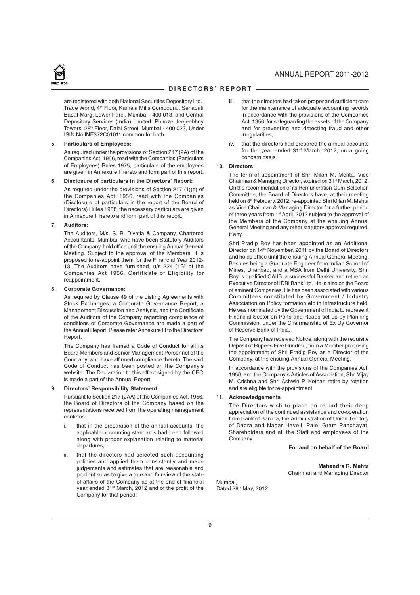

are registered with both National Securities Depository Ltd., Trade World, 4th Floor, Kamala Mills Compound, Senapati Bapat Marg, Lower Parel, Mumbai - 400 013, and Central Depository Services (India) Limited, Phiroze Jeejeebhoy Towers, 28th Floor, Dalal Street, Mumbai - 400 023, Under ISIN No.INE372C01011 common for both.

#### 5. Particulars of Employees:

As required under the provisions of Section 217 (2A) of the Companies Act, 1956, read with the Companies (Particulars of Employees) Rules 1975, particulars of the employees are given in Annexure I hereto and form part of this report.

#### 6. Disclosure of particulars in the Directors' Report:

As required under the provisions of Section 217 (1)(e) of the Companies Act, 1956, read with the Companies (Disclosure of particulars in the report of the Board of Directors) Rules 1988, the necessary particulars are given in Annexure II hereto and form part of this report.

#### 7. Auditors:

The Auditors, M/s. S. R. Divatia & Company, Chartered Accountants, Mumbai, who have been Statutory Auditors of the Company, hold office until the ensuing Annual General Meeting. Subject to the approval of the Members, it is proposed to re-appoint them for the Financial Year 2012- 13. The Auditors have furnished, u/s 224 (1B) of the Companies Act 1956, Certificate of Eligibility for reappointment.

#### 8. Corporate Governance:

As required by Clause 49 of the Listing Agreements with Stock Exchanges, a Corporate Governance Report, a Management Discussion and Analysis, and the Certificate of the Auditors of the Company regarding compliance of conditions of Corporate Governance are made a part of the Annual Report. Please refer Annexure III to the Directors' Report.

The Company has framed a Code of Conduct for all its Board Members and Senior Management Personnel of the Company, who have affirmed compliance thereto. The said Code of Conduct has been posted on the Company's website. The Declaration to this effect signed by the CEO is made a part of the Annual Report.

#### 9. Directors' Responsibility Statement:

Pursuant to Section 217 (2AA) of the Companies Act, 1956, the Board of Directors of the Company based on the representations received from the operating management confirms:

- i. that in the preparation of the annual accounts, the applicable accounting standards had been followed along with proper explanation relating to material departures;
- ii. that the directors had selected such accounting policies and applied them consistently and made judgements and estimates that are reasonable and prudent so as to give a true and fair view of the state of affairs of the Company as at the end of financial year ended 31st March, 2012 and of the profit of the Company for that period;
- that the directors had taken proper and sufficient care for the maintenance of adequate accounting records in accordance with the provisions of the Companies Act, 1956, for safeguarding the assets of the Company and for preventing and detecting fraud and other irregularities:
- iv. that the directors had prepared the annual accounts for the year ended 31<sup>st</sup> March, 2012, on a going concern basis.

#### 10. Directors:

The term of appointment of Shri Milan M. Mehta, Vice Chairman & Managing Director, expired on 31<sup>st</sup> March, 2012. On the recommendation of its Remuneration-Cum-Selection Committee, the Board of Directors have, at their meeting held on 8th February, 2012, re-appointed Shri Milan M. Mehta as Vice Chairman & Managing Director for a further period of three years from 1st April, 2012 subject to the approval of the Members of the Company at the ensuing Annual General Meeting and any other statutory approval required, if any.

Shri Pradip Roy has been appointed as an Additional Director on 14<sup>th</sup> November, 2011 by the Board of Directors and holds office until the ensuing Annual General Meeting. Besides being a Graduate Engineer from Indian School of Mines, Dhanbad, and a MBA from Delhi University, Shri Roy is qualified CAIIB, a successful Banker and retired as Executive Director of IDBI Bank Ltd. He is also on the Board of eminent Companies. He has been associated with various Committees constituted by Government / Industry Association on Policy formation etc in Infrastructure field. He was nominated by the Government of India to represent Financial Sector on Ports and Roads set up by Planning Commission, under the Chairmanship of Ex Dy Governor of Reserve Bank of India.

The Company has received Notice, along with the requisite Deposit of Rupees Five Hundred, from a Member proposing the appointment of Shri Pradip Roy as a Director of the Company, at the ensuing Annual General Meeting.

In accordance with the provisions of the Companies Act, 1956, and the Company's Articles of Association, Shri Vijay M. Crishna and Shri Ashwin P. Kothari retire by rotation and are eligible for re-appointment.

#### 11. Acknowledgements

The Directors wish to place on record their deep appreciation of the continued assistance and co-operation from Bank of Baroda, the Administration of Union Territory of Dadra and Nagar Haveli, Palej Gram Panchayat, Shareholders and all the Staff and employees of the Company.

#### For and on behalf of the Board

Mahendra R. Mehta Chairman and Managing Director

Mumbai, Dated 28<sup>th</sup> May, 2012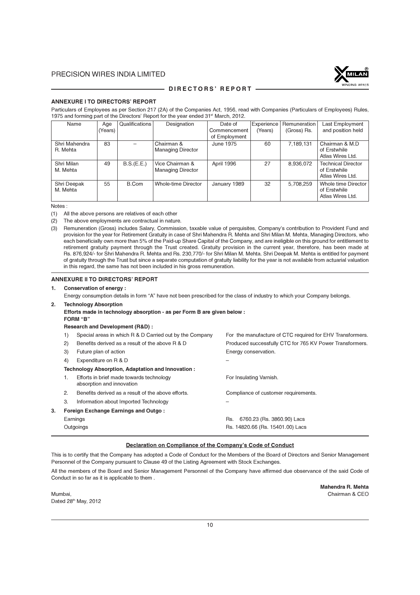

#### - DIRECTORS' REPORT -

#### ANNEXURE I TO DIRECTORS' REPORT

Particulars of Employees as per Section 217 (2A) of the Companies Act, 1956, read with Companies (Particulars of Employees) Rules, 1975 and forming part of the Directors' Report for the year ended 31<sup>st</sup> March, 2012.

| Name                      | Age     | Qualifications | Designation                                 | Date of       | Experience | Remuneration | Last Employment                                               |
|---------------------------|---------|----------------|---------------------------------------------|---------------|------------|--------------|---------------------------------------------------------------|
|                           | (Years) |                |                                             | Commencement  | (Years)    | (Gross) Rs.  | and position held                                             |
|                           |         |                |                                             | of Employment |            |              |                                                               |
| Shri Mahendra<br>R. Mehta | 83      |                | Chairman &<br><b>Managing Director</b>      | June 1975     | 60         | 7,189,131    | Chairman & M.D<br>of Erstwhile<br>Atlas Wires Ltd.            |
| Shri Milan<br>M. Mehta    | 49      | B.S.(E.E.)     | Vice Chairman &<br><b>Managing Director</b> | April 1996    | 27         | 8,936,072    | <b>Technical Director</b><br>of Erstwhile<br>Atlas Wires Ltd. |
| Shri Deepak<br>M. Mehta   | 55      | B.Com          | Whole-time Director                         | January 1989  | 32         | 5,708,259    | Whole time Director<br>of Erstwhile<br>Atlas Wires Ltd.       |

Notes :

- (1) All the above persons are relatives of each other
- (2) The above employments are contractual in nature.

#### ANNEXURE II TO DIRECTORS' REPORT

#### 1. Conservation of energy :

Energy consumption details in form "A" have not been prescribed for the class of industry to which your Company belongs.

#### 2. Technology Absorption

Efforts made in technology absorption - as per Form B are given below : FORM "B" Research and Development (R&D) : 1) Special areas in which R & D Carried out by the Company For the manufacture of CTC required for EHV Transformers. 2) Benefits derived as a result of the above R & D Produced successfully CTC for 765 KV Power Transformers. 3) Future plan of action **Energy conservation**. 4) Expenditure on R & D – Technology Absorption, Adaptation and Innovation : 1. Efforts in brief made towards technology For Insulating Varnish. absorption and innovation 2. Benefits derived as a result of the above efforts. Compliance of customer requirements. 3. Information about Imported Technology – 3. Foreign Exchange Earnings and Outgo : Earnings **Example 20** Rs. 6760.23 (Rs. 3860.90) Lacs Outgoings Rs. 14820.66 (Rs. 15401.00) Lacs

#### Declaration on Compliance of the Company's Code of Conduct

This is to certify that the Company has adopted a Code of Conduct for the Members of the Board of Directors and Senior Management Personnel of the Company pursuant to Clause 49 of the Listing Agreement with Stock Exchanges.

All the members of the Board and Senior Management Personnel of the Company have affirmed due observance of the said Code of Conduct in so far as it is applicable to them .

Mumbai, Chairman & CEO Dated 28th May, 2012

Mahendra R. Mehta

<sup>(3)</sup> Remuneration (Gross) includes Salary, Commission, taxable value of perquisites, Company's contribution to Provident Fund and provision for the year for Retirement Gratuity in case of Shri Mahendra R. Mehta and Shri Milan M. Mehta, Managing Directors, who each beneficially own more than 5% of the Paid-up Share Capital of the Company, and are ineligible on this ground for entitlement to retirement gratuity payment through the Trust created. Gratuity provision in the current year, therefore, has been made at Rs. 876,924/- for Shri Mahendra R. Mehta and Rs. 230,770/- for Shri Milan M. Mehta. Shri Deepak M. Mehta is entitled for payment of gratuity through the Trust but since a separate computation of gratuity liability for the year is not available from actuarial valuation in this regard, the same has not been included in his gross remuneration.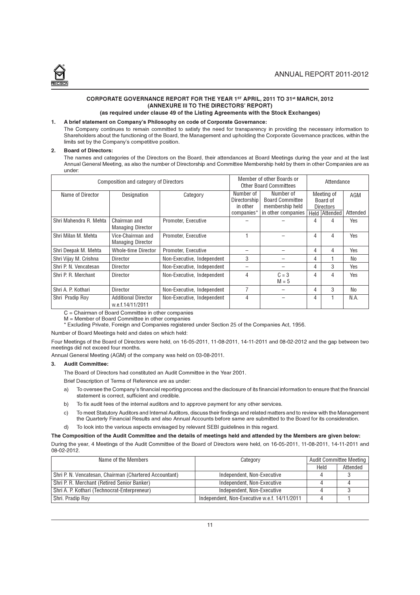

#### CORPORATE GOVERNANCE REPORT FOR THE YEAR 1ST APRIL, 2011 TO 31st MARCH, 2012 (ANNEXURE III TO THE DIRECTORS' REPORT) (as required under clause 49 of the Listing Agreements with the Stock Exchanges)

# 1. A brief statement on Company's Philosophy on code of Corporate Governance:

The Company continues to remain committed to satisfy the need for transparency in providing the necessary information to Shareholders about the functioning of the Board, the Management and upholding the Corporate Governance practices, within the limits set by the Company's competitive position.

#### 2. Board of Directors:

The names and categories of the Directors on the Board, their attendances at Board Meetings during the year and at the last Annual General Meeting, as also the number of Directorship and Committee Membership held by them in other Companies are as under:

| Composition and category of Directors |                                                |                            |                          | Member of other Boards or<br>Attendance<br><b>Other Board Committees</b> |                              |               |          |
|---------------------------------------|------------------------------------------------|----------------------------|--------------------------|--------------------------------------------------------------------------|------------------------------|---------------|----------|
| Name of Director                      | Designation                                    | Category                   | Number of                | Number of<br><b>Board Committee</b>                                      |                              | Meeting of    | AGM      |
|                                       |                                                |                            | Directorship<br>in other | membership held                                                          | Board of<br><b>Directors</b> |               |          |
|                                       |                                                |                            | companies*               | in other companies                                                       |                              | Held Attended | Attended |
| Shri Mahendra R. Mehta                | Chairman and<br><b>Managing Director</b>       | Promoter. Executive        |                          |                                                                          | 4                            | 4             | Yes      |
| Shri Milan M. Mehta                   | Vice-Chairman and<br><b>Managing Director</b>  | Promoter, Executive        |                          |                                                                          | 4                            | 4             | Yes      |
| Shri Deepak M. Mehta                  | <b>Whole-time Director</b>                     | Promoter. Executive        |                          |                                                                          | 4                            | 4             | Yes      |
| Shri Vijay M. Crishna                 | Director                                       | Non-Executive, Independent | 3                        |                                                                          | 4                            |               | No       |
| Shri P. N. Vencatesan                 | Director                                       | Non-Executive. Independent |                          |                                                                          | 4                            | 3             | Yes      |
| Shri P. R. Merchant                   | Director                                       | Non-Executive, Independent | 4                        | $C = 3$<br>$M = 5$                                                       | 4                            | 4             | Yes      |
| Shri A. P. Kothari                    | Director                                       | Non-Executive, Independent | 7                        |                                                                          | 4                            | 3             | No       |
| Shri Pradip Roy                       | <b>Additional Director</b><br>w.e.f.14/11/2011 | Non-Executive, Independent | 4                        |                                                                          | 4                            |               | N.A.     |

C = Chairman of Board Committee in other companies

M = Member of Board Committee in other companies

\* Excluding Private, Foreign and Companies registered under Section 25 of the Companies Act, 1956.

Number of Board Meetings held and dates on which held:

Four Meetings of the Board of Directors were held, on 16-05-2011, 11-08-2011, 14-11-2011 and 08-02-2012 and the gap between two meetings did not exceed four months.

Annual General Meeting (AGM) of the company was held on 03-08-2011.

#### 3. Audit Committee:

The Board of Directors had constituted an Audit Committee in the Year 2001.

Brief Description of Terms of Reference are as under:

- a) To oversee the Company's financial reporting process and the disclosure of its financial information to ensure that the financial statement is correct, sufficient and credible.
- b) To fix audit fees of the internal auditors and to approve payment for any other services.
- c) To meet Statutory Auditors and Internal Auditors, discuss their findings and related matters and to review with the Management the Quarterly Financial Results and also Annual Accounts before same are submitted to the Board for its consideration.
- d) To look into the various aspects envisaged by relevant SEBI guidelines in this regard.

#### The Composition of the Audit Committee and the details of meetings held and attended by the Members are given below:

During the year, 4 Meetings of the Audit Committee of the Board of Directors were held, on 16-05-2011, 11-08-2011, 14-11-2011 and 08-02-2012.

| Name of the Members                                    | Category                                     |      | <b>Audit Committee Meeting</b> |  |
|--------------------------------------------------------|----------------------------------------------|------|--------------------------------|--|
|                                                        |                                              | Held | Attended                       |  |
| Shri P. N. Vencatesan, Chairman (Chartered Accountant) | Independent, Non-Executive                   |      |                                |  |
| Shri P. R. Merchant (Retired Senior Banker)            | Independent, Non-Executive                   |      |                                |  |
| Shri A. P. Kothari (Technocrat-Enterpreneur)           | Independent, Non-Executive                   |      |                                |  |
| Shri. Pradip Roy                                       | Independent. Non-Executive w.e.f. 14/11/2011 |      |                                |  |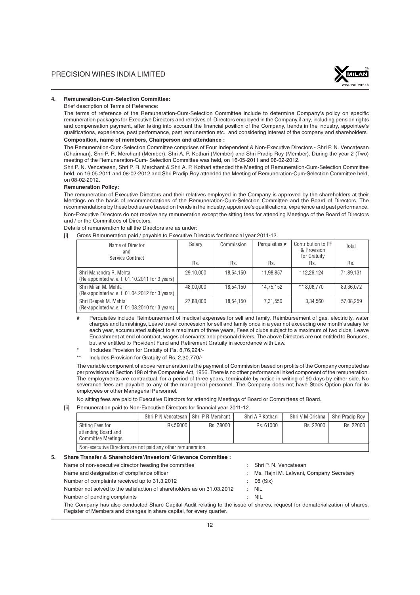

#### 4. Remuneration-Cum-Selection Committee:

Brief description of Terms of Reference:

The terms of reference of the Remuneration-Cum-Selection Committee include to determine Company's policy on specific remuneration packages for Executive Directors and relatives of Directors employed in the Company,if any, including pension rights and compensation payment, after taking into account the financial position of the Company, trends in the industry, appointee's qualifications, experience, past performance, past remuneration etc., and considering interest of the company and shareholders.

#### Composition, name of members, Chairperson and attendance :

The Remuneration-Cum-Selection Committee comprises of Four Independent & Non-Executive Directors - Shri P. N. Vencatesan (Chairman), Shri P. R. Merchant (Member), Shri A. P. Kothari (Member) and Shri Pradip Roy (Member). During the year 2 (Two) meeting of the Remuneration-Cum- Selection Committee was held, on 16-05-2011 and 08-02-2012.

Shri P. N. Vencatesan, Shri P. R. Merchant & Shri A. P. Kothari attended the Meeting of Remuneration-Cum-Selection Committee held, on 16.05.2011 and 08-02-2012 and Shri Pradip Roy attended the Meeting of Remuneration-Cum-Selection Committee held, on 08-02-2012.

#### Remuneration Policy:

The remuneration of Executive Directors and their relatives employed in the Company is approved by the shareholders at their Meetings on the basis of recommendations of the Remuneration-Cum-Selection Committee and the Board of Directors. The recommendations by these bodies are based on trends in the industry, appointee's qualifications, experience and past performance. Non-Executive Directors do not receive any remuneration except the sitting fees for attending Meetings of the Board of Directors and / or the Committees of Directors.

Details of remuneration to all the Directors are as under:

|  | Gross Remuneration paid / payable to Executive Directors for financial year 2011-12. |  |  |  |  |
|--|--------------------------------------------------------------------------------------|--|--|--|--|
|--|--------------------------------------------------------------------------------------|--|--|--|--|

| Name of Director<br>and<br>Service Contract                              | Salary    | Commission | Perquisities # | Contribution to PF<br>& Provision<br>for Gratuity | Total     |
|--------------------------------------------------------------------------|-----------|------------|----------------|---------------------------------------------------|-----------|
|                                                                          | Rs.       | Rs.        | Rs.            | Rs.                                               | Rs.       |
| Shri Mahendra R. Mehta<br>(Re-appointed w. e. f. 01.10.2011 for 3 years) | 29,10,000 | 18,54,150  | 11,98,857      | $*12,26,124$                                      | 71,89,131 |
| Shri Milan M. Mehta<br>(Re-appointed w. e. f. 01.04.2012 for 3 years)    | 48.00.000 | 18.54.150  | 14,75,152      | ** 8.06.770                                       | 89,36,072 |
| Shri Deepak M. Mehta<br>(Re-appointed w. e. f. 01.08.2010 for 3 years)   | 27.88.000 | 18.54.150  | 7.31.550       | 3.34.560                                          | 57.08.259 |

- Perquisites include Reimbursement of medical expenses for self and family, Reimbursement of gas, electricity, water charges and furnishings, Leave travel concession for self and family once in a year not exceeding one month's salary for each year, accumulated subject to a maximum of three years, Fees of clubs subject to a maximum of two clubs, Leave Encashment at end of contract, wages of servants and personal drivers. The above Directors are not entitled to Bonuses, but are entitled to Provident Fund and Retirement Gratuity in accordance with Law.
- IIncludes Provision for Gratuity of Rs. 8,76,924/-
- \*\* Includes Provision for Gratuity of Rs. 2,30,770/-

The variable component of above remuneration is the payment of Commission based on profits of the Company computed as per provisions of Section 198 of the Companies Act, 1956. There is no other performance linked component of the remuneration. The employments are contractual, for a period of three years, terminable by notice in writing of 90 days by either side. No severance fees are payable to any of the managerial personnel. The Company does not have Stock Option plan for its employees or other Managerial Personnel.

No sitting fees are paid to Executive Directors for attending Meetings of Board or Committees of Board.

#### [ii] Remuneration paid to Non-Executive Directors for financial year 2011-12.

|                                                                | Shri P N Vencatesan   Shri P R Merchant |           | Shri A P Kothari | Shri V M Crishna | Shri Pradip Rov |  |  |
|----------------------------------------------------------------|-----------------------------------------|-----------|------------------|------------------|-----------------|--|--|
| Sitting Fees for<br>attending Board and<br>Committee Meetings. | Rs.56000                                | Rs. 78000 | Rs. 61000        | Rs. 22000        | Rs. 22000       |  |  |
| Non-executive Directors are not paid any other remuneration.   |                                         |           |                  |                  |                 |  |  |

5. Share Transfer & Shareholders'/Investors' Grievance Committee :

- Name of non-executive director heading the committee : Shri P. N. Vencatesan
- 

Number of complaints received up to 31.3.2012 : 06 (Six)

- 
- Name and designation of compliance officer in the state of the Ms. Rajni M. Lalwani, Company Secretary
	-
- Number not solved to the satisfaction of shareholders as on 31.03.2012 : NIL
	-
- Number of pending complaints in the state of the NIL state of the NIL state of the NIL state of the NIL state of the NIL state of the NIL state of the NIL state of the NIL state of the NIL state of the NIL state of the NIL

The Company has also conducted Share Capital Audit relating to the issue of shares, request for dematerialization of shares, Register of Members and changes in share capital, for every quarter.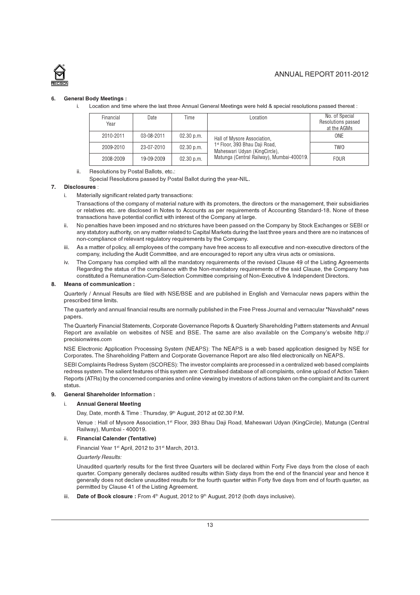

#### 6. General Body Meetings :

i. Location and time where the last three Annual General Meetings were held & special resolutions passed thereat :

| Financial<br>Year | Date       | Time       | Location                                                        | No. of Special<br>Resolutions passed<br>at the AGMs |
|-------------------|------------|------------|-----------------------------------------------------------------|-----------------------------------------------------|
| 2010-2011         | 03-08-2011 | 02.30 p.m. | Hall of Mysore Association,                                     | ONE                                                 |
| 2009-2010         | 23-07-2010 | 02.30 p.m. | 1st Floor, 393 Bhau Daji Road,<br>Maheswari Udyan (KingCircle), | <b>TWO</b>                                          |
| 2008-2009         | 19-09-2009 | 02.30 p.m. | Matunga (Central Railway), Mumbai-400019.                       | <b>FOUR</b>                                         |

- ii. Resolutions by Postal Ballots, etc.:
	- Special Resolutions passed by Postal Ballot during the year-NIL.

#### 7. Disclosures :

i. Materially significant related party transactions:

Transactions of the company of material nature with its promoters, the directors or the management, their subsidiaries or relatives etc. are disclosed in Notes to Accounts as per requirements of Accounting Standard-18. None of these transactions have potential conflict with interest of the Company at large.

- ii. No penalties have been imposed and no strictures have been passed on the Company by Stock Exchanges or SEBI or any statutory authority, on any matter related to Capital Markets during the last three years and there are no instances of non-compliance of relevant regulatory requirements by the Company.
- iii. As a matter of policy, all employees of the company have free access to all executive and non-executive directors of the company, including the Audit Committee, and are encouraged to report any ultra virus acts or omissions.
- iv. The Company has complied with all the mandatory requirements of the revised Clause 49 of the Listing Agreements Regarding the status of the compliance with the Non-mandatory requirements of the said Clause, the Company has constituted a Remuneration-Cum-Selection Committee comprising of Non-Executive & Independent Directors.

#### 8. Means of communication :

Quarterly / Annual Results are filed with NSE/BSE and are published in English and Vernacular news papers within the prescribed time limits.

The quarterly and annual financial results are normally published in the Free Press Journal and vernacular "Navshakti" news papers.

The Quarterly Financial Statements, Corporate Governance Reports & Quarterly Shareholding Pattern statements and Annual Report are available on websites of NSE and BSE. The same are also available on the Company's website http:// precisionwires.com

NSE Electronic Application Processing System (NEAPS): The NEAPS is a web based application designed by NSE for Corporates. The Shareholding Pattern and Corporate Governance Report are also filed electronically on NEAPS.

SEBI Complaints Redress System (SCORES): The investor complaints are processed in a centralized web based complaints redress system. The salient features of this system are: Centralised database of all complaints, online upload of Action Taken Reports (ATRs) by the concerned companies and online viewing by investors of actions taken on the complaint and its current status.

#### 9. General Shareholder Information :

#### i. Annual General Meeting

Day, Date, month & Time : Thursday, 9<sup>th</sup> August, 2012 at 02.30 P.M.

Venue : Hall of Mysore Association,1st Floor, 393 Bhau Daii Road, Maheswari Udyan (KingCircle), Matunga (Central Railway), Mumbai - 400019.

#### ii. Financial Calender (Tentative)

Financial Year 1<sup>st</sup> April, 2012 to 31<sup>st</sup> March, 2013.

Quarterly Results:

Unaudited quarterly results for the first three Quarters will be declared within Forty Five days from the close of each quarter. Company generally declares audited results within Sixty days from the end of the financial year and hence it generally does not declare unaudited results for the fourth quarter within Forty five days from end of fourth quarter, as permitted by Clause 41 of the Listing Agreement.

iii. **Date of Book closure :** From  $4<sup>th</sup>$  August, 2012 to  $9<sup>th</sup>$  August, 2012 (both days inclusive).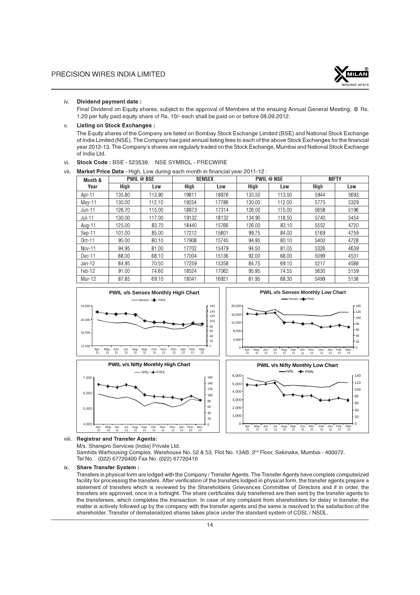

#### iv. Dividend payment date :

Final Dividend on Equity shares, subject to the approval of Members at the ensuing Annual General Meeting, @ Rs. 1.20 per fully paid equity share of Rs. 10/- each shall be paid on or before 08.09.2012.

#### v. Listing on Stock Exchanges :

The Equity shares of the Company are listed on Bombay Stock Exchange Limited (BSE) and National Stock Exchange of India Limited (NSE). The Company has paid annual listing fees to each of the above Stock Exchanges for the financial year 2012-13. The Company's shares are regularly traded on the Stock Exchange, Mumbai and National Stock Exchange of India Ltd.

vi. Stock Code : BSE - 523539, NSE SYMBOL - PRECWIRE

#### vii. Market Price Data - High, Low during each month in financial year 2011-12 :

| Month &  |        | <b>PWIL @ BSE</b> | <b>SENSEX</b> |       |        | <b>PWIL @ NSE</b> | <b>NIFTY</b> |      |  |
|----------|--------|-------------------|---------------|-------|--------|-------------------|--------------|------|--|
| Year     | High   | Low               | High          | Low   | High   | Low               | High         | Low  |  |
| Apr-11   | 135.80 | 113.90            | 19811         | 18976 | 135.50 | 113.50            | 5944         | 5693 |  |
| $May-11$ | 130.00 | 112.10            | 19254         | 17786 | 130.00 | 112.00            | 5775         | 5329 |  |
| $Jun-11$ | 126.70 | 115.00            | 18873         | 17314 | 126.00 | 115.00            | 5658         | 5196 |  |
| $Jul-11$ | 130.00 | 117.00            | 19132         | 18132 | 134.90 | 118.50            | 5740         | 5454 |  |
| Aug-11   | 125.00 | 83.70             | 18440         | 15766 | 126.00 | 83.10             | 5552         | 4720 |  |
| Sep-11   | 101.00 | 85.00             | 17212         | 15801 | 99.75  | 84.00             | 5169         | 4759 |  |
| $Oct-11$ | 95.00  | 80.10             | 17908         | 15745 | 94.95  | 80.10             | 5400         | 4728 |  |
| Nov-11   | 94.95  | 81.00             | 17702         | 15479 | 94.50  | 81.05             | 5326         | 4639 |  |
| Dec-11   | 88.00  | 68.10             | 17004         | 15136 | 92.00  | 68.00             | 5099         | 4531 |  |
| $Jan-12$ | 84.95  | 70.50             | 17259         | 15358 | 84.75  | 69.10             | 5217         | 4588 |  |
| Feb-12   | 91.00  | 74.60             | 18524         | 17062 | 95.95  | 74.55             | 5630         | 5159 |  |
| Mar-12   | 87.85  | 69.10             | 18041         | 16921 | 81.95  | 68.30             | 5499         | 5136 |  |



viii. Registrar and Transfer Agents:

M/s. Sharepro Services (India) Private Ltd.

Samhita Warhousing Complex, Warehouse No. 52 & 53, Plot No. 13AB, 2<sup>nd</sup> Floor, Sakinaka, Mumbai - 400072. Tel No. : (022) 67720400 Fax No. (022) 67720416

#### ix. Share Transfer System :

Transfers in physical form are lodged with the Company / Transfer Agents. The Transfer Agents have complete computerized facility for processing the transfers. After verification of the transfers lodged in physical form, the transfer agents prepare a statement of transfers which is reviewed by the Shareholders Grievances Committee of Directors and if in order, the transfers are approved, once in a fortnight. The share certificates duly transferred are then sent by the transfer agents to the transferees, which completes the transaction. In case of any complaint from shareholders for delay in transfer, the matter is actively followed up by the company with the transfer agents and the same is resolved to the satisfaction of the shareholder. Transfer of dematerialized shares takes place under the standard system of CDSL / NSDL.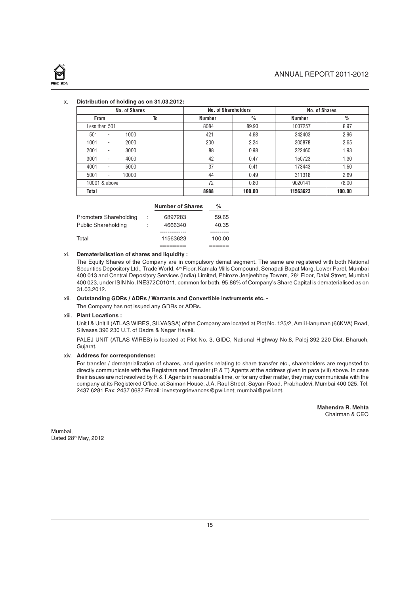

#### x. Distribution of holding as on 31.03.2012:

| No. of Shares                             |      | No. of Shareholders |               | No. of Shares |        |
|-------------------------------------------|------|---------------------|---------------|---------------|--------|
| <b>From</b>                               | To   | <b>Number</b>       | $\frac{0}{0}$ | <b>Number</b> | $\%$   |
| Less than 501                             |      | 8084                | 89.93         | 1037257       | 8.97   |
| 501<br>$\overline{\phantom{a}}$           | 1000 | 421                 | 4.68          | 342403        | 2.96   |
| 1001<br>$\overline{\phantom{a}}$          | 2000 | 200                 | 2.24          | 305878        | 2.65   |
| 2001<br>$\overline{\phantom{a}}$          | 3000 | 88                  | 0.98          | 222460        | 1.93   |
| 3001<br>$\overline{\phantom{a}}$          | 4000 | 42                  | 0.47          | 150723        | 1.30   |
| 4001<br>$\overline{\phantom{a}}$          | 5000 | 37                  | 0.41          | 173443        | 1.50   |
| 5001<br>10000<br>$\overline{\phantom{a}}$ |      | 44                  | 0.49          | 311318        | 2.69   |
| 10001 & above                             |      | 72                  | 0.80          | 9020141       | 78.00  |
| Total                                     |      | 8988                | 100.00        | 11563623      | 100.00 |

|                        | <b>Number of Shares</b> | ℅      |
|------------------------|-------------------------|--------|
| Promoters Shareholding | 6897283                 | 59.65  |
| Public Shareholding    | 4666340                 | 40.35  |
|                        |                         |        |
| Total                  | 11563623                | 100.00 |
|                        |                         |        |

#### xi. Dematerialisation of shares and liquidity :

The Equity Shares of the Company are in compulsory demat segment. The same are registered with both National Securities Depository Ltd., Trade World, 4<sup>th</sup> Floor, Kamala Mills Compound, Senapati Bapat Marg, Lower Parel, Mumbai 400 013 and Central Depository Services (India) Limited, Phiroze Jeejeebhoy Towers, 28<sup>th</sup> Floor, Dalal Street, Mumbai 400 023, under ISIN No. INE372C01011, common for both. 95.86% of Company's Share Capital is dematerialised as on 31.03.2012.

# xii. Outstanding GDRs / ADRs / Warrants and Convertible instruments etc. -

The Company has not issued any GDRs or ADRs.

#### xiii. Plant Locations :

Unit I & Unit II (ATLAS WIRES, SILVASSA) of the Company are located at Plot No. 125/2, Amli Hanuman (66KVA) Road, Silvassa 396 230 U.T. of Dadra & Nagar Haveli.

PALEJ UNIT (ATLAS WIRES) is located at Plot No. 3, GIDC, National Highway No.8, Palej 392 220 Dist. Bharuch, Gujarat.

#### xiv. Address for correspondence:

For transfer / dematerialization of shares, and queries relating to share transfer etc., shareholders are requested to directly communicate with the Registrars and Transfer (R & T) Agents at the address given in para (viii) above. In case their issues are not resolved by R & T Agents in reasonable time, or for any other matter, they may communicate with the company at its Registered Office, at Saiman House, J.A. Raul Street, Sayani Road, Prabhadevi, Mumbai 400 025. Tel: 2437 6281 Fax: 2437 0687 Email: investorgrievances@pwil.net; mumbai@pwil.net.

> Mahendra R. Mehta Chairman & CEO

Mumbai, Dated 28th May, 2012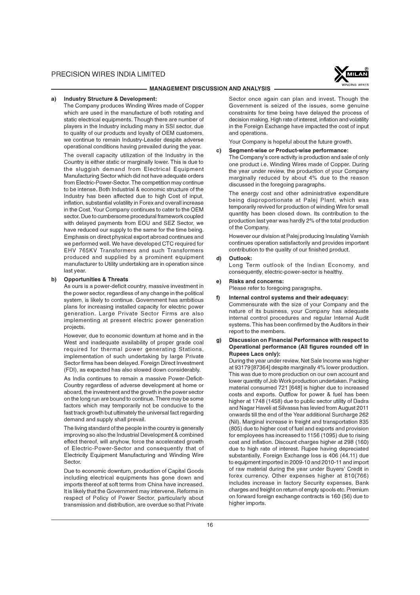

#### - MANAGEMENT DISCUSSION AND ANALYSIS ·

#### a) Industry Structure & Development:

The Company produces Winding Wires made of Copper which are used in the manufacture of both rotating and static electrical equipments. Though there are number of players in the Industry including many in SSI sector, due to quality of our products and loyalty of OEM customers, we continue to remain Industry-Leader despite adverse operational conditions having prevailed during the year.

The overall capacity utilization of the Industry in the Country is either static or marginally lower. This is due to the sluggish demand from Electrical Equipment Manufacturing Sector which did not have adequate orders from Electric-Power-Sector. The competition may continue to be intense. Both Industrial & economic structure of the Industry has been affected due to high Cost of input, inflation, substantial volatility in Forex and overall increase in the Cost. Your Company continues to cater to the OEM sector. Due to cumbersome procedural framework coupled with delayed payments from EOU and SEZ Sector, we have reduced our supply to the same for the time being. Emphasis on direct physical export abroad continues and we performed well. We have developed CTC required for EHV 765KV Transformers and such Transformers produced and supplied by a prominent equipment manufacturer to Utility undertaking are in operation since last year.

#### b) Opportunities & Threats

As ours is a power-deficit country, massive investment in the power sector, regardless of any change in the political system, is likely to continue. Government has ambitious plans for increasing installed capacity for electric power generation. Large Private Sector Firms are also implementing at present electric power generation projects.

However, due to economic downturn at home and in the West and inadequate availability of proper grade coal required for thermal power generating Stations, implementation of such undertaking by large Private Sector firms has been delayed. Foreign Direct Investment (FDI), as expected has also slowed down considerably.

As India continues to remain a massive Power-Deficit-Country regardless of adverse development at home or aboard, the investment and the growth in the power sector on the long run are bound to continue. There may be some factors which may temporarily not be conducive to the fast track growth but ultimately the universal fact regarding demand and supply shall prevail.

The living standard of the people in the country is generally improving so also the Industrial Development & combined effect thereof, will anyhow, force the accelerated growth of Electric-Power-Sector and consequently that of Electricity Equipment Manufacturing and Winding Wire **Sector** 

Due to economic downturn, production of Capital Goods including electrical equipments has gone down and imports thereof at soft terms from China have increased. It is likely that the Government may intervene. Reforms in respect of Policy of Power Sector, particularly about transmission and distribution, are overdue so that Private

Sector once again can plan and invest. Though the Government is seized of the issues, some genuine constraints for time being have delayed the process of decision making. High rate of interest, inflation and volatility in the Foreign Exchange have impacted the cost of input and operations.

Your Company is hopeful about the future growth.

#### c) Segment-wise or Product-wise performance:

The Company's core activity is production and sale of only one product i.e. Winding Wires made of Copper. During the year under review, the production of your Company marginally reduced by about 4% due to the reason discussed in the foregoing paragraphs.

The energy cost and other administrative expenditure being disproportionate at Palej Plant, which was temporarily revived for production of winding Wire for small quantity has been closed down. Its contribution to the production last year was hardly 2% of the total production of the Company.

However our division at Palej producing Insulating Varnish continues operation satisfactorily and provides important contribution to the quality of our finished product.

#### d) Outlook:

Long Term outlook of the Indian Economy, and consequently, electric-power-sector is healthy.

#### e) Risks and concerns:

Please refer to foregoing paragraphs.

f) Internal control systems and their adequacy:

Commensurate with the size of your Company and the nature of its business, your Company has adequate internal control procedures and regular Internal Audit systems. This has been confirmed by the Auditors in their report to the members.

#### g) Discussion on Financial Performance with respect to Operational performance (All figures rounded off in Rupees Lacs only):

During the year under review, Net Sale Income was higher at 93179 [87364] despite marginally 4% lower production. This was due to more production on our own account and lower quantity of Job Work production undertaken. Packing material consumed 721 [648] is higher due to increased costs and exports. Outflow for power & fuel has been higher at 1748 (1458) due to public sector utility of Dadra and Nagar Haveli at Silvassa has levied from August 2011 onwards till the end of the Year additional Surcharge 262 (Nil). Marginal increase in freight and transportation 835 (805) due to higher cost of fuel and exports and provision for employees has increased to 1156 (1095) due to rising cost and inflation. Discount charges higher at 298 (160) due to high rate of interest. Rupee having depreciated substantially, Foreign Exchange loss is 406 (44.11) due to equipment imported in 2009-10 and 2010-11 and import of raw material during the year under Buyers' Credit in forex currency. Other expenses higher at 810(766) includes increase in factory Security expenses, Bank charges and freight on return of empty spools etc. Premium on forward foreign exchange contracts is 160 (56) due to higher imports.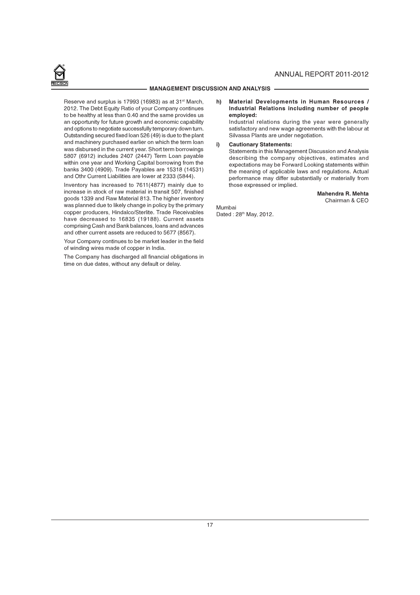

# ANNUAL REPORT 2011-2012

#### MANAGEMENT DISCUSSION AND ANALYSIS.

Reserve and surplus is 17993 (16983) as at 31<sup>st</sup> March, 2012. The Debt Equity Ratio of your Company continues to be healthy at less than 0.40 and the same provides us an opportunity for future growth and economic capability and options to negotiate successfully temporary down turn. Outstanding secured fixed loan 526 (49) is due to the plant and machinery purchased earlier on which the term loan was disbursed in the current year. Short term borrowings 5807 (6912) includes 2407 (2447) Term Loan payable within one year and Working Capital borrowing from the banks 3400 (4909). Trade Payables are 15318 (14531) and Othr Current Liabilities are lower at 2333 (5844).

Inventory has increased to 7611(4877) mainly due to increase in stock of raw material in transit 507, finished goods 1339 and Raw Material 813. The higher inventory was planned due to likely change in policy by the primary copper producers, Hindalco/Sterlite. Trade Receivables have decreased to 16835 (19188). Current assets comprising Cash and Bank balances, loans and advances and other current assets are reduced to 5677 (8567).

Your Company continues to be market leader in the field of winding wires made of copper in India.

The Company has discharged all financial obligations in time on due dates, without any default or delay.

#### h) Material Developments in Human Resources / Industrial Relations including number of people employed:

Industrial relations during the year were generally satisfactory and new wage agreements with the labour at Silvassa Plants are under negotiation.

#### i) Cautionary Statements:

Statements in this Management Discussion and Analysis describing the company objectives, estimates and expectations may be Forward Looking statements within the meaning of applicable laws and regulations. Actual performance may differ substantially or materially from those expressed or implied.

> Mahendra R. Mehta Chairman & CEO

Mumbai Dated: 28<sup>th</sup> May, 2012.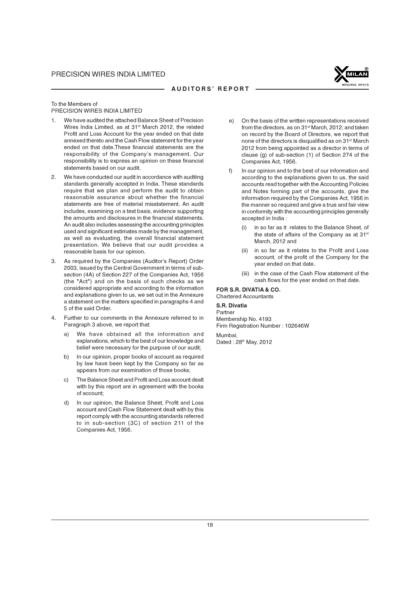

#### AUDITORS' REPORT

To the Members of PRECISION WIRES INDIA LIMITED

- 1. We have audited the attached Balance Sheet of Precision Wires India Limited, as at 31<sup>st</sup> March 2012, the related Profit and Loss Account for the year ended on that date annexed thereto and the Cash Flow statement for the year ended on that date.These financial statements are the responsibility of the Company's management. Our responsibility is to express an opinion on these financial statements based on our audit.
- 2. We have conducted our audit in accordance with auditing standards generally accepted in India. These standards require that we plan and perform the audit to obtain reasonable assurance about whether the financial statements are free of material misstatement. An audit includes, examining on a test basis, evidence supporting the amounts and disclosures in the financial statements. An audit also includes assessing the accounting principles used and significant estimates made by the management, as well as evaluating, the overall financial statement presentation. We believe that our audit provides a reasonable basis for our opinion.
- 3. As required by the Companies (Auditor's Report) Order 2003, issued by the Central Government in terms of subsection (4A) of Section 227 of the Companies Act, 1956 (the "Act") and on the basis of such checks as we considered appropriate and according to the information and explanations given to us, we set out in the Annexure a statement on the matters specified in paragraphs 4 and 5 of the said Order.
- 4. Further to our comments in the Annexure referred to in Paragraph 3 above, we report that:
	- a) We have obtained all the information and explanations, which to the best of our knowledge and belief were necessary for the purpose of our audit;
	- b) In our opinion, proper books of account as required by law have been kept by the Company so far as appears from our examination of those books;
	- c) The Balance Sheet and Profit and Loss account dealt with by this report are in agreement with the books of account;
	- d) In our opinion, the Balance Sheet, Profit and Loss account and Cash Flow Statement dealt with by this report comply with the accounting standards referred to in sub-section (3C) of section 211 of the Companies Act, 1956.
- On the basis of the written representations received from the directors, as on 31<sup>st</sup> March, 2012, and taken on record by the Board of Directors, we report that none of the directors is disqualified as on 31<sup>st</sup> March 2012 from being appointed as a director in terms of clause (g) of sub-section (1) of Section 274 of the Companies Act, 1956.
- f) In our opinion and to the best of our information and according to the explanations given to us, the said accounts read together with the Accounting Policies and Notes forming part of the accounts, give the information required by the Companies Act, 1956 in the manner so required and give a true and fair view in conformity with the accounting principles generally accepted in India :
	- in so far as it relates to the Balance Sheet, of the state of affairs of the Company as at 31<sup>st</sup> March, 2012 and
	- (ii) in so far as it relates to the Profit and Loss account, of the profit of the Company for the year ended on that date.
	- (iii) in the case of the Cash Flow statement of the cash flows for the year ended on that date.

FOR S.R. DIVATIA & CO. Chartered Accountants

#### S.R. Divatia

Partner Membership No. 4193 Firm Registration Number : 102646W Mumbai,

Dated : 28<sup>th</sup> May, 2012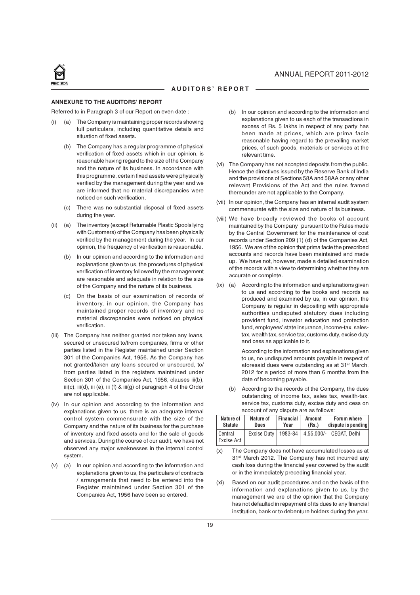

#### ANNEXURE TO THE AUDITORS' REPORT

Referred to in Paragraph 3 of our Report on even date :

- (i) (a) The Company is maintaining proper records showing full particulars, including quantitative details and situation of fixed assets.
	- (b) The Company has a regular programme of physical verification of fixed assets which in our opinion, is reasonable having regard to the size of the Company and the nature of its business. In accordance with this programme, certain fixed assets were physically verified by the management during the year and we are informed that no material discrepancies were noticed on such verification.
	- (c) There was no substantial disposal of fixed assets during the year.
- (ii) (a) The inventory (except Returnable Plastic Spools lying with Customers) of the Company has been physically verified by the management during the year. In our opinion, the frequency of verification is reasonable.
	- (b) In our opinion and according to the information and explanations given to us, the procedures of physical verification of inventory followed by the management are reasonable and adequate in relation to the size of the Company and the nature of its business.
	- (c) On the basis of our examination of records of inventory, in our opinion, the Company has maintained proper records of inventory and no material discrepancies were noticed on physical verification.
- (iii) The Company has neither granted nor taken any loans, secured or unsecured to/from companies, firms or other parties listed in the Register maintained under Section 301 of the Companies Act, 1956. As the Company has not granted/taken any loans secured or unsecured, to/ from parties listed in the registers maintained under Section 301 of the Companies Act, 1956, clauses iii(b), iii(c), iii(d), iii (e), iii (f) & iii(g) of paragraph 4 of the Order are not applicable.
- (iv) In our opinion and according to the information and explanations given to us, there is an adequate internal control system commensurate with the size of the Company and the nature of its business for the purchase of inventory and fixed assets and for the sale of goods and services. During the course of our audit, we have not observed any major weaknesses in the internal control system.
- (v) (a) In our opinion and according to the information and explanations given to us, the particulars of contracts / arrangements that need to be entered into the Register maintained under Section 301 of the Companies Act, 1956 have been so entered.
- (b) In our opinion and according to the information and explanations given to us each of the transactions in excess of Rs. 5 lakhs in respect of any party has been made at prices, which are prima facie reasonable having regard to the prevailing market prices, of such goods, materials or services at the relevant time.
- (vi) The Company has not accepted deposits from the public. Hence the directives issued by the Reserve Bank of India and the provisions of Sections 58A and 58AA or any other relevant Provisions of the Act and the rules framed thereunder are not applicable to the Company.
- (vii) In our opinion, the Company has an internal audit system commensurate with the size and nature of its business.
- (viii) We have broadly reviewed the books of account maintained by the Company pursuant to the Rules made by the Central Government for the maintenance of cost records under Section 209 (1) (d) of the Companies Act, 1956. We are of the opinion that prima facie the prescribed accounts and records have been maintained and made up. We have not, however, made a detailed examination of the records with a view to determining whether they are accurate or complete.
- (ix) (a) According to the information and explanations given to us and according to the books and records as produced and examined by us, in our opinion, the Company is regular in depositing with appropriate authorities undisputed statutory dues including provident fund, investor education and protection fund, employees' state insurance, income-tax, salestax, wealth tax, service tax, customs duty, excise duty and cess as applicable to it.

According to the information and explanations given to us, no undisputed amounts payable in respect of aforesaid dues were outstanding as at 31<sup>st</sup> March, 2012 for a period of more than 6 months from the date of becoming payable.

(b) According to the records of the Company, the dues outstanding of income tax, sales tax, wealth-tax, service tax, customs duty, excise duty and cess on account of any dispute are as follows:

| Nature of             | Nature of | Financial | Amount | <b>Forum where</b>                               |
|-----------------------|-----------|-----------|--------|--------------------------------------------------|
| <b>Statute</b>        | Dues      | Year      | (Rs.)  | $\vert$ dispute is pending $\vert$               |
| Central<br>Excise Act |           |           |        | Excise Duty   1983-84   4,55,000/-  CEGAT, Delhi |

- (x) The Company does not have accumulated losses as at 31<sup>st</sup> March 2012. The Company has not incurred any cash loss during the financial year covered by the audit or in the immediately preceding financial year.
- (xi) Based on our audit procedures and on the basis of the information and explanations given to us, by the management we are of the opinion that the Company has not defaulted in repayment of its dues to any financial institution, bank or to debenture holders during the year.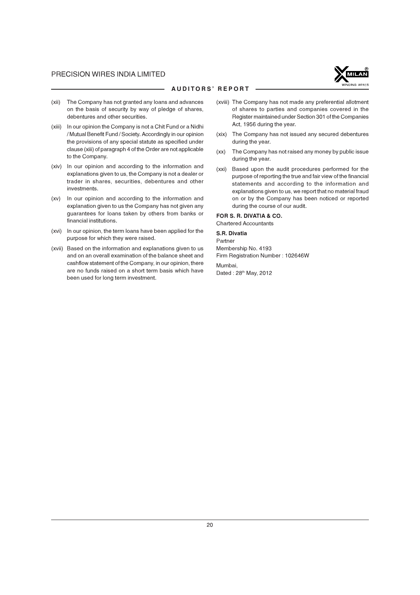

#### AUDITORS' REPORT

- (xii) The Company has not granted any loans and advances on the basis of security by way of pledge of shares, debentures and other securities.
- (xiii) In our opinion the Company is not a Chit Fund or a Nidhi / Mutual Benefit Fund / Society. Accordingly in our opinion the provisions of any special statute as specified under clause (xiii) of paragraph 4 of the Order are not applicable to the Company.
- (xiv) In our opinion and according to the information and explanations given to us, the Company is not a dealer or trader in shares, securities, debentures and other investments.
- (xv) In our opinion and according to the information and explanation given to us the Company has not given any guarantees for loans taken by others from banks or financial institutions.
- (xvi) In our opinion, the term loans have been applied for the purpose for which they were raised.
- (xvii) Based on the information and explanations given to us and on an overall examination of the balance sheet and cashflow statement of the Company, in our opinion, there are no funds raised on a short term basis which have been used for long term investment.
- (xviii) The Company has not made any preferential allotment of shares to parties and companies covered in the Register maintained under Section 301 of the Companies Act, 1956 during the year.
- (xix) The Company has not issued any secured debentures during the year.
- (xx) The Company has not raised any money by public issue during the year.
- (xxi) Based upon the audit procedures performed for the purpose of reporting the true and fair view of the financial statements and according to the information and explanations given to us, we report that no material fraud on or by the Company has been noticed or reported during the course of our audit.

# FOR S. R. DIVATIA & CO.

Chartered Accountants

# S.R. Divatia

Partner Membership No. 4193 Firm Registration Number : 102646W

Mumbai, Dated : 28<sup>th</sup> May, 2012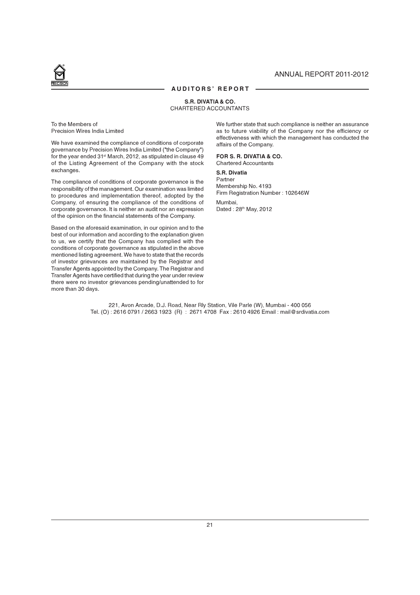## ANNUAL REPORT 2011-2012

#### AUDITORS' REPORT

#### S.R. DIVATIA & CO. CHARTERED ACCOUNTANTS

To the Members of Precision Wires India Limited

We have examined the compliance of conditions of corporate governance by Precision Wires India Limited ("the Company") for the year ended 31<sup>st</sup> March, 2012, as stipulated in clause 49 of the Listing Agreement of the Company with the stock exchanges.

The compliance of conditions of corporate governance is the responsibility of the management. Our examination was limited to procedures and implementation thereof, adopted by the Company, of ensuring the compliance of the conditions of corporate governance. It is neither an audit nor an expression of the opinion on the financial statements of the Company.

Based on the aforesaid examination, in our opinion and to the best of our information and according to the explanation given to us, we certify that the Company has complied with the conditions of corporate governance as stipulated in the above mentioned listing agreement. We have to state that the records of investor grievances are maintained by the Registrar and Transfer Agents appointed by the Company. The Registrar and Transfer Agents have certified that during the year under review there were no investor grievances pending/unattended to for more than 30 days.

We further state that such compliance is neither an assurance as to future viability of the Company nor the efficiency or effectiveness with which the management has conducted the affairs of the Company.

#### FOR S. R. DIVATIA & CO.

Chartered Accountants

#### S.R. Divatia

Partner Membership No. 4193 Firm Registration Number : 102646W Mumbai,

Dated: 28th May, 2012

221, Avon Arcade, D.J. Road, Near Rly Station, Vile Parle (W), Mumbai - 400 056 Tel. (O) : 2616 0791 / 2663 1923 (R) : 2671 4708 Fax : 2610 4926 Email : mail@srdivatia.com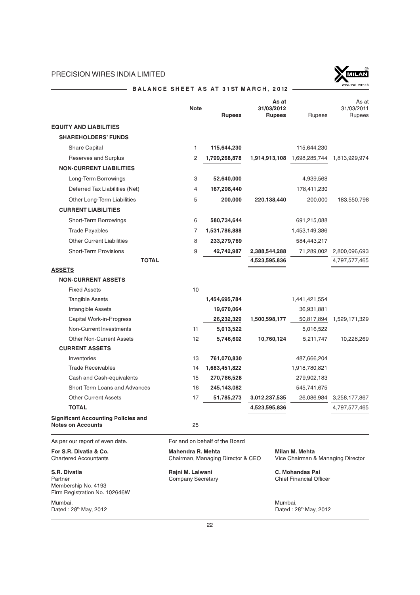

# BALANCE SHEET AS AT 31ST MARCH, 2012 --

|                                                                                 | Note                                                   | <b>Rupees</b>                  | As at<br>31/03/2012<br><b>Rupees</b> | Rupees                                              | As at<br>31/03/2011<br>Rupees |
|---------------------------------------------------------------------------------|--------------------------------------------------------|--------------------------------|--------------------------------------|-----------------------------------------------------|-------------------------------|
| <b>EQUITY AND LIABILITIES</b>                                                   |                                                        |                                |                                      |                                                     |                               |
| <b>SHAREHOLDERS' FUNDS</b>                                                      |                                                        |                                |                                      |                                                     |                               |
| Share Capital                                                                   | 1                                                      | 115,644,230                    |                                      | 115,644,230                                         |                               |
| Reserves and Surplus                                                            | 2                                                      | 1,799,268,878                  | 1,914,913,108                        | 1,698,285,744                                       | 1,813,929,974                 |
| <b>NON-CURRENT LIABILITIES</b>                                                  |                                                        |                                |                                      |                                                     |                               |
| Long-Term Borrowings                                                            | 3                                                      | 52,640,000                     |                                      | 4,939,568                                           |                               |
| Deferred Tax Liabilities (Net)                                                  | 4                                                      | 167,298,440                    |                                      | 178,411,230                                         |                               |
| Other Long-Term Liabilities                                                     | 5                                                      | 200,000                        | 220,138,440                          | 200,000                                             | 183,550,798                   |
| <b>CURRENT LIABILITIES</b>                                                      |                                                        |                                |                                      |                                                     |                               |
| Short-Term Borrowings                                                           | 6                                                      | 580,734,644                    |                                      | 691,215,088                                         |                               |
| <b>Trade Payables</b>                                                           | 7                                                      | 1,531,786,888                  |                                      | 1,453,149,386                                       |                               |
| <b>Other Current Liabilities</b>                                                | 8                                                      | 233,279,769                    |                                      | 584,443,217                                         |                               |
| <b>Short-Term Provisions</b>                                                    | 9                                                      | 42,742,987                     | 2,388,544,288                        | 71,289,002                                          | 2,800,096,693                 |
| <b>TOTAL</b>                                                                    |                                                        |                                | 4,523,595,836                        |                                                     | 4,797,577,465                 |
| <b>ASSETS</b>                                                                   |                                                        |                                |                                      |                                                     |                               |
| <b>NON-CURRENT ASSETS</b>                                                       |                                                        |                                |                                      |                                                     |                               |
| <b>Fixed Assets</b>                                                             | 10                                                     |                                |                                      |                                                     |                               |
| <b>Tangible Assets</b>                                                          |                                                        | 1,454,695,784                  |                                      | 1,441,421,554                                       |                               |
| Intangible Assets                                                               |                                                        | 19,670,064                     |                                      | 36,931,881                                          |                               |
| Capital Work-in-Progress                                                        |                                                        | 26,232,329                     | 1,500,598,177                        | 50,817,894                                          | 1,529,171,329                 |
| Non-Current Investments                                                         | 11                                                     | 5,013,522                      |                                      | 5,016,522                                           |                               |
| <b>Other Non-Current Assets</b>                                                 | 12                                                     | 5,746,602                      | 10,760,124                           | 5,211,747                                           | 10,228,269                    |
| <b>CURRENT ASSETS</b>                                                           |                                                        |                                |                                      |                                                     |                               |
| Inventories                                                                     | 13                                                     | 761,070,830                    |                                      | 487,666,204                                         |                               |
| <b>Trade Receivables</b>                                                        | 14                                                     | 1,683,451,822                  |                                      | 1,918,780,821                                       |                               |
| Cash and Cash-equivalents                                                       | 15                                                     | 270,786,528                    |                                      | 279,902,183                                         |                               |
| Short Term Loans and Advances                                                   | 16                                                     | 245,143,082                    |                                      | 545,741,675                                         |                               |
| <b>Other Current Assets</b>                                                     | 17                                                     | 51,785,273                     | 3,012,237,535                        | 26,086,984                                          | 3,258,177,867                 |
| <b>TOTAL</b>                                                                    |                                                        |                                | 4,523,595,836                        |                                                     | 4,797,577,465                 |
| <b>Significant Accounting Policies and</b><br><b>Notes on Accounts</b>          | 25                                                     |                                |                                      |                                                     |                               |
| As per our report of even date.                                                 |                                                        | For and on behalf of the Board |                                      |                                                     |                               |
| For S.R. Divatia & Co.<br><b>Chartered Accountants</b>                          | Mahendra R. Mehta<br>Chairman, Managing Director & CEO |                                |                                      | Milan M. Mehta<br>Vice Chairman & Managing Director |                               |
| S.R. Divatia<br>Partner<br>Membership No. 4193<br>Firm Registration No. 102646W | Rajni M. Lalwani<br><b>Company Secretary</b>           |                                |                                      | C. Mohandas Pai<br><b>Chief Financial Officer</b>   |                               |
| Mumbai,<br>Dated: 28th May, 2012                                                |                                                        |                                | Mumbai,                              | Dated: 28 <sup>th</sup> May, 2012                   |                               |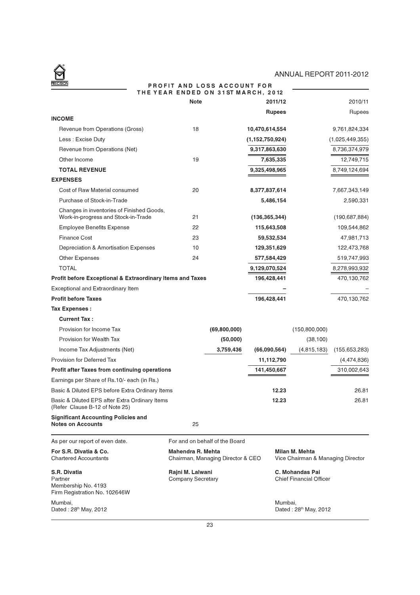# ANNUAL REPORT 2011-2012

<u>in</u>

 $\bigotimes$ 

#### PROFIT AND LOSS ACCOUNT FOR THE YEAR ENDED ON 31ST MARCH, 2012

|                                                                                  | <b>Note</b>                                                                                                   |                                | 2011/12            |                                                          | 2010/11         |
|----------------------------------------------------------------------------------|---------------------------------------------------------------------------------------------------------------|--------------------------------|--------------------|----------------------------------------------------------|-----------------|
| <b>INCOME</b>                                                                    |                                                                                                               |                                | <b>Rupees</b>      |                                                          | Rupees          |
| Revenue from Operations (Gross)                                                  | 18                                                                                                            |                                | 10,470,614,554     |                                                          | 9,761,824,334   |
| Less: Excise Duty                                                                |                                                                                                               |                                | (1, 152, 750, 924) |                                                          | (1,025,449,355) |
| Revenue from Operations (Net)                                                    |                                                                                                               |                                | 9,317,863,630      |                                                          | 8,736,374,979   |
| Other Income                                                                     | 19                                                                                                            |                                | 7,635,335          |                                                          | 12,749,715      |
| <b>TOTAL REVENUE</b>                                                             |                                                                                                               |                                | 9,325,498,965      |                                                          | 8,749,124,694   |
| <b>EXPENSES</b>                                                                  |                                                                                                               |                                |                    |                                                          |                 |
| Cost of Raw Material consumed                                                    | 20                                                                                                            |                                | 8,377,837,614      |                                                          | 7,667,343,149   |
| Purchase of Stock-in-Trade                                                       |                                                                                                               |                                | 5,486,154          |                                                          | 2,590,331       |
| Changes in inventories of Finished Goods,<br>Work-in-progress and Stock-in-Trade | 21                                                                                                            |                                | (136, 365, 344)    |                                                          | (190, 687, 884) |
| <b>Employee Benefits Expense</b>                                                 | 22                                                                                                            |                                | 115,643,508        |                                                          | 109,544,862     |
| <b>Finance Cost</b>                                                              | 23                                                                                                            |                                | 59,532,534         |                                                          | 47,981,713      |
| Depreciation & Amortisation Expenses                                             | 10                                                                                                            |                                | 129,351,629        |                                                          | 122,473,768     |
| <b>Other Expenses</b>                                                            | 24                                                                                                            |                                | 577,584,429        |                                                          | 519,747,993     |
| <b>TOTAL</b>                                                                     |                                                                                                               |                                | 9,129,070,524      |                                                          | 8,278,993,932   |
| Profit before Exceptional & Extraordinary Items and Taxes                        |                                                                                                               |                                | 196,428,441        |                                                          | 470,130,762     |
| Exceptional and Extraordinary Item                                               |                                                                                                               |                                |                    |                                                          |                 |
| <b>Profit before Taxes</b>                                                       |                                                                                                               |                                | 196,428,441        |                                                          | 470,130,762     |
| <b>Tax Expenses:</b>                                                             |                                                                                                               |                                |                    |                                                          |                 |
| <b>Current Tax:</b>                                                              |                                                                                                               |                                |                    |                                                          |                 |
| Provision for Income Tax                                                         |                                                                                                               | (69,800,000)                   |                    | (150, 800, 000)                                          |                 |
| Provision for Wealth Tax                                                         |                                                                                                               | (50,000)                       |                    | (38, 100)                                                |                 |
| Income Tax Adjustments (Net)                                                     |                                                                                                               | 3,759,436                      | (66,090,564)       | (4,815,183)                                              | (155, 653, 283) |
| Provision for Deferred Tax                                                       |                                                                                                               |                                | 11,112,790         |                                                          | (4,474,836)     |
| <b>Profit after Taxes from continuing operations</b>                             |                                                                                                               |                                | 141,450,667        |                                                          | 310,002,643     |
| Earnings per Share of Rs.10/- each (in Rs.)                                      |                                                                                                               |                                |                    |                                                          |                 |
| Basic & Diluted EPS before Extra Ordinary Items                                  |                                                                                                               |                                | 12.23              |                                                          | 26.81           |
| Basic & Diluted EPS after Extra Ordinary Items<br>(Refer Clause B-12 of Note 25) |                                                                                                               |                                | 12.23              |                                                          | 26.81           |
| <b>Significant Accounting Policies and</b><br><b>Notes on Accounts</b>           | 25                                                                                                            |                                |                    |                                                          |                 |
| As per our report of even date.                                                  |                                                                                                               | For and on behalf of the Board |                    |                                                          |                 |
| For S.R. Divatia & Co.<br><b>Chartered Accountants</b>                           | Mahendra R. Mehta<br>Milan M. Mehta<br>Vice Chairman & Managing Director<br>Chairman, Managing Director & CEO |                                |                    |                                                          |                 |
| S.R. Divatia<br>Partner<br>Membership No. 4193<br>Firm Registration No. 102646W  | Rajni M. Lalwani<br><b>Company Secretary</b>                                                                  |                                |                    | <b>C. Mohandas Pai</b><br><b>Chief Financial Officer</b> |                 |
| Mumbai,<br>Dated: 28th May, 2012                                                 |                                                                                                               |                                | Mumbai,            | Dated: 28 <sup>th</sup> May, 2012                        |                 |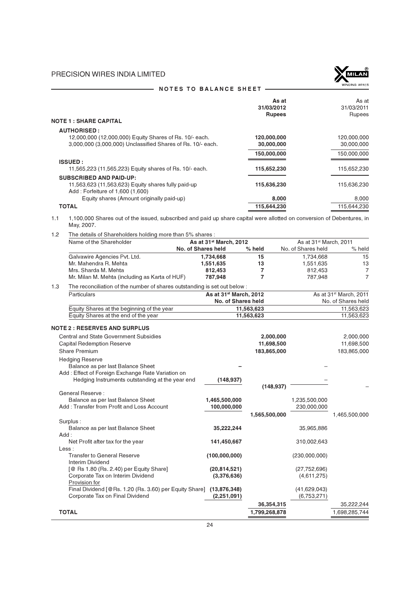

|                                                             | As at<br>31/03/2012<br><b>Rupees</b> | As at<br>31/03/2011<br><b>Rupees</b> |
|-------------------------------------------------------------|--------------------------------------|--------------------------------------|
| <b>NOTE 1 : SHARE CAPITAL</b>                               |                                      |                                      |
| <b>AUTHORISED:</b>                                          |                                      |                                      |
| 12,000,000 (12,000,000) Equity Shares of Rs. 10/- each.     | 120,000,000                          | 120,000,000                          |
| 3,000,000 (3,000,000) Unclassified Shares of Rs. 10/- each. | 30,000,000                           | 30,000,000                           |
|                                                             | 150,000,000                          | 150,000,000                          |
| <b>ISSUED:</b>                                              |                                      |                                      |
| 11,565,223 (11,565,223) Equity shares of Rs. 10/- each.     | 115,652,230                          | 115,652,230                          |
| <b>SUBSCRIBED AND PAID-UP:</b>                              |                                      |                                      |
| 11,563,623 (11,563,623) Equity shares fully paid-up         | 115,636,230                          | 115,636,230                          |
| Add: Forfeiture of 1,600 (1,600)                            |                                      |                                      |
| Equity shares (Amount originally paid-up)                   | 8,000                                | 8,000                                |
| <b>TOTAL</b>                                                | 115,644,230                          | 115,644,230                          |
|                                                             |                                      |                                      |

## NOTES TO BALANCE SHEET -

1.1 1,100,000 Shares out of the issued, subscribed and paid up share capital were allotted on conversion of Debentures, in May, 2007.

| 1.2 | The details of Shareholders holding more than 5% shares :                 |                                    |               |                                    |                                    |
|-----|---------------------------------------------------------------------------|------------------------------------|---------------|------------------------------------|------------------------------------|
|     | Name of the Shareholder                                                   | As at 31 <sup>st</sup> March, 2012 |               | As at 31 <sup>st</sup> March, 2011 |                                    |
|     |                                                                           | No. of Shares held                 | % held        | No. of Shares held                 | % held                             |
|     | Galvawire Agencies Pvt. Ltd.                                              | 1,734,668                          | 15            | 1,734,668                          | 15                                 |
|     | Mr. Mahendra R. Mehta                                                     | 1,551,635                          | 13            | 1,551,635                          | 13                                 |
|     | Mrs. Sharda M. Mehta                                                      | 812,453                            | 7             | 812,453                            | $\overline{7}$                     |
|     | Mr. Milan M. Mehta (including as Karta of HUF)                            | 787,948                            | 7             | 787,948                            | $\overline{7}$                     |
| 1.3 | The reconciliation of the number of shares outstanding is set out below : |                                    |               |                                    |                                    |
|     | Particulars                                                               | As at 31st March, 2012             |               |                                    | As at 31 <sup>st</sup> March, 2011 |
|     |                                                                           | No. of Shares held                 |               |                                    | No. of Shares held                 |
|     | Equity Shares at the beginning of the year                                |                                    | 11,563,623    |                                    | 11,563,623                         |
|     | Equity Shares at the end of the year                                      |                                    | 11,563,623    |                                    | 11,563,623                         |
|     | <b>NOTE 2 : RESERVES AND SURPLUS</b>                                      |                                    |               |                                    |                                    |
|     | <b>Central and State Government Subsidies</b>                             |                                    | 2,000,000     |                                    | 2,000,000                          |
|     | <b>Capital Redemption Reserve</b>                                         |                                    | 11,698,500    |                                    | 11,698,500                         |
|     | <b>Share Premium</b>                                                      |                                    | 183,865,000   |                                    | 183,865,000                        |
|     | <b>Hedging Reserve</b>                                                    |                                    |               |                                    |                                    |
|     | Balance as per last Balance Sheet                                         |                                    |               |                                    |                                    |
|     | Add: Effect of Foreign Exchange Rate Variation on                         |                                    |               |                                    |                                    |
|     | Hedging Instruments outstanding at the year end                           | (148, 937)                         |               |                                    |                                    |
|     |                                                                           |                                    | (148, 937)    |                                    |                                    |
|     | <b>General Reserve:</b>                                                   |                                    |               |                                    |                                    |
|     | Balance as per last Balance Sheet                                         | 1,465,500,000                      |               | 1,235,500,000                      |                                    |
|     | Add: Transfer from Profit and Loss Account                                | 100,000,000                        |               | 230,000,000                        |                                    |
|     |                                                                           |                                    | 1,565,500,000 |                                    | 1,465,500,000                      |
|     | Surplus:                                                                  |                                    |               |                                    |                                    |
|     | Balance as per last Balance Sheet                                         | 35,222,244                         |               | 35,965,886                         |                                    |
|     | Add:                                                                      |                                    |               |                                    |                                    |
|     | Net Profit after tax for the year<br>$\textsf{Less}:$                     | 141,450,667                        |               | 310,002,643                        |                                    |
|     | <b>Transfer to General Reserve</b>                                        | (100,000,000)                      |               | (230,000,000)                      |                                    |
|     | Interim Dividend                                                          |                                    |               |                                    |                                    |
|     | [@ Rs 1.80 (Rs. 2.40) per Equity Share]                                   | (20, 814, 521)                     |               | (27, 752, 696)                     |                                    |
|     | Corporate Tax on Interim Dividend                                         | (3,376,636)                        |               | (4,611,275)                        |                                    |
|     | Provision for                                                             |                                    |               |                                    |                                    |
|     | Final Dividend [@Rs. 1.20 (Rs. 3.60) per Equity Share] (13,876,348)       |                                    |               | (41,629,043)                       |                                    |
|     | Corporate Tax on Final Dividend                                           | (2,251,091)                        |               | (6,753,271)                        |                                    |
|     |                                                                           |                                    | 36,354,315    |                                    | 35,222,244                         |
|     | <b>TOTAL</b>                                                              |                                    | 1,799,268,878 |                                    | 1,698,285,744                      |
|     |                                                                           |                                    |               |                                    |                                    |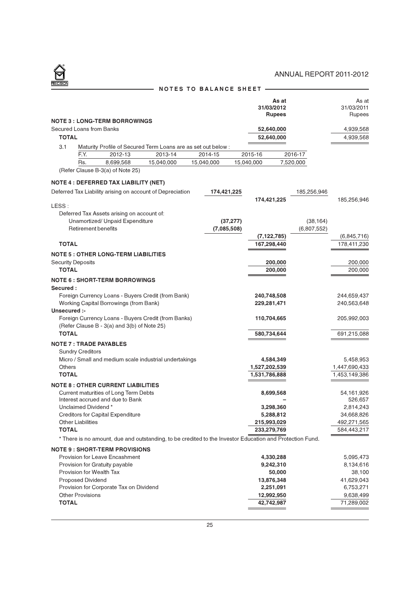|                        |                               |                                                                               |            |                                                                                                          |           | 31/03/2012<br><b>Rupees</b> | As at     |             | As at<br>31/03/2011<br>Rupees |
|------------------------|-------------------------------|-------------------------------------------------------------------------------|------------|----------------------------------------------------------------------------------------------------------|-----------|-----------------------------|-----------|-------------|-------------------------------|
|                        |                               | <b>NOTE 3 : LONG-TERM BORROWINGS</b>                                          |            |                                                                                                          |           |                             |           |             |                               |
|                        | Secured Loans from Banks      |                                                                               |            |                                                                                                          |           | 52,640,000                  |           |             | 4,939,568                     |
| <b>TOTAL</b>           |                               |                                                                               |            |                                                                                                          |           | 52,640,000                  |           |             | 4,939,568                     |
| 3.1                    |                               |                                                                               |            | Maturity Profile of Secured Term Loans are as set out below :                                            |           |                             |           |             |                               |
|                        | F.Y.                          | 2012-13                                                                       | 2013-14    | 2014-15                                                                                                  |           | 2015-16                     |           | 2016-17     |                               |
|                        | Rs.                           | 8,699,568<br>(Refer Clause B-3(a) of Note 25)                                 | 15,040,000 | 15,040,000                                                                                               |           | 15,040,000                  | 7,520,000 |             |                               |
|                        |                               |                                                                               |            |                                                                                                          |           |                             |           |             |                               |
|                        |                               | <b>NOTE 4 : DEFERRED TAX LIABILITY (NET)</b>                                  |            |                                                                                                          |           |                             |           |             |                               |
|                        |                               | Deferred Tax Liability arising on account of Depreciation                     |            | 174,421,225                                                                                              |           |                             |           | 185,256,946 |                               |
|                        |                               |                                                                               |            |                                                                                                          |           | 174,421,225                 |           |             | 185,256,946                   |
| LESS:                  |                               |                                                                               |            |                                                                                                          |           |                             |           |             |                               |
|                        |                               | Deferred Tax Assets arising on account of:<br>Unamortized/ Unpaid Expenditure |            |                                                                                                          | (37, 277) |                             |           | (38, 164)   |                               |
|                        | <b>Retirement benefits</b>    |                                                                               |            | (7,085,508)                                                                                              |           |                             |           | (6,807,552) |                               |
|                        |                               |                                                                               |            |                                                                                                          |           | (7, 122, 785)               |           |             | (6,845,716)                   |
| <b>TOTAL</b>           |                               |                                                                               |            |                                                                                                          |           | 167,298,440                 |           |             | 178,411,230                   |
|                        |                               | <b>NOTE 5 : OTHER LONG-TERM LIABILITIES</b>                                   |            |                                                                                                          |           |                             |           |             |                               |
|                        | <b>Security Deposits</b>      |                                                                               |            |                                                                                                          |           | 200,000                     |           |             | 200,000                       |
| <b>TOTAL</b>           |                               |                                                                               |            |                                                                                                          |           | 200,000                     |           |             | 200,000                       |
|                        |                               | <b>NOTE 6 : SHORT-TERM BORROWINGS</b>                                         |            |                                                                                                          |           |                             |           |             |                               |
| Secured:               |                               |                                                                               |            |                                                                                                          |           |                             |           |             |                               |
|                        |                               | Foreign Currency Loans - Buyers Credit (from Bank)                            |            |                                                                                                          |           | 240,748,508                 |           |             | 244,659,437                   |
|                        |                               | Working Capital Borrowings (from Bank)                                        |            |                                                                                                          |           | 229,281,471                 |           |             | 240,563,648                   |
| Unsecured :-           |                               |                                                                               |            |                                                                                                          |           |                             |           |             |                               |
|                        |                               | Foreign Currency Loans - Buyers Credit (from Banks)                           |            |                                                                                                          |           | 110,704,665                 |           |             | 205,992,003                   |
|                        |                               | (Refer Clause B - 3(a) and 3(b) of Note 25)                                   |            |                                                                                                          |           |                             |           |             |                               |
| <b>TOTAL</b>           |                               |                                                                               |            |                                                                                                          |           | 580,734,644                 |           |             | 691,215,088                   |
|                        | <b>NOTE 7: TRADE PAYABLES</b> |                                                                               |            |                                                                                                          |           |                             |           |             |                               |
|                        | <b>Sundry Creditors</b>       |                                                                               |            |                                                                                                          |           |                             |           |             |                               |
|                        |                               | Micro / Small and medium scale industrial undertakings                        |            |                                                                                                          |           | 4,584,349                   |           |             | 5,458,953                     |
| Others<br><b>TOTAL</b> |                               |                                                                               |            |                                                                                                          |           | 1,527,202,539               |           |             | 1,447,690,433                 |
|                        |                               |                                                                               |            |                                                                                                          |           | 1,531,786,888               |           |             | 1,453,149,386                 |
|                        |                               | <b>NOTE 8: OTHER CURRENT LIABILITIES</b>                                      |            |                                                                                                          |           |                             |           |             |                               |
|                        |                               | Current maturities of Long Term Debts<br>Interest accrued and due to Bank     |            |                                                                                                          |           | 8,699,568                   |           |             | 54,161,926<br>526,657         |
|                        | Unclaimed Dividend*           |                                                                               |            |                                                                                                          |           | 3,298,360                   |           |             | 2,814,243                     |
|                        |                               | <b>Creditors for Capital Expenditure</b>                                      |            |                                                                                                          |           | 5,288,812                   |           |             | 34,668,826                    |
|                        | <b>Other Liabilities</b>      |                                                                               |            |                                                                                                          |           | 215,993,029                 |           |             | 492,271,565                   |
| <b>TOTAL</b>           |                               |                                                                               |            |                                                                                                          |           | 233,279,769                 |           |             | 584,443,217                   |
|                        |                               |                                                                               |            | * There is no amount, due and outstanding, to be credited to the Investor Education and Protection Fund. |           |                             |           |             |                               |
|                        |                               | <b>NOTE 9: SHORT-TERM PROVISIONS</b>                                          |            |                                                                                                          |           |                             |           |             |                               |
|                        |                               | <b>Provision for Leave Encashment</b>                                         |            |                                                                                                          |           | 4,330,288                   |           |             | 5,095,473                     |
|                        |                               | Provision for Gratuity payable                                                |            |                                                                                                          |           | 9,242,310                   |           |             | 8,134,616                     |
|                        | Provision for Wealth Tax      |                                                                               |            |                                                                                                          |           | 50,000                      |           |             | 38,100                        |
|                        | <b>Proposed Dividend</b>      |                                                                               |            |                                                                                                          |           | 13,876,348                  |           |             | 41,629,043                    |
|                        |                               | Provision for Corporate Tax on Dividend                                       |            |                                                                                                          |           | 2,251,091                   |           |             | 6,753,271                     |
|                        | <b>Other Provisions</b>       |                                                                               |            |                                                                                                          |           | 12,992,950                  |           |             | 9,638,499                     |
| <b>TOTAL</b>           |                               |                                                                               |            |                                                                                                          |           | 42,742,987                  |           |             | 71,289,002                    |
|                        |                               |                                                                               |            |                                                                                                          |           |                             |           |             |                               |

# NOTES TO BALANCE SHEET

 $\frac{8}{2}$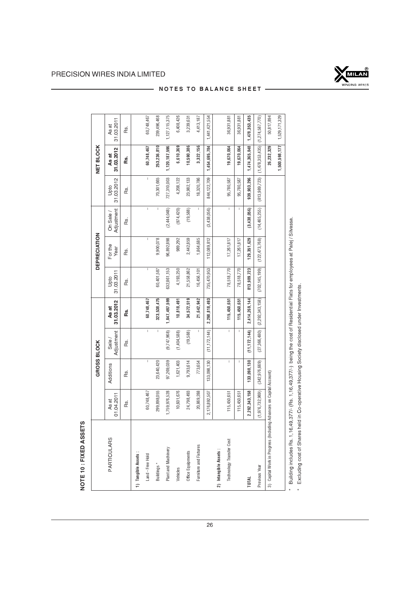NOTE 10 : FIXED ASSETS

NOTE 10 : FIXED ASSETS



# NOTES TO BALANCE SHEET -

|                                                                     |                     | GROSS BLOCK                                                                                                    |                                       |                     |                    | <b>DEPRECIATION</b> |                                       |                                       | NET BLOCK           |                     |
|---------------------------------------------------------------------|---------------------|----------------------------------------------------------------------------------------------------------------|---------------------------------------|---------------------|--------------------|---------------------|---------------------------------------|---------------------------------------|---------------------|---------------------|
| <b>PARTICULARS</b>                                                  | 01.04.2011<br>As at | Additions                                                                                                      | Adjustment<br>Sale/                   | 31.03.2012<br>As at | 31.03.2011<br>Upto | For the<br>Year     | Adjustment<br>On Sale /               | 31.03.2012<br>Upto                    | 31.03.2012<br>As at | 31.03.2011<br>As at |
|                                                                     | Rs.                 | .<br>œ                                                                                                         | Rs.                                   | Rs.                 | .<br>œ             | Rs.                 | Rs.                                   | .<br>œ                                | Rs.                 | Rs.                 |
| 1) Tangible Assets:                                                 |                     |                                                                                                                |                                       |                     |                    |                     |                                       |                                       |                     |                     |
| Land - Free Hold                                                    | 60,748,467          | $\mathbf{I}$                                                                                                   | $\overline{1}$                        | 60,748,467          | I                  | I                   | $\mathbf{I}$                          | $\begin{array}{c} \hline \end{array}$ | 60,748,467          | 60,748,467          |
| Buildings *                                                         | 299,898,055         | 23,640,420                                                                                                     | I                                     | 323,538,475         | 60,401,587         | 9,900,078           | $\mathsf I$                           | 70,301,665                            | 253,236,810         | 239,496,468         |
| Plant and Machinery                                                 | 1,759,976,528       | 97,269,039                                                                                                     | (9,747,968)                           | 1,847,497,599       | 632,861,153        | 96,892,898          | (2,444,048)                           | 727,310,003                           | 1,120,187,596       | 1,127,115,375       |
| Vehicles                                                            | 10,601,676          | 1,621,403                                                                                                      | (1,404,588)                           | 10,818,491          | 4,193,250          | 989,292             | (974, 420)                            | 4,208,122                             | 6,610,369           | 6,408,426           |
| Office Equipments                                                   | 24,798,493          | 9,793,614                                                                                                      | (19,588)                              | 34,572,519          | 21,558,862         | 2,442,859           | (19, 588)                             | 23,982,133                            | 10,590,386          | 3,239,631           |
| Furniture and Fixtures                                              | 20,869,288          | 773,654                                                                                                        | $\mathsf I$                           | 21,642,942          | 16,456,101         | 1,864,685           | $\overline{1}$                        | 18,320,786                            | 3,322,156           | 4,413,187           |
|                                                                     | 2,176,892,507       | 133,098,130                                                                                                    | (11, 172, 144)                        | 2,298,818,493       | 735,470,953        | 112,089,812         | (3,438,056)                           | 844,122,709                           | 1,454,695,784       | 1,441,421,554       |
| 2) Intangible Assets:                                               |                     |                                                                                                                |                                       |                     |                    |                     |                                       |                                       |                     |                     |
| Technology Transfer Cost                                            | 115,450,651         | $\begin{array}{c} \hline \end{array}$                                                                          | $\begin{array}{c} \hline \end{array}$ | 115,450,651         | 78,518,770         | 17,261,817          | $\begin{array}{c} \hline \end{array}$ | 95,780,587                            | 19,670,064          | 36,931,881          |
|                                                                     | 115,450,651         | T                                                                                                              | T                                     | 115,450,651         | 78,518,770         | 17,261,817          | I,                                    | 95,780,587                            | 19,670,064          | 36,931,881          |
| <b>TOTAL</b>                                                        | 2,292,343,158       | 133,098,130                                                                                                    | (11, 172, 144)                        | 2,414,269,144       | 813,989,723        | 129,351,629         | (3,438,056)                           | 939,903,296                           | 1,474,365,848       | 1,478,353,435       |
| Previous Year                                                       | (1,976,732,969)     | (342, 976, 669)                                                                                                | (27,366,480)                          | (2,292,343,158)     | (702, 145, 199)    | (122, 473, 768)     | (14, 465, 255)                        | (813,989,723)                         | (1,478,353,435)     | (1,274,587,770)     |
| 3) Capital Work in Progress (Including Advances on Capital Account) |                     |                                                                                                                |                                       |                     |                    |                     |                                       |                                       | 26,232,329          | 50,817,894          |
|                                                                     |                     |                                                                                                                |                                       |                     |                    |                     |                                       |                                       | 1,500,598,177       | 1,529,171,329       |
| Ar F Albert Book Do The F                                           | 1500                | code de n de de n de de la code de la code de la code de la code de la code de la code de la code de la code d |                                       |                     |                    |                     |                                       |                                       |                     |                     |

# Building includes Rs. 1,16,49,377/- (Rs. 1,16,49,377/-) being the cost of Residential Flats for employees at Palej / Silvassa. \* Building includes Rs. 1,16,49,377/- (Rs. 1,16,49,377/-) being the cost of Residential Flats for employees at Palej / Silvassa.

Excluding cost of Shares held in Co-operative Housing Society disclosed under Investments. \* Excluding cost of Shares held in Co-operative Housing Society disclosed under Investments. L.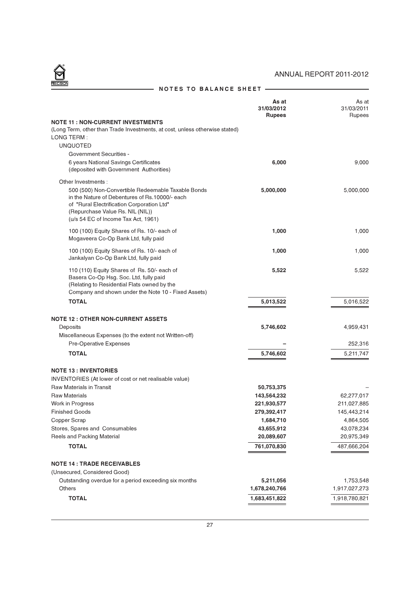# $\bigcirc$

# ANNUAL REPORT 2011-2012

|                                                                                                                                                                                                                                                      | As at<br>31/03/2012<br><b>Rupees</b> | As at<br>31/03/2011<br>Rupees |
|------------------------------------------------------------------------------------------------------------------------------------------------------------------------------------------------------------------------------------------------------|--------------------------------------|-------------------------------|
| <b>NOTE 11 : NON-CURRENT INVESTMENTS</b><br>(Long Term, other than Trade Investments, at cost, unless otherwise stated)<br>LONG TERM:<br><b>UNQUOTED</b><br><b>Government Securities -</b>                                                           |                                      |                               |
| 6 years National Savings Certificates<br>(deposited with Government Authorities)                                                                                                                                                                     | 6,000                                | 9,000                         |
| Other Investments :<br>500 (500) Non-Convertible Redeemable Taxable Bonds<br>in the Nature of Debentures of Rs.10000/- each<br>of "Rural Electrification Corporation Ltd"<br>(Repurchase Value Rs. NIL (NIL))<br>(u/s 54 EC of Income Tax Act, 1961) | 5,000,000                            | 5,000,000                     |
| 100 (100) Equity Shares of Rs. 10/- each of<br>Mogaveera Co-Op Bank Ltd, fully paid                                                                                                                                                                  | 1,000                                | 1,000                         |
| 100 (100) Equity Shares of Rs. 10/- each of<br>Jankalyan Co-Op Bank Ltd, fully paid                                                                                                                                                                  | 1,000                                | 1,000                         |
| 110 (110) Equity Shares of Rs. 50/- each of<br>Basera Co-Op Hsg. Soc. Ltd, fully paid<br>(Relating to Residential Flats owned by the<br>Company and shown under the Note 10 - Fixed Assets)                                                          | 5,522                                | 5,522                         |
| <b>TOTAL</b>                                                                                                                                                                                                                                         | 5,013,522                            | 5,016,522                     |
|                                                                                                                                                                                                                                                      |                                      |                               |
| <b>NOTE 12 : OTHER NON-CURRENT ASSETS</b><br>Deposits                                                                                                                                                                                                | 5,746,602                            | 4,959,431                     |
| Miscellaneous Expenses (to the extent not Written-off)                                                                                                                                                                                               |                                      |                               |
| Pre-Operative Expenses                                                                                                                                                                                                                               |                                      | 252,316                       |
| <b>TOTAL</b>                                                                                                                                                                                                                                         | 5,746,602                            | 5,211,747                     |
|                                                                                                                                                                                                                                                      |                                      |                               |
| <b>NOTE 13 : INVENTORIES</b>                                                                                                                                                                                                                         |                                      |                               |
| INVENTORIES (At lower of cost or net realisable value)                                                                                                                                                                                               |                                      |                               |
| <b>Raw Materials in Transit</b>                                                                                                                                                                                                                      | 50,753,375                           |                               |
| <b>Raw Materials</b>                                                                                                                                                                                                                                 | 143,564,232                          | 62,277,017                    |
| Work in Progress                                                                                                                                                                                                                                     | 221,930,577                          | 211,027,885                   |
| <b>Finished Goods</b>                                                                                                                                                                                                                                | 279,392,417                          | 145,443,214                   |
| Copper Scrap                                                                                                                                                                                                                                         | 1,684,710                            | 4,864,505                     |
| Stores, Spares and Consumables<br>Reels and Packing Material                                                                                                                                                                                         | 43,655,912                           | 43,078,234                    |
|                                                                                                                                                                                                                                                      | 20,089,607                           | 20,975,349                    |
| <b>TOTAL</b>                                                                                                                                                                                                                                         | 761,070,830                          | 487,666,204                   |
| <b>NOTE 14 : TRADE RECEIVABLES</b>                                                                                                                                                                                                                   |                                      |                               |
| (Unsecured, Considered Good)                                                                                                                                                                                                                         |                                      |                               |
| Outstanding overdue for a period exceeding six months                                                                                                                                                                                                | 5,211,056                            | 1,753,548                     |
| Others                                                                                                                                                                                                                                               | 1,678,240,766                        | 1,917,027,273                 |
| <b>TOTAL</b>                                                                                                                                                                                                                                         | 1,683,451,822                        | 1,918,780,821                 |

# NOTES TO BALANCE SHEET ——————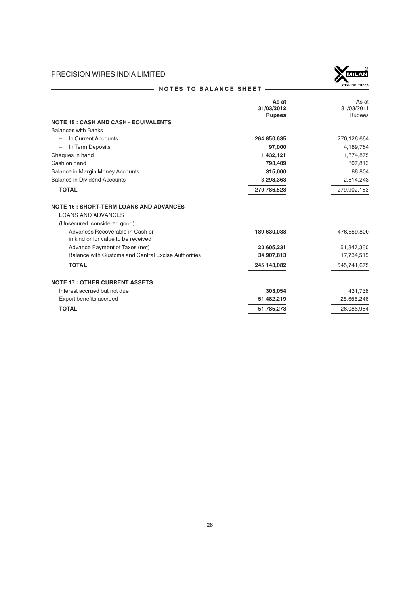

# NOTES TO BALANCE SHEET -

|                                                     | As at         | As at       |
|-----------------------------------------------------|---------------|-------------|
|                                                     | 31/03/2012    | 31/03/2011  |
|                                                     | <b>Rupees</b> | Rupees      |
| <b>NOTE 15 : CASH AND CASH - EQUIVALENTS</b>        |               |             |
| <b>Balances with Banks</b>                          |               |             |
| In Current Accounts                                 | 264,850,635   | 270,126,664 |
| In Term Deposits                                    | 97,000        | 4,189,784   |
| Cheques in hand                                     | 1,432,121     | 1,874,875   |
| Cash on hand                                        | 793.409       | 807,813     |
| <b>Balance in Margin Money Accounts</b>             | 315,000       | 88,804      |
| <b>Balance in Dividend Accounts</b>                 | 3,298,363     | 2,814,243   |
| <b>TOTAL</b>                                        | 270,786,528   | 279,902,183 |
| <b>NOTE 16 : SHORT-TERM LOANS AND ADVANCES</b>      |               |             |
| <b>LOANS AND ADVANCES</b>                           |               |             |
| (Unsecured, considered good)                        |               |             |
| Advances Recoverable in Cash or                     | 189,630,038   | 476,659,800 |
| in kind or for value to be received                 |               |             |
| Advance Payment of Taxes (net)                      | 20,605,231    | 51,347,360  |
| Balance with Customs and Central Excise Authorities | 34,907,813    | 17,734,515  |
| <b>TOTAL</b>                                        | 245,143,082   | 545,741,675 |
| <b>NOTE 17: OTHER CURRENT ASSETS</b>                |               |             |
| Interest accrued but not due                        | 303,054       | 431,738     |
| Export benefits accrued                             | 51,482,219    | 25,655,246  |
| <b>TOTAL</b>                                        | 51,785,273    | 26,086,984  |
|                                                     |               |             |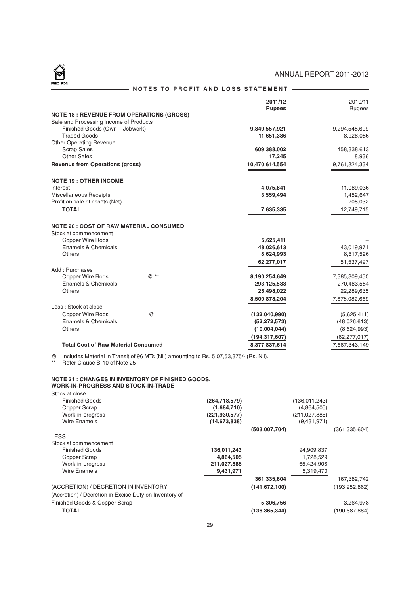NOTES TO PROFIT AND LOSS STATEMENT —

|                                                                         |      | 2011/12         | 2010/11        |
|-------------------------------------------------------------------------|------|-----------------|----------------|
|                                                                         |      | <b>Rupees</b>   | Rupees         |
| <b>NOTE 18 : REVENUE FROM OPERATIONS (GROSS)</b>                        |      |                 |                |
| Sale and Processing Income of Products                                  |      |                 |                |
| Finished Goods (Own + Jobwork)                                          |      | 9,849,557,921   | 9,294,548,699  |
| <b>Traded Goods</b>                                                     |      | 11,651,386      | 8,928,086      |
| <b>Other Operating Revenue</b>                                          |      |                 |                |
| <b>Scrap Sales</b><br>Other Sales                                       |      | 609,388,002     | 458,338,613    |
|                                                                         |      | 17,245          | 8,936          |
| <b>Revenue from Operations (gross)</b>                                  |      | 10,470,614,554  | 9,761,824,334  |
| <b>NOTE 19: OTHER INCOME</b>                                            |      |                 |                |
| Interest                                                                |      | 4,075,841       | 11,089,036     |
| Miscellaneous Receipts                                                  |      | 3,559,494       | 1,452,647      |
| Profit on sale of assets (Net)                                          |      |                 | 208,032        |
| <b>TOTAL</b>                                                            |      | 7,635,335       | 12,749,715     |
| <b>NOTE 20 : COST OF RAW MATERIAL CONSUMED</b><br>Stock at commencement |      |                 |                |
| Copper Wire Rods                                                        |      | 5,625,411       |                |
| Enamels & Chemicals                                                     |      | 48,026,613      | 43,019,971     |
| Others                                                                  |      | 8,624,993       | 8,517,526      |
|                                                                         |      | 62,277,017      | 51,537,497     |
| Add: Purchases                                                          |      |                 |                |
| <b>Copper Wire Rods</b>                                                 | @ ** | 8,190,254,649   | 7,385,309,450  |
| <b>Enamels &amp; Chemicals</b>                                          |      | 293,125,533     | 270,483,584    |
| Others                                                                  |      | 26,498,022      | 22,289,635     |
|                                                                         |      | 8,509,878,204   | 7,678,082,669  |
| Less: Stock at close                                                    |      |                 |                |
| Copper Wire Rods                                                        | @    | (132,040,990)   | (5,625,411)    |
| Enamels & Chemicals                                                     |      | (52, 272, 573)  | (48,026,613)   |
| Others                                                                  |      | (10,004,044)    | (8,624,993)    |
|                                                                         |      | (194, 317, 607) | (62, 277, 017) |
| <b>Total Cost of Raw Material Consumed</b>                              |      | 8,377,837,614   | 7,667,343,149  |
|                                                                         |      |                 |                |

@ Includes Material in Transit of 96 MTs (Nil) amounting to Rs. 5,07,53,375/- (Rs. Nil).

\*\* Refer Clause B-10 of Note 25

#### NOTE 21 : CHANGES IN INVENTORY OF FINISHED GOODS, WORK-IN-PROGRESS AND STOCK-IN-TRADE

Stock at close

| <b>Finished Goods</b>                                  | (264, 718, 579) |                 | (136.011.243) |                 |
|--------------------------------------------------------|-----------------|-----------------|---------------|-----------------|
| Copper Scrap                                           | (1,684,710)     |                 | (4,864,505)   |                 |
| Work-in-progress                                       | (221.930.577)   |                 | (211.027.885) |                 |
| Wire Enamels                                           | (14, 673, 838)  |                 | (9,431,971)   |                 |
|                                                        |                 | (503,007,704)   |               | (361, 335, 604) |
| LESS:                                                  |                 |                 |               |                 |
| Stock at commencement                                  |                 |                 |               |                 |
| <b>Finished Goods</b>                                  | 136,011,243     |                 | 94,909,837    |                 |
| Copper Scrap                                           | 4,864,505       |                 | 1,728,529     |                 |
| Work-in-progress                                       | 211,027,885     |                 | 65,424,906    |                 |
| Wire Enamels                                           | 9,431,971       |                 | 5,319,470     |                 |
|                                                        |                 | 361,335,604     |               | 167,382,742     |
| (ACCRETION) / DECRETION IN INVENTORY                   |                 | (141, 672, 100) |               | (193.952.862)   |
| (Accretion) / Decretion in Excise Duty on Inventory of |                 |                 |               |                 |
| Finished Goods & Copper Scrap                          |                 | 5,306,756       |               | 3,264,978       |
| <b>TOTAL</b>                                           |                 | (136, 365, 344) |               | (190, 687, 884) |
|                                                        |                 |                 |               |                 |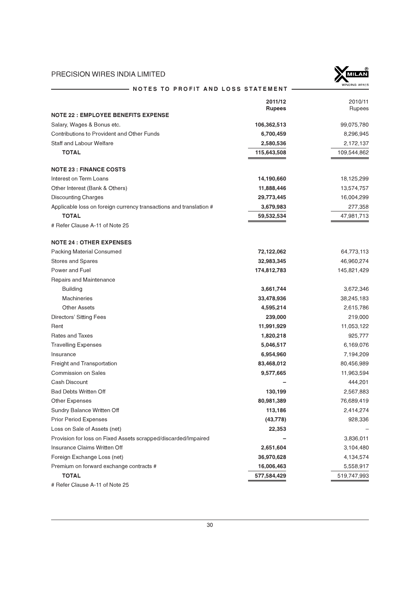

| NOTES TO PROFIT AND LOSS STATEMENT                                 |                          | WINDING WIRES     |
|--------------------------------------------------------------------|--------------------------|-------------------|
|                                                                    | 2011/12<br><b>Rupees</b> | 2010/11<br>Rupees |
| <b>NOTE 22 : EMPLOYEE BENEFITS EXPENSE</b>                         |                          |                   |
| Salary, Wages & Bonus etc.                                         | 106,362,513              | 99,075,780        |
| <b>Contributions to Provident and Other Funds</b>                  | 6,700,459                | 8,296,945         |
| <b>Staff and Labour Welfare</b>                                    | 2,580,536                | 2,172,137         |
| <b>TOTAL</b>                                                       | 115,643,508              | 109,544,862       |
| <b>NOTE 23 : FINANCE COSTS</b>                                     |                          |                   |
| Interest on Term Loans                                             | 14,190,660               | 18,125,299        |
| Other Interest (Bank & Others)                                     | 11,888,446               | 13,574,757        |
| <b>Discounting Charges</b>                                         | 29,773,445               | 16,004,299        |
| Applicable loss on foreign currency transactions and translation # | 3,679,983                | 277,358           |
| <b>TOTAL</b>                                                       | 59,532,534               | 47,981,713        |
| # Refer Clause A-11 of Note 25                                     |                          |                   |
| <b>NOTE 24 : OTHER EXPENSES</b>                                    |                          |                   |
| <b>Packing Material Consumed</b>                                   | 72,122,062               | 64,773,113        |
| <b>Stores and Spares</b>                                           | 32,983,345               | 46,960,274        |
| Power and Fuel                                                     | 174,812,783              | 145,821,429       |
| Repairs and Maintenance                                            |                          |                   |
| <b>Building</b>                                                    | 3,661,744                | 3,672,346         |
| <b>Machineries</b>                                                 | 33,478,936               | 38,245,183        |
| <b>Other Assets</b>                                                | 4,595,214                | 2,615,786         |
| Directors' Sitting Fees                                            | 239,000                  | 219,000           |
| Rent                                                               | 11,991,929               | 11,053,122        |
| Rates and Taxes                                                    | 1,820,218                | 925,777           |
| <b>Travelling Expenses</b>                                         | 5,046,517                | 6,169,076         |
| Insurance                                                          | 6,954,960                | 7,194,209         |
| Freight and Transportation                                         | 83,468,012               | 80,456,989        |
| <b>Commission on Sales</b>                                         | 9,577,665                | 11,963,594        |
| Cash Discount                                                      |                          | 444,201           |
| <b>Bad Debts Written Off</b>                                       | 130,199                  | 2,567,883         |
| Other Expenses                                                     | 80,981,389               | 76,689,419        |
| Sundry Balance Written Off                                         | 113,186                  | 2,414,274         |
| <b>Prior Period Expenses</b>                                       | (43, 778)                | 928,336           |
| Loss on Sale of Assets (net)                                       | 22,353                   |                   |
| Provision for loss on Fixed Assets scrapped/discarded/Impaired     |                          | 3,836,011         |
| Insurance Claims Written Off                                       | 2,651,604                | 3,104,480         |
| Foreign Exchange Loss (net)                                        | 36,970,628               | 4,134,574         |
| Premium on forward exchange contracts #                            | 16,006,463               | 5,558,917         |
| <b>TOTAL</b>                                                       | 577,584,429              | 519,747,993       |
| # Refer Clause A-11 of Note 25                                     |                          |                   |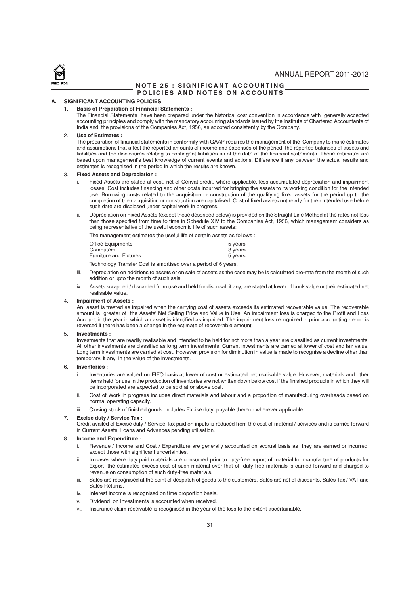

#### NOTE 25 : SIGNIFICANT ACCOUNTING POLICIES AND NOTES ON ACCOUNTS

#### A. SIGNIFICANT ACCOUNTING POLICIES

#### **Basis of Preparation of Financial Statements :**

The Financial Statements have been prepared under the historical cost convention in accordance with generally accepted accounting principles and comply with the mandatory accounting standards issued by the Institute of Chartered Accountants of India and the provisions of the Companies Act, 1956, as adopted consistently by the Company.

#### 2. Use of Estimates :

The preparation of financial statements in conformity with GAAP requires the management of the Company to make estimates and assumptions that affect the reported amounts of income and expenses of the period, the reported balances of assets and liabilities and the disclosures relating to contingent liabilities as of the date of the financial statements. These estimates are based upon management's best knowledge of current events and actions. Difference if any between the actual results and estimates is recognised in the period in which the results are known.

#### 3. Fixed Assets and Depreciation :

- Fixed Assets are stated at cost, net of Cenvat credit, where applicable, less accumulated depreciation and impairment losses. Cost includes financing and other costs incurred for bringing the assets to its working condition for the intended use. Borrowing costs related to the acquisition or construction of the qualifying fixed assets for the period up to the completion of their acquisition or construction are capitalised. Cost of fixed assets not ready for their intended use before such date are disclosed under capital work in progress.
- ii. Depreciation on Fixed Assets (except those described below) is provided on the Straight Line Method at the rates not less than those specified from time to time in Schedule XIV to the Companies Act, 1956, which management considers as being representative of the useful economic life of such assets:

The management estimates the useful life of certain assets as follows :

| Office Equipments             | 5 years |
|-------------------------------|---------|
| Computers                     | 3 years |
| <b>Furniture and Fixtures</b> | 5 years |

Technology Transfer Cost is amortised over a period of 6 years.

- iii. Depreciation on additions to assets or on sale of assets as the case may be is calculated pro-rata from the month of such addition or upto the month of such sale.
- iv. Assets scrapped / discarded from use and held for disposal, if any, are stated at lower of book value or their estimated net realisable value.

#### 4. Impairment of Assets :

An asset is treated as impaired when the carrying cost of assets exceeds its estimated recoverable value. The recoverable amount is greater of the Assets' Net Selling Price and Value in Use. An impairment loss is charged to the Profit and Loss Account in the year in which an asset is identified as impaired. The impairment loss recognized in prior accounting period is reversed if there has been a change in the estimate of recoverable amount.

#### 5. Investments :

Investments that are readily realisable and intended to be held for not more than a year are classified as current investments. All other investments are classified as long term investments. Current investments are carried at lower of cost and fair value. Long term investments are carried at cost. However, provision for diminution in value is made to recognise a decline other than temporary, if any, in the value of the investments.

#### 6. Inventories :

- i. Inventories are valued on FIFO basis at lower of cost or estimated net realisable value. However, materials and other items held for use in the production of inventories are not written down below cost if the finished products in which they will be incorporated are expected to be sold at or above cost.
- ii. Cost of Work in progress includes direct materials and labour and a proportion of manufacturing overheads based on normal operating capacity.
- iii. Closing stock of finished goods includes Excise duty payable thereon wherever applicable.

#### 7. Excise duty / Service Tax :

Credit availed of Excise duty / Service Tax paid on inputs is reduced from the cost of material / services and is carried forward in Current Assets, Loans and Advances pending utilisation.

#### 8. Income and Expenditure :

- i. Revenue / Income and Cost / Expenditure are generally accounted on accrual basis as they are earned or incurred, except those with significant uncertainties.
- ii. In cases where duty paid materials are consumed prior to duty-free import of material for manufacture of products for export, the estimated excess cost of such material over that of duty free materials is carried forward and charged to revenue on consumption of such duty-free materials.
- iii. Sales are recognised at the point of despatch of goods to the customers. Sales are net of discounts, Sales Tax / VAT and Sales Returns.
- iv. Interest income is recognised on time proportion basis.
- v. Dividend on Investments is accounted when received.
- vi. Insurance claim receivable is recognised in the year of the loss to the extent ascertainable.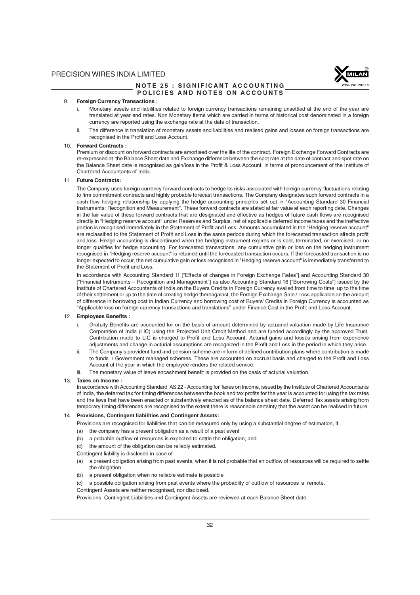

#### NOTE 25 : SIGNIFICANT ACCOUNTING POLICIES AND NOTES ON ACCOUNTS

#### 9. Foreign Currency Transactions :

- Monetary assets and liabilities related to foreign currency transactions remaining unsettled at the end of the year are translated at year end rates. Non Monetary items which are carried in terms of historical cost denominated in a foreign currency are reported using the exchange rate at the date of transaction.
- ii. The difference in translation of monetary assets and liabilities and realised gains and losses on foreign transactions are recognised in the Profit and Loss Account.

#### 10. Forward Contracts :

Premium or discount on forward contracts are amortised over the life of the contract. Foreign Exchange Forward Contracts are re-expressed at the Balance Sheet date and Exchange difference between the spot rate at the date of contract and spot rate on the Balance Sheet date is recognised as gain/loss in the Profit & Loss Account, in terms of pronouncement of the Institute of Chartered Accountants of India.

#### 11. Future Contracts:

The Company uses foreign currency forward contracts to hedge its risks associated with foreign currency fluctuations relating to firm commitment contracts and highly probable forecast transactions. The Company designates such forward contracts in a cash flow hedging relationship by applying the hedge accounting principles set out in "Accounting Standard 30 Financial Instruments: Recognition and Measurement". These forward contracts are stated at fair value at each reporting date. Changes in the fair value of these forward contracts that are designated and effective as hedges of future cash flows are recognised directly in "Hedging reserve account" under Reserves and Surplus, net of applicable deferred income taxes and the ineffective portion is recognised immediately in the Statement of Profit and Loss. Amounts accumulated in the "Hedging reserve account" are reclassified to the Statement of Profit and Loss in the same periods during which the forecasted transaction affects profit and loss. Hedge accounting is discontinued when the hedging instrument expires or is sold, terminated, or exercised, or no longer qualifies for hedge accounting. For forecasted transactions, any cumulative gain or loss on the hedging instrument recognised in "Hedging reserve account" is retained until the forecasted transaction occurs. If the forecasted transaction is no longer expected to occur, the net cumulative gain or loss recognised in "Hedging reserve account" is immediately transferred to the Statement of Profit and Loss.

In accordance with Accounting Standard 11 ["Effects of changes in Foreign Exchange Rates"] and Accounting Standard 30 ["Financial Instruments – Recognition and Management"] as also Accounting Standard 16 ["Borrowing Costs"] issued by the Institute of Chartered Accountants of India,on the Buyers Credits in Foreign Currency availed from time to time up to the time of their settlement or up to the time of creating hedge thereagainst, the Foreign Exchange Gain / Loss applicable on the amount of difference in borrowing cost in Indian Currency and borrowing cost of Buyers' Credits in Foreign Currency is accounted as "Applicable loss on foreign currency transactions and translations" under Finance Cost in the Profit and Loss Account.

#### 12. Employees Benefits :

- Gratuity Benefits are accounted for on the basis of amount determined by actuarial valuation made by Life Insurance Corporation of India (LIC) using the Projected Unit Credit Method and are funded accordingly by the approved Trust. Contribution made to LIC is charged to Profit and Loss Account. Acturial gains and losses arising from experience adjustments and change in acturial assumptions are recognized in the Profit and Loss in the period in which they arise.
- ii. The Company's provident fund and pension scheme are in form of defined contribution plans where contribution is made to funds / Government managed schemes. These are accounted on accrual basis and charged to the Profit and Loss Account of the year in which the employee renders the related service.
- iii. The monetary value of leave encashment benefit is provided on the basis of acturial valuation.

#### 13. Taxes on Income :

In accordance with Accounting Standard AS 22 - Accounting for Taxes on Income, issued by the Institute of Chartered Accountants of India, the deferred tax for timing differences between the book and tax profits for the year is accounted for using the tax rates and the laws that have been enacted or substantively enacted as of the balance sheet date. Deferred Tax assets arising from temporary timing differences are recognised to the extent there is reasonable certainty that the asset can be realised in future.

#### 14. Provisions, Contingent liabilities and Contingent Assets:

Provisions are recognised for liabilities that can be measured only by using a substantial degree of estimation, if

- (a) the company has a present obligation as a result of a past event
- (b) a probable outflow of resources is expected to settle the obligation; and
- (c) the amount of the obligation can be reliably estimated.
- Contingent liability is disclosed in case of
- (a) a present obligation arising from past events, when it is not probable that an outflow of resources will be required to settle the obligation
- (b) a present obligation when no reliable estimate is possible
- (c) a possible obligation arising from past events where the probablity of outflow of resources is remote.
- Contingent Assets are neither recognised, nor disclosed.

Provisions, Contingent Liabilities and Contingent Assets are reviewed at each Balance Sheet date.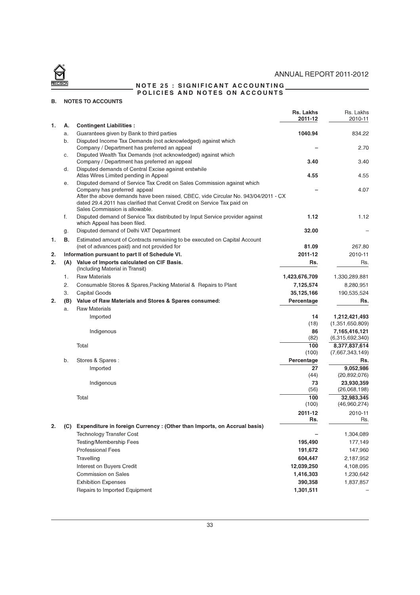

# ANNUAL REPORT 2011-2012

NOTE 25 : SIGNIFICANT ACCOUNTING POLICIES AND NOTES ON ACCOUNTS

# B. NOTES TO ACCOUNTS

|    |     |                                                                                                                                                                                                                                                                                                            | Rs. Lakhs<br>2011-12 | Rs. Lakhs<br>2010-11             |
|----|-----|------------------------------------------------------------------------------------------------------------------------------------------------------------------------------------------------------------------------------------------------------------------------------------------------------------|----------------------|----------------------------------|
| 1. | А.  | <b>Contingent Liabilities:</b>                                                                                                                                                                                                                                                                             |                      |                                  |
|    | a.  | Guarantees given by Bank to third parties                                                                                                                                                                                                                                                                  | 1040.94              | 834.22                           |
|    | b.  | Disputed Income Tax Demands (not acknowledged) against which<br>Company / Department has preferred an appeal                                                                                                                                                                                               |                      | 2.70                             |
|    | c.  | Disputed Wealth Tax Demands (not acknowledged) against which<br>Company / Department has preferred an appeal                                                                                                                                                                                               | 3.40                 | 3.40                             |
|    | d.  | Disputed demands of Central Excise against erstwhile<br>Atlas Wires Limited pending in Appeal                                                                                                                                                                                                              | 4.55                 | 4.55                             |
|    | е.  | Disputed demand of Service Tax Credit on Sales Commission against which<br>Company has preferred appeal<br>After the above demands have been raised, CBEC, vide Circular No. 943/04/2011 - CX<br>dated 29.4.2011 has clarified that Cenvat Credit on Service Tax paid on<br>Sales Commission is allowable. |                      | 4.07                             |
|    | f.  | Disputed demand of Service Tax distributed by Input Service provider against<br>which Appeal has been filed.                                                                                                                                                                                               | 1.12                 | 1.12                             |
|    | g.  | Disputed demand of Delhi VAT Department                                                                                                                                                                                                                                                                    | 32.00                |                                  |
| 1. | В.  | Estimated amount of Contracts remaining to be executed on Capital Account<br>(net of advances paid) and not provided for                                                                                                                                                                                   | 81.09                | 267.80                           |
| 2. |     | Information pursuant to part II of Schedule VI.                                                                                                                                                                                                                                                            | 2011-12              | 2010-11                          |
| 2. | (A) | Value of Imports calculated on CIF Basis.<br>(Including Material in Transit)                                                                                                                                                                                                                               | Rs.                  | Rs.                              |
|    | 1.  | <b>Raw Materials</b>                                                                                                                                                                                                                                                                                       | 1,423,676,709        | 1,330,289,881                    |
|    | 2.  | Consumable Stores & Spares, Packing Material & Repairs to Plant                                                                                                                                                                                                                                            | 7,125,574            | 8,280,951                        |
|    | 3.  | Capital Goods                                                                                                                                                                                                                                                                                              | 35,125,166           | 190,535,524                      |
| 2. | (B) | Value of Raw Materials and Stores & Spares consumed:                                                                                                                                                                                                                                                       | Percentage           | Rs.                              |
|    | a.  | <b>Raw Materials</b>                                                                                                                                                                                                                                                                                       |                      |                                  |
|    |     | Imported                                                                                                                                                                                                                                                                                                   | 14                   | 1,212,421,493                    |
|    |     |                                                                                                                                                                                                                                                                                                            | (18)                 | (1,351,650,809)                  |
|    |     | Indigenous                                                                                                                                                                                                                                                                                                 | 86<br>(82)           | 7,165,416,121<br>(6,315,692,340) |
|    |     | Total                                                                                                                                                                                                                                                                                                      | 100<br>(100)         | 8,377,837,614<br>(7,667,343,149) |
|    | b.  | Stores & Spares :                                                                                                                                                                                                                                                                                          | Percentage           | Rs.                              |
|    |     | Imported                                                                                                                                                                                                                                                                                                   | 27                   | 9,052,986                        |
|    |     |                                                                                                                                                                                                                                                                                                            | (44)                 | (20, 892, 076)                   |
|    |     | Indigenous                                                                                                                                                                                                                                                                                                 | 73                   | 23,930,359                       |
|    |     | Total                                                                                                                                                                                                                                                                                                      | (56)<br>100          | (26,068,198)<br>32,983,345       |
|    |     |                                                                                                                                                                                                                                                                                                            | (100)                | (46,960,274)                     |
|    |     |                                                                                                                                                                                                                                                                                                            | 2011-12              | 2010-11                          |
|    |     | Expenditure in foreign Currency : (Other than Imports, on Accrual basis)                                                                                                                                                                                                                                   | Rs.                  | Rs.                              |
|    |     | <b>Technology Transfer Cost</b>                                                                                                                                                                                                                                                                            |                      | 1,304,089                        |
|    |     | <b>Testing/Membership Fees</b>                                                                                                                                                                                                                                                                             | 195,490              | 177,149                          |
|    |     | <b>Professional Fees</b>                                                                                                                                                                                                                                                                                   | 191,672              | 147,960                          |
|    |     | Travelling                                                                                                                                                                                                                                                                                                 | 604,447              | 2,187,952                        |
|    |     | Interest on Buyers Credit                                                                                                                                                                                                                                                                                  | 12,039,250           | 4,108,095                        |
|    |     | <b>Commission on Sales</b>                                                                                                                                                                                                                                                                                 | 1,416,303            | 1,230,642                        |
|    |     | <b>Exhibition Expenses</b>                                                                                                                                                                                                                                                                                 | 390,358              | 1,837,857                        |
|    |     | Repairs to Imported Equipment                                                                                                                                                                                                                                                                              | 1,301,511            |                                  |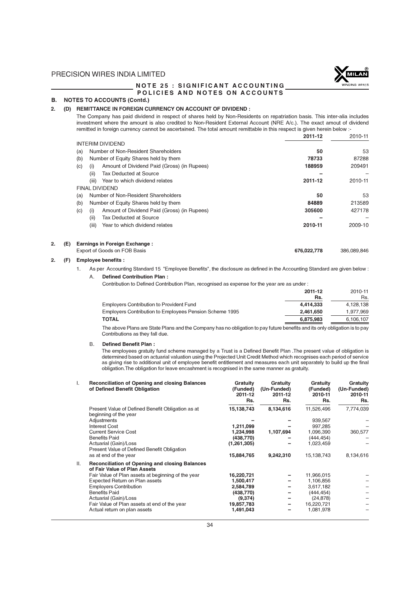

#### NOTE 25 : SIGNIFICANT ACCOUNTING POLICIES AND NOTES ON ACCOUNTS

# B. NOTES TO ACCOUNTS (Contd.)

#### 2. (D) REMITTANCE IN FOREIGN CURRENCY ON ACCOUNT OF DIVIDEND :

The Company has paid dividend in respect of shares held by Non-Residents on repatriation basis. This inter-alia includes investment where the amount is also credited to Non-Resident External Account (NRE A/c.). The exact amout of dividend remitted in foreign currency cannot be ascertained. The total amount remittable in this respect is given herein below :-

|           |     |                         |                                             | 2011-12 | 2010-11 |
|-----------|-----|-------------------------|---------------------------------------------|---------|---------|
|           |     | <b>INTERIM DIVIDEND</b> |                                             |         |         |
|           | (a) |                         | Number of Non-Resident Shareholders         | 50      | 53      |
|           | (b) |                         | Number of Equity Shares held by them        | 78733   | 87288   |
|           | (c) | (i)                     | Amount of Dividend Paid (Gross) (in Rupees) | 188959  | 209491  |
|           |     | (ii)                    | <b>Tax Deducted at Source</b>               |         |         |
|           |     | (iii)                   | Year to which dividend relates              | 2011-12 | 2010-11 |
|           |     | <b>FINAL DIVIDEND</b>   |                                             |         |         |
|           | (a) |                         | Number of Non-Resident Shareholders         | 50      | 53      |
|           | (b) |                         | Number of Equity Shares held by them        | 84889   | 213589  |
|           | (c) | (i)                     | Amount of Dividend Paid (Gross) (in Rupees) | 305600  | 427178  |
|           |     | (ii)                    | <b>Tax Deducted at Source</b>               |         |         |
|           |     | (iii)                   | Year to which dividend relates              | 2010-11 | 2009-10 |
| 2.<br>(E) |     |                         | <b>Earnings in Foreign Exchange:</b>        |         |         |

#### Export of Goods on FOB Basis 676,022,778 386,089,846

#### 2. (F) Employee benefits :

1. As per Accounting Standard 15 "Employee Benefits", the disclosure as defined in the Accounting Standard are given below : A. Defined Contribution Plan :

Contribution to Defined Contribution Plan, recognised as expense for the year are as under :

|                                                         | 2011-12<br>Rs. | 2010-11<br>Rs. |
|---------------------------------------------------------|----------------|----------------|
| <b>Employers Contribution to Provident Fund</b>         | 4.414.333      | 4,128,138      |
| Employers Contribution to Employees Pension Scheme 1995 | 2.461.650      | 1,977,969      |
| TOTAL                                                   | 6,875,983      | 6.106.107      |

The above Plans are State Plans and the Company has no obligation to pay future benefits and its only obligation is to pay Contributions as they fall due.

#### B. Defined Benefit Plan :

The employees gratuity fund scheme managed by a Trust is a Defined Benefit Plan .The present value of obligation is determined based on actuarial valuation using the Projected Unit Credit Method which recognises each period of service as giving rise to additional unit of employee benefit entitlement and measures each unit separately to build up the final obligation.The obligation for leave encashment is recognised in the same manner as gratuity.

| I.  | <b>Reconciliation of Opening and closing Balances</b><br>of Defined Benefit Obligation | Gratuity<br>(Funded)<br>2011-12<br>Rs. | Gratuity<br>(Un-Funded)<br>2011-12<br>Rs. | Gratuity<br>(Funded)<br>2010-11<br>Rs. | Gratuity<br>(Un-Funded)<br>2010-11<br>Rs. |
|-----|----------------------------------------------------------------------------------------|----------------------------------------|-------------------------------------------|----------------------------------------|-------------------------------------------|
|     | Present Value of Defined Benefit Obligation as at<br>beginning of the year             | 15,138,743                             | 8,134,616                                 | 11,526,496                             | 7,774,039                                 |
|     | Adjustments                                                                            |                                        |                                           | 939,567                                |                                           |
|     | <b>Interest Cost</b>                                                                   | 1,211,099                              |                                           | 997.285                                |                                           |
|     | <b>Current Service Cost</b>                                                            | 1,234,998                              | 1,107,694                                 | 1,096,390                              | 360,577                                   |
|     | <b>Benefits Paid</b>                                                                   | (438, 770)                             |                                           | (444, 454)                             |                                           |
|     | Actuarial (Gain)/Loss<br>Present Value of Defined Benefit Obligation                   | (1, 261, 305)                          |                                           | 1,023,459                              |                                           |
|     | as at end of the year                                                                  | 15,884,765                             | 9,242,310                                 | 15,138,743                             | 8,134,616                                 |
| II. | <b>Reconciliation of Opening and closing Balances</b><br>of Fair Value of Plan Assets  |                                        |                                           |                                        |                                           |
|     | Fair Value of Plan assets at beginning of the year                                     | 16,220,721                             |                                           | 11,966,015                             |                                           |
|     | Expected Return on Plan assets                                                         | 1,500,417                              |                                           | 1,106,856                              |                                           |
|     | <b>Employers Contribution</b>                                                          | 2,584,789                              |                                           | 3,617,182                              |                                           |
|     | <b>Benefits Paid</b>                                                                   | (438, 770)                             |                                           | (444, 454)                             |                                           |
|     | Actuarial (Gain)/Loss                                                                  | (9,374)                                | -                                         | (24, 878)                              |                                           |
|     | Fair Value of Plan assets at end of the year                                           | 19,857,783                             | -                                         | 16,220,721                             |                                           |
|     | Actual return on plan assets                                                           | 1,491,043                              |                                           | 1,081,978                              |                                           |
|     |                                                                                        |                                        |                                           |                                        |                                           |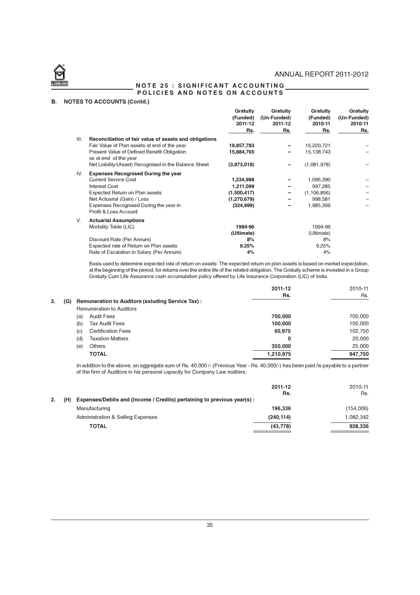

#### NOTE 25 : SIGNIFICANT ACCOUNTING POLICIES AND NOTES ON ACCOUNTS

# B. NOTES TO ACCOUNTS (Contd.)

|      |                                                                      | Gratuity<br>(Funded)<br>2011-12<br>Rs. | Gratuity<br>(Un-Funded)<br>2011-12<br>Rs. | Gratuity<br>(Funded)<br>2010-11<br>Rs. | Gratuity<br>(Un-Funded)<br>2010-11<br>Rs. |
|------|----------------------------------------------------------------------|----------------------------------------|-------------------------------------------|----------------------------------------|-------------------------------------------|
|      |                                                                      |                                        |                                           |                                        |                                           |
| III. | Reconciliation of fair value of assets and obligations               |                                        |                                           |                                        |                                           |
|      | Fair Value of Plan assets at end of the year                         | 19,857,783                             |                                           | 16,220,721                             |                                           |
|      | Present Value of Defined Benefit Obligation<br>as at end of the year | 15,884,765                             |                                           | 15,138,743                             |                                           |
|      | Net Liability/(Asset) Recognised in the Balance Sheet                | (3,973,018)                            |                                           | (1,081,978)                            |                                           |
| IV.  | <b>Expenses Recognised During the year</b>                           |                                        |                                           |                                        |                                           |
|      | <b>Current Service Cost</b>                                          | 1,234,998                              |                                           | 1,096,390                              |                                           |
|      | <b>Interest Cost</b>                                                 | 1,211,099                              |                                           | 997,285                                |                                           |
|      | Expected Return on Plan assets                                       | (1,500,417)                            |                                           | (1, 106, 856)                          |                                           |
|      | Net Actuarial (Gain) / Loss                                          | (1,270,679)                            |                                           | 998,581                                |                                           |
|      | Expenses Recognised During the year in<br>Profit & Loss Account      | (324, 999)                             |                                           | 1,985,399                              |                                           |
| V.   | <b>Actuarial Assumptions</b>                                         |                                        |                                           |                                        |                                           |
|      | Mortality Table (LIC)                                                | 1994-96                                |                                           | 1994-96                                |                                           |
|      |                                                                      | (Ultimate)                             |                                           | (Ultimate)                             |                                           |
|      | Discount Rate (Per Annum)                                            | 8%                                     |                                           | 8%                                     |                                           |
|      | Expected rate of Return on Plan assets                               | 9.25%                                  |                                           | 9.25%                                  |                                           |
|      | Rate of Escalation in Salary (Per Annum)                             | 4%                                     |                                           | 4%                                     |                                           |

Basis used to determine expected rate of return on assets: The expected return on plan assets is based on market expectation, at the beginning of the period, for returns over the entire life of the related obligation. The Gratuity scheme is invested in a Group Gratuity Cum Life Assurance cash accumulation policy offered by Life Insurance Corporation (LIC) of India.

|           |     |                                                   | 2011-12   | 2010-11 |
|-----------|-----|---------------------------------------------------|-----------|---------|
|           |     |                                                   | Rs.       | Rs.     |
| 2.<br>(G) |     | Remuneration to Auditors (exluding Service Tax) : |           |         |
|           |     | <b>Remuneration to Auditors</b>                   |           |         |
|           | (a) | <b>Audit Fees</b>                                 | 700,000   | 700,000 |
|           | (b) | Tax Audit Fees                                    | 100,000   | 100,000 |
|           | (c) | <b>Certification Fees</b>                         | 60,975    | 102,750 |
|           | (d) | Taxation Matters                                  | 0         | 20,000  |
|           | (e) | <b>Others</b>                                     | 350,000   | 25,000  |
|           |     | <b>TOTAL</b>                                      | 1,210,975 | 947,750 |

In addition to the above, an aggregate sum of Rs. 40,000 /- (Previous Year - Rs. 40,000/-) has been paid /is payable to a partner of the firm of Auditors in his personal capacity for Company Law matters.

| 2010-11   |
|-----------|
| Rs.       |
|           |
| (154,006) |
| 1,082,342 |
| 928,336   |
|           |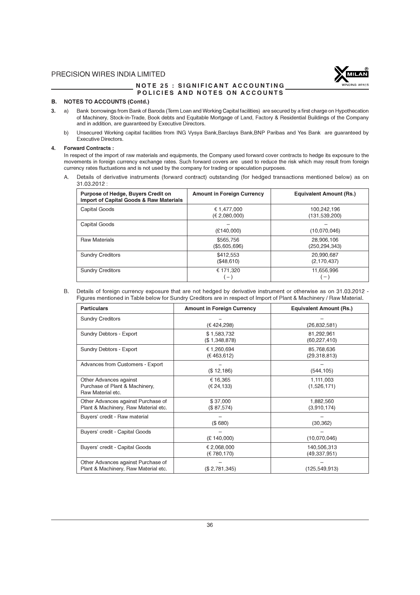

#### NOTE 25 : SIGNIFICANT ACCOUNTING POLICIES AND NOTES ON ACCOUNTS

#### B. NOTES TO ACCOUNTS (Contd.)

- 3. a) Bank borrowings from Bank of Baroda (Term Loan and Working Capital facilities) are secured by a first charge on Hypothecation of Machinery, Stock-in-Trade, Book debts and Equitable Mortgage of Land, Factory & Residential Buildings of the Company and in addition, are guaranteed by Executive Directors.
	- b) Unsecured Working capital facilities from ING Vysya Bank,Barclays Bank,BNP Paribas and Yes Bank are guaranteed by Executive Directors.

#### 4. Forward Contracts :

In respect of the import of raw materials and equipments, the Company used forward cover contracts to hedge its exposure to the movements in foreign currency exchange rates. Such forward covers are used to reduce the risk which may result from foreign currency rates fluctuations and is not used by the company for trading or speculation purposes.

A. Details of derivative instruments (forward contract) outstanding (for hedged transactions mentioned below) as on 31.03.2012 :

| Purpose of Hedge, Buyers Credit on<br><b>Import of Capital Goods &amp; Raw Materials</b> | <b>Amount in Foreign Currency</b> | <b>Equivalent Amount (Rs.)</b> |
|------------------------------------------------------------------------------------------|-----------------------------------|--------------------------------|
| Capital Goods                                                                            | € 1.477.000<br>(€ 2,080,000)      | 100,242,196<br>(131, 539, 200) |
| Capital Goods                                                                            | (E140,000)                        | (10,070,046)                   |
| <b>Raw Materials</b>                                                                     | \$565.756<br>(\$5,605,696)        | 28.906.106<br>(250,294,343)    |
| <b>Sundry Creditors</b>                                                                  | \$412.553<br>(\$48,610)           | 20,990,687<br>(2, 170, 437)    |
| <b>Sundry Creditors</b>                                                                  | € 171.320<br>$-$ )                | 11,656,996<br>$-1$             |

B. Details of foreign currency exposure that are not hedged by derivative instrument or otherwise as on 31.03.2012 - Figures mentioned in Table below for Sundry Creditors are in respect of Import of Plant & Machinery / Raw Material.

| <b>Particulars</b>                                                            | <b>Amount in Foreign Currency</b> | <b>Equivalent Amount (Rs.)</b> |
|-------------------------------------------------------------------------------|-----------------------------------|--------------------------------|
| <b>Sundry Creditors</b>                                                       | (€ 424,298)                       | (26, 832, 581)                 |
| Sundry Debtors - Export                                                       | \$1,583,732<br>(\$1,348,878)      | 81,292,961<br>(60, 227, 410)   |
| Sundry Debtors - Export                                                       | € 1,260,694<br>(E 463, 612)       | 85,768,636<br>(29,318,813)     |
| <b>Advances from Customers - Export</b>                                       | (\$12,186)                        | (544, 105)                     |
| Other Advances against<br>Purchase of Plant & Machinery,<br>Raw Material etc. | € 16,365<br>(€ 24,133)            | 1,111,003<br>(1,526,171)       |
| Other Advances against Purchase of<br>Plant & Machinery, Raw Material etc.    | \$37,000<br>(\$87,574)            | 1,882,560<br>(3,910,174)       |
| Buyers' credit - Raw material                                                 | (\$680)                           | (30, 362)                      |
| Buyers' credit - Capital Goods                                                | (E 140,000)                       | (10,070,046)                   |
| Buyers' credit - Capital Goods                                                | € 2,068,000<br>(E780, 170)        | 140,506,313<br>(49, 337, 951)  |
| Other Advances against Purchase of<br>Plant & Machinery, Raw Material etc.    | (S 2, 781, 345)                   | (125, 549, 913)                |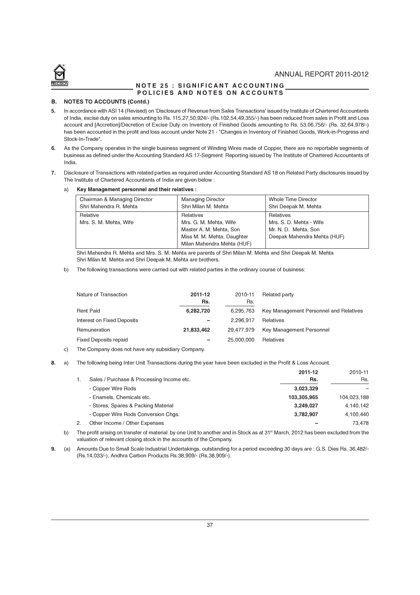

#### NOTE 25 : SIGNIFICANT ACCOUNTING POLICIES AND NOTES ON ACCOUNTS

#### B. NOTES TO ACCOUNTS (Contd.)

- 5. In accordance with ASI 14 (Revised) on 'Disclosure of Revenue from Sales Transactions' issued by Institute of Chartered Accountants of India, excise duty on sales amounting to Rs. 115,27,50,924/- (Rs.102,54,49,355/-) has been reduced from sales in Profit and Loss account and [Accretion]/Decretion of Excise Duty on Inventory of Finished Goods amounting to Rs. 53,06,756/- (Rs. 32,64,978/-) has been accounted in the profit and loss account under Note 21 - "Changes in Inventory of Finished Goods, Work-in-Progress and Stock-In-Trade".
- 6. As the Company operates in the single business segment of Winding Wires made of Copper, there are no reportable segments of business as defined under the Accounting Standard AS 17-Segment Reporting issued by The Institute of Chartered Accountants of India.
- 7. Disclosure of Transactions with related parties as required under Accounting Standard AS 18 on Related Party disclosures issued by The Institute of Chartered Accountants of India are given below :

#### a) Key Management personnel and their relatives :

| Chairman & Managing Director       | <b>Managing Director</b>                                                                                                   | Whole Time Director                                                                         |
|------------------------------------|----------------------------------------------------------------------------------------------------------------------------|---------------------------------------------------------------------------------------------|
| Shri Mahendra R. Mehta             | Shri Milan M. Mehta                                                                                                        | Shri Deepak M. Mehta                                                                        |
| Relative<br>Mrs. S. M. Mehta, Wife | Relatives<br>Mrs. G. M. Mehta, Wife<br>Master A. M. Mehta, Son<br>Miss M. M. Mehta, Daughter<br>Milan Mahendra Mehta (HUF) | Relatives<br>Mrs. S. D. Mehta - Wife<br>Mr. N. D. Mehta, Son<br>Deepak Mahendra Mehta (HUF) |

Shri Mahendra R. Mehta and Mrs. S. M. Mehta are parents of Shri Milan M. Mehta and Shri Deepak M. Mehta Shri Milan M. Mehta and Shri Deepak M. Mehta are brothers.

b) The following transactions were carried out with related parties in the ordinary course of business:

| Nature of Transaction        | 2011-12<br>Rs. | 2010-11<br>Rs. | Related party                          |
|------------------------------|----------------|----------------|----------------------------------------|
| <b>Rent Paid</b>             | 6,282,720      | 6.295.763      | Key Management Personnel and Relatives |
| Interest on Fixed Deposits   | -              | 2.296.917      | Relatives                              |
| Remuneration                 | 21,833,462     | 29.477.979     | Key Management Personnel               |
| <b>Fixed Deposits repaid</b> | -              | 25.000.000     | Relatives                              |

- c) The Company does not have any subsidiary Company.
- 8. a) The following being Inter Unit Transactions during the year have been excluded in the Profit & Loss Account.

|    |                                           | 2011-12     | 2010-11     |
|----|-------------------------------------------|-------------|-------------|
|    | Sales / Purchase & Processing Income etc. | Rs.         | Rs.         |
|    | - Copper Wire Rods                        | 3,023,329   |             |
|    | - Enamels. Chemicals etc.                 | 103.305.965 | 104,023,188 |
|    | - Stores, Spares & Packing Material       | 3,249,027   | 4,140,142   |
|    | - Copper Wire Rods Conversion Chgs.       | 3,782,907   | 4,100,440   |
| 2. | Other Income / Other Expenses             |             | 73.478      |

b) The profit arising on transfer of material by one Unit to another and in Stock as at  $31<sup>st</sup>$  March, 2012 has been excluded from the valuation of relevant closing stock in the accounts of the Company.

9. (a) Amounts Due to Small Scale Industrial Undertakings, outstanding for a period exceeding 30 days are : G.S. Dies Rs. 36,482/- (Rs.14,033/-), Andhra Carbon Products Rs.38,909/- (Rs.38,909/-).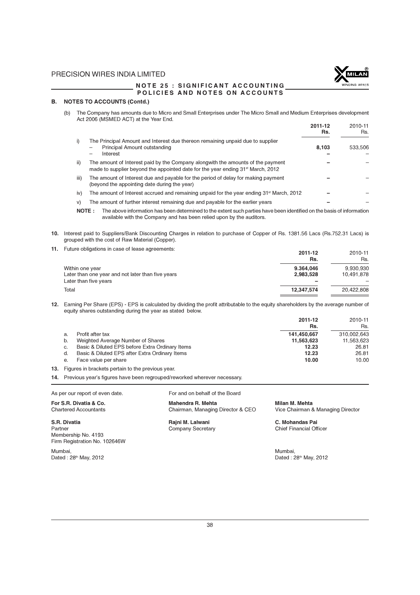

#### NOTE 25 : SIGNIFICANT ACCOUNTING POLICIES AND NOTES ON ACCOUNTS

#### B. NOTES TO ACCOUNTS (Contd.)

(b) The Company has amounts due to Micro and Small Enterprises under The Micro Small and Medium Enterprises development Act 2006 (MSMED ACT) at the Year End. 2011-12 2010-11

|                 |                                                                                                                                                                                | .<br>Rs. | <b>LVIVII</b><br>Rs. |
|-----------------|--------------------------------------------------------------------------------------------------------------------------------------------------------------------------------|----------|----------------------|
|                 | The Principal Amount and Interest due thereon remaining unpaid due to supplier<br>Principal Amount outstanding<br>Interest                                                     | 8,103    | 533.506              |
| $\overline{ii}$ | The amount of Interest paid by the Company alongwith the amounts of the payment<br>made to supplier beyond the appointed date for the year ending 31 <sup>st</sup> March, 2012 |          |                      |
| iii)            | The amount of Interest due and payable for the period of delay for making payment<br>(beyond the appointing date during the year)                                              |          |                      |
| iv)             | The amount of Interest accrued and remaining unpaid for the year ending 31 <sup>st</sup> March, 2012                                                                           |          |                      |
| V)              | The amount of further interest remaining due and payable for the earlier years                                                                                                 |          |                      |

NOTE : The above information has been determined to the extent such parties have been identified on the basis of information available with the Company and has been relied upon by the auditors.

- 10. Interest paid to Suppliers/Bank Discounting Charges in relation to purchase of Copper of Rs. 1381.56 Lacs (Rs.752.31 Lacs) is grouped with the cost of Raw Material (Copper).
- 11. Future obligations in case of lease agreements:

| Future oblidations in case of lease adreements:                      | 2011-12<br>Rs.         | 2010-11<br>Rs.          |
|----------------------------------------------------------------------|------------------------|-------------------------|
| Within one year<br>Later than one year and not later than five years | 9.364.046<br>2,983,528 | 9,930,930<br>10,491,878 |
| Later than five years                                                |                        |                         |
| Total                                                                | 12,347,574             | 20.422.808              |

12. Earning Per Share (EPS) - EPS is calculated by dividing the profit attributable to the equity shareholders by the average number of equity shares outstanding during the year as stated below.

|    |                                                 | 2011-12     | 2010-11     |
|----|-------------------------------------------------|-------------|-------------|
|    |                                                 | Rs.         | Rs.         |
| a. | Profit after tax                                | 141.450.667 | 310.002.643 |
| b. | Weighted Average Number of Shares               | 11,563,623  | 11,563,623  |
| C. | Basic & Diluted EPS before Extra Ordinary Items | 12.23       | 26.81       |
| d. | Basic & Diluted EPS after Extra Ordinary Items  | 12.23       | 26.81       |
| е. | Face value per share                            | 10.00       | 10.00       |
|    | .                                               |             |             |

13. Figures in brackets pertain to the previous year.

14. Previous year's figures have been regrouped/reworked wherever necessary.

As per our report of even date. For and on behalf of the Board

Chartered Accountants Chairman, Managing Director & CEO

S.R. Divatia **S.R. Divatia** C. Mohandas Paine C. Mohandas Paine C. Mohandas Paine C. Mohandas Paine Company Secretary C. Mohandas Paine Pather C. Mohandas Paine Pather C. Mohandas Paine Pather C. Mohandas Paine Pather C. M Company Secretary

For S.R. Divatia & Co. **Mahendra R. Mehta** Mehta Milan M. Mehta Milan M. Mehta Chartered Accountants Charter Mehta<br>Chartered Accountants Charter Mehairman, Managing Director & CEO Vice Chairman & Managing Director

Mumbai, Mumbai,

Membership No. 4193 Firm Registration No. 102646W

Dated : 28<sup>th</sup> May, 2012 Dated : 28<sup>th</sup> May, 2012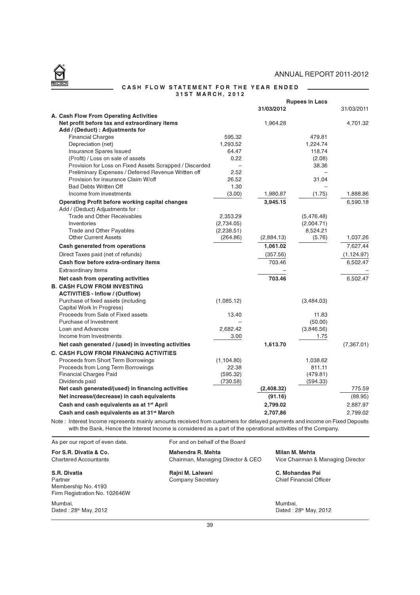$\overline{\phantom{a}}$ 



#### CASH FLOW STATEMENT FOR THE YEAR ENDED 31ST MARCH, 2012

|  |                                                                                                                           |                          |            | <b>Rupees in Lacs</b> |             |
|--|---------------------------------------------------------------------------------------------------------------------------|--------------------------|------------|-----------------------|-------------|
|  |                                                                                                                           |                          | 31/03/2012 |                       | 31/03/2011  |
|  | A. Cash Flow From Operating Activities                                                                                    |                          |            |                       |             |
|  | Net profit before tax and extraordinary items                                                                             |                          | 1,964.28   |                       | 4,701.32    |
|  | Add / (Deduct) : Adjustments for                                                                                          |                          |            |                       |             |
|  | <b>Financial Charges</b>                                                                                                  | 595.32                   |            | 479.81                |             |
|  | Depreciation (net)                                                                                                        | 1,293.52                 |            | 1,224.74              |             |
|  | Insurance Spares Issued                                                                                                   | 64.47                    |            | 118.74                |             |
|  | (Profit) / Loss on sale of assets                                                                                         | 0.22                     |            | (2.08)                |             |
|  | Provision for Loss on Fixed Assets Scrapped / Discarded                                                                   | $\overline{\phantom{0}}$ |            | 38.36                 |             |
|  | Preliminary Expenses / Deferred Revenue Written off<br>Provision for insurance Claim W/off                                | 2.52<br>26.52            |            | 31.04                 |             |
|  | <b>Bad Debts Written Off</b>                                                                                              | 1.30                     |            |                       |             |
|  | Income from investments                                                                                                   | (3.00)                   | 1,980.87   | (1.75)                | 1,888.86    |
|  |                                                                                                                           |                          | 3,945.15   |                       | 6,590.18    |
|  | <b>Operating Profit before working capital changes</b><br>Add / (Deduct) Adjustments for:                                 |                          |            |                       |             |
|  | <b>Trade and Other Receivables</b>                                                                                        | 2,353.29                 |            | (5,476.48)            |             |
|  | Inventories                                                                                                               | (2,734.05)               |            | (2,004.71)            |             |
|  | Trade and Other Payables                                                                                                  | (2,238.51)               |            | 8,524.21              |             |
|  | <b>Other Current Assets</b>                                                                                               | (264.86)                 | (2,884.13) | (5.76)                | 1,037.26    |
|  | <b>Cash generated from operations</b>                                                                                     |                          | 1,061.02   |                       | 7,627.44    |
|  | Direct Taxes paid (net of refunds)                                                                                        |                          | (357.56)   |                       | (1, 124.97) |
|  | Cash flow before extra-ordinary items                                                                                     |                          | 703.46     |                       | 6,502.47    |
|  | Extraordinary items                                                                                                       |                          |            |                       |             |
|  | Net cash from operating activities                                                                                        |                          | 703.46     |                       | 6,502.47    |
|  | <b>B. CASH FLOW FROM INVESTING</b>                                                                                        |                          |            |                       |             |
|  | <b>ACTIVITIES - Inflow / (Outflow)</b>                                                                                    |                          |            |                       |             |
|  | Purchase of fixed assets (including                                                                                       | (1,085.12)               |            | (3,484.03)            |             |
|  | Capital Work In Progress)                                                                                                 |                          |            |                       |             |
|  | Proceeds from Sale of Fixed assets                                                                                        | 13.40                    |            | 11.83                 |             |
|  | Purchase of Investment                                                                                                    |                          |            | (50.00)               |             |
|  | Loan and Advances                                                                                                         | 2,682.42                 |            | (3,846.56)            |             |
|  | Income from Investments                                                                                                   | 3.00                     |            | 1.75                  |             |
|  | Net cash generated / (used) in investing activities                                                                       |                          | 1,613.70   |                       | (7,367.01)  |
|  | <b>C. CASH FLOW FROM FINANCING ACTIVITIES</b>                                                                             |                          |            |                       |             |
|  | Proceeds from Short Term Borrowings                                                                                       | (1, 104.80)              |            | 1,038.62              |             |
|  | Proceeds from Long Term Borrowings                                                                                        | 22.38                    |            | 811.11                |             |
|  | <b>Financial Charges Paid</b>                                                                                             | (595.32)                 |            | (479.81)              |             |
|  | Dividends paid<br>Net cash generated/(used) in financing activities                                                       | (730.58)                 | (2,408.32) | (594.33)              | 775.59      |
|  | Net increase/(decrease) in cash equivalents                                                                               |                          | (91.16)    |                       | (88.95)     |
|  | Cash and cash equivalents as at 1 <sup>st</sup> April                                                                     |                          | 2.799.02   |                       | 2,887.97    |
|  | Cash and cash equivalents as at 31 <sup>st</sup> March                                                                    |                          |            |                       |             |
|  |                                                                                                                           |                          | 2,707,86   |                       | 2,799.02    |
|  | Note: Interest Income represents mainly amounts received from customers for delayed payments and income on Fixed Deposits |                          |            |                       |             |

with the Bank. Hence the Interest Income is considered as a part of the operational activities of the Company.

As per our report of even date. For and on behalf of the Board For S.R. Divatia & Co. **Mahendra R. Mehta** Milan M. Mehta<br>Chartered Accountants **Mahendra R. Mahaging Director & CEO** Vice Chairman & Managing Director Chairman, Managing Director & CEO S.R. Divatia **S.R. Divatia** Rajni M. Lalwani **C. Mohandas Pai**<br>Partner Company Secretary Chief Financial Off Partner **Company Secretary** Company Secretary Chief Financial Officer Membership No. 4193 Firm Registration No. 102646W Mumbai, Mumbai, Dated : 28<sup>th</sup> May, 2012 **Dated : 28<sup>th</sup> May, 2012**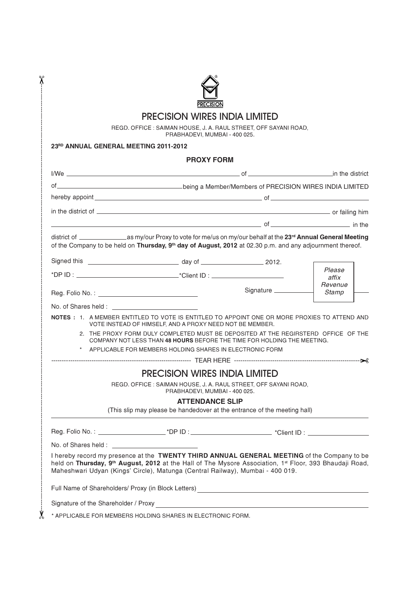

 $\chi$ 

# PRECISION WIRES INDIA LIMITED

| <b>PRECISION WIRES INDIA LIMITED</b><br>REGD. OFFICE: SAIMAN HOUSE, J. A. RAUL STREET, OFF SAYANI ROAD,<br>PRABHADEVI, MUMBAI - 400 025. |                                                                                                                                                                                                                                                                                                                  |                       |                  |  |  |  |  |                                       |
|------------------------------------------------------------------------------------------------------------------------------------------|------------------------------------------------------------------------------------------------------------------------------------------------------------------------------------------------------------------------------------------------------------------------------------------------------------------|-----------------------|------------------|--|--|--|--|---------------------------------------|
|                                                                                                                                          |                                                                                                                                                                                                                                                                                                                  |                       |                  |  |  |  |  | 23RD ANNUAL GENERAL MEETING 2011-2012 |
|                                                                                                                                          | <b>PROXY FORM</b>                                                                                                                                                                                                                                                                                                |                       |                  |  |  |  |  |                                       |
|                                                                                                                                          |                                                                                                                                                                                                                                                                                                                  |                       |                  |  |  |  |  |                                       |
|                                                                                                                                          |                                                                                                                                                                                                                                                                                                                  |                       |                  |  |  |  |  |                                       |
|                                                                                                                                          |                                                                                                                                                                                                                                                                                                                  |                       |                  |  |  |  |  |                                       |
|                                                                                                                                          |                                                                                                                                                                                                                                                                                                                  |                       |                  |  |  |  |  |                                       |
|                                                                                                                                          |                                                                                                                                                                                                                                                                                                                  |                       |                  |  |  |  |  |                                       |
|                                                                                                                                          | of the Company to be held on Thursday, 9 <sup>th</sup> day of August, 2012 at 02.30 p.m. and any adjournment thereof.                                                                                                                                                                                            |                       |                  |  |  |  |  |                                       |
|                                                                                                                                          |                                                                                                                                                                                                                                                                                                                  |                       | Please<br>affix  |  |  |  |  |                                       |
|                                                                                                                                          |                                                                                                                                                                                                                                                                                                                  | Signature ___________ | Revenue<br>Stamp |  |  |  |  |                                       |
| No. of Shares held : <b>William Shares</b> 1999                                                                                          |                                                                                                                                                                                                                                                                                                                  |                       |                  |  |  |  |  |                                       |
|                                                                                                                                          | NOTES : 1. A MEMBER ENTITLED TO VOTE IS ENTITLED TO APPOINT ONE OR MORE PROXIES TO ATTEND AND<br>VOTE INSTEAD OF HIMSELF, AND A PROXY NEED NOT BE MEMBER.                                                                                                                                                        |                       |                  |  |  |  |  |                                       |
|                                                                                                                                          | 2. THE PROXY FORM DULY COMPLETED MUST BE DEPOSITED AT THE REGIRSTERD OFFICE OF THE<br>COMPANY NOT LESS THAN 48 HOURS BEFORE THE TIME FOR HOLDING THE MEETING.                                                                                                                                                    |                       |                  |  |  |  |  |                                       |
|                                                                                                                                          | * APPLICABLE FOR MEMBERS HOLDING SHARES IN ELECTRONIC FORM                                                                                                                                                                                                                                                       |                       |                  |  |  |  |  |                                       |
|                                                                                                                                          |                                                                                                                                                                                                                                                                                                                  |                       |                  |  |  |  |  |                                       |
|                                                                                                                                          | <b>PRECISION WIRES INDIA LIMITED</b>                                                                                                                                                                                                                                                                             |                       |                  |  |  |  |  |                                       |
|                                                                                                                                          | REGD. OFFICE: SAIMAN HOUSE, J. A. RAUL STREET, OFF SAYANI ROAD,<br>PRABHADEVI, MUMBAI - 400 025.                                                                                                                                                                                                                 |                       |                  |  |  |  |  |                                       |
|                                                                                                                                          | <b>ATTENDANCE SLIP</b><br>(This slip may please be handedover at the entrance of the meeting hall)                                                                                                                                                                                                               |                       |                  |  |  |  |  |                                       |
|                                                                                                                                          |                                                                                                                                                                                                                                                                                                                  |                       |                  |  |  |  |  |                                       |
|                                                                                                                                          |                                                                                                                                                                                                                                                                                                                  |                       |                  |  |  |  |  |                                       |
|                                                                                                                                          | I hereby record my presence at the TWENTY THIRD ANNUAL GENERAL MEETING of the Company to be<br>held on Thursday, 9 <sup>th</sup> August, 2012 at the Hall of The Mysore Association, 1 <sup>st</sup> Floor, 393 Bhaudaji Road,<br>Maheshwari Udyan (Kings' Circle), Matunga (Central Railway), Mumbai - 400 019. |                       |                  |  |  |  |  |                                       |
|                                                                                                                                          |                                                                                                                                                                                                                                                                                                                  |                       |                  |  |  |  |  |                                       |
|                                                                                                                                          | Full Name of Shareholders/ Proxy (in Block Letters)<br><u> and the manual contract of Shareholders</u> / Proxy (in Block Letters)                                                                                                                                                                                |                       |                  |  |  |  |  |                                       |

 $\dot{\mathbf{y}}$  \* APPLICABLE FOR MEMBERS HOLDING SHARES IN ELECTRONIC FORM.